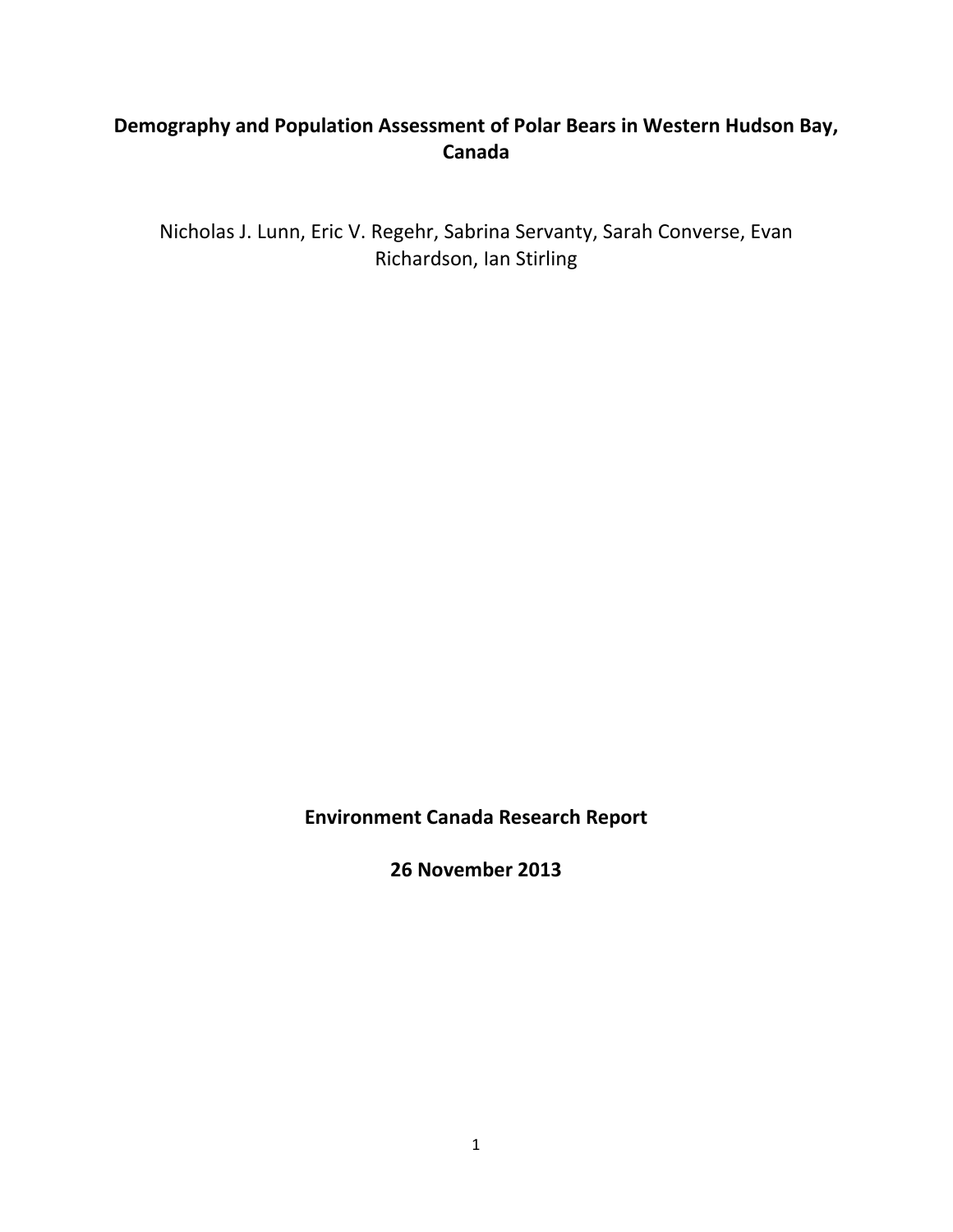# **Demography and Population Assessment of Polar Bears in Western Hudson Bay, Canada**

Nicholas J. Lunn, Eric V. Regehr, Sabrina Servanty, Sarah Converse, Evan Richardson, Ian Stirling

**Environment Canada Research Report**

**26 November 2013**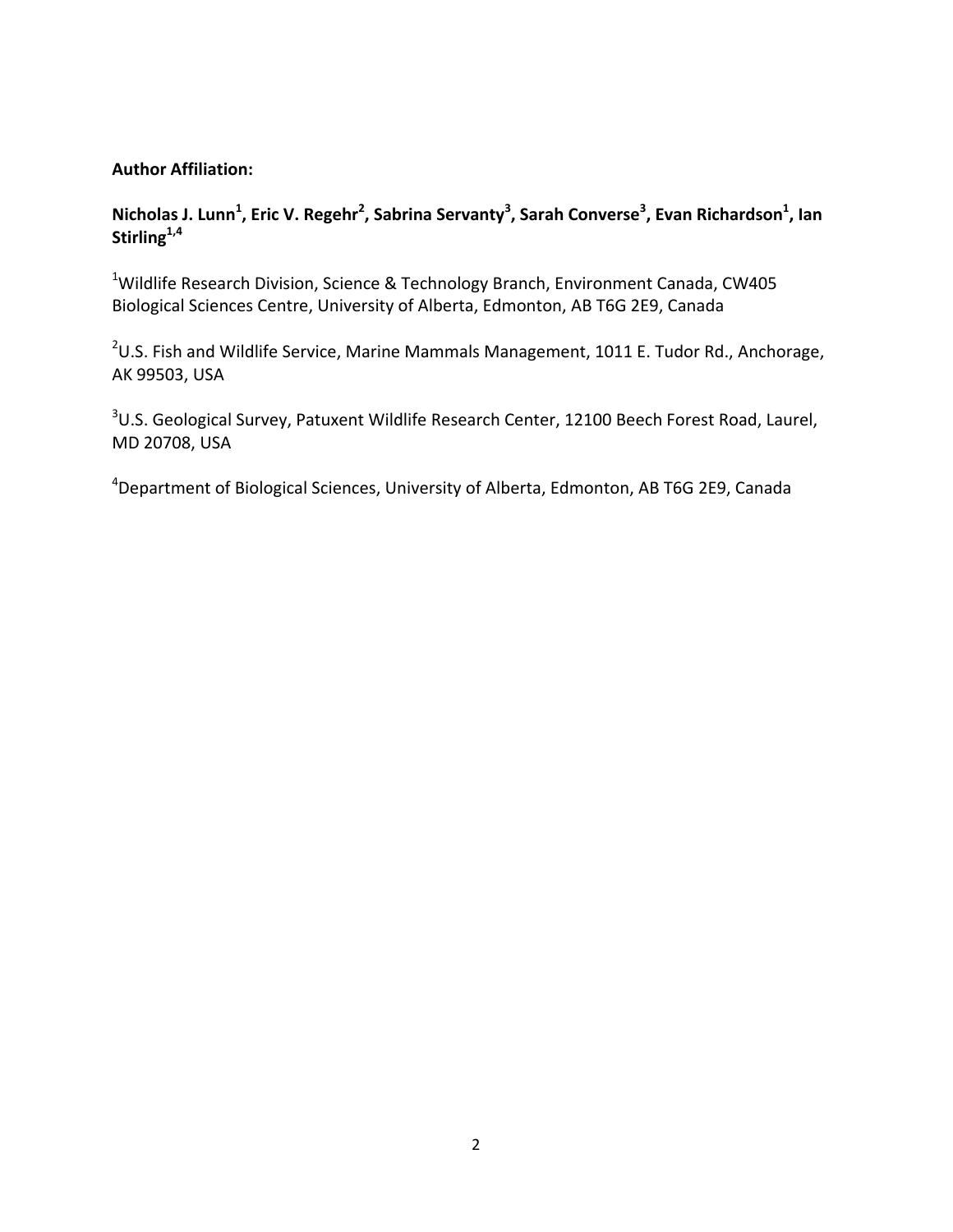# **Author Affiliation:**

# Nicholas J. Lunn<sup>1</sup>, Eric V. Regehr<sup>2</sup>, Sabrina Servanty<sup>3</sup>, Sarah Converse<sup>3</sup>, Evan Richardson<sup>1</sup>, Ian Stirling<sup>1,4</sup>

<sup>1</sup>Wildlife Research Division, Science & Technology Branch, Environment Canada, CW405 Biological Sciences Centre, University of Alberta, Edmonton, AB T6G 2E9, Canada

 $^{2}$ U.S. Fish and Wildlife Service, Marine Mammals Management, 1011 E. Tudor Rd., Anchorage, AK 99503, USA

<sup>3</sup>U.S. Geological Survey, Patuxent Wildlife Research Center, 12100 Beech Forest Road, Laurel, MD 20708, USA

<sup>4</sup>Department of Biological Sciences, University of Alberta, Edmonton, AB T6G 2E9, Canada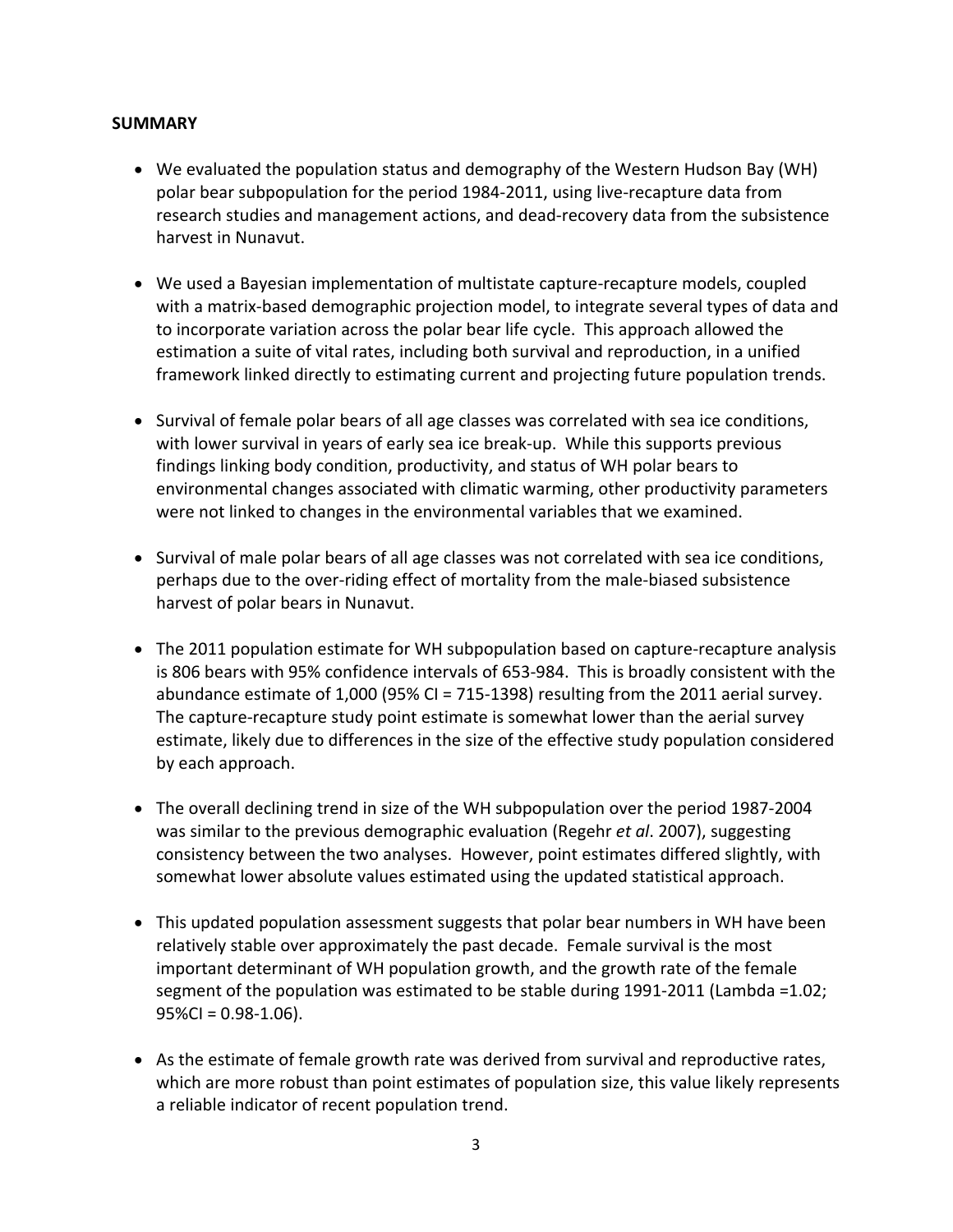# **SUMMARY**

- We evaluated the population status and demography of the Western Hudson Bay (WH) polar bear subpopulation for the period 1984‐2011, using live‐recapture data from research studies and management actions, and dead‐recovery data from the subsistence harvest in Nunavut.
- We used a Bayesian implementation of multistate capture-recapture models, coupled with a matrix-based demographic projection model, to integrate several types of data and to incorporate variation across the polar bear life cycle. This approach allowed the estimation a suite of vital rates, including both survival and reproduction, in a unified framework linked directly to estimating current and projecting future population trends.
- Survival of female polar bears of all age classes was correlated with sea ice conditions, with lower survival in years of early sea ice break-up. While this supports previous findings linking body condition, productivity, and status of WH polar bears to environmental changes associated with climatic warming, other productivity parameters were not linked to changes in the environmental variables that we examined.
- Survival of male polar bears of all age classes was not correlated with sea ice conditions, perhaps due to the over‐riding effect of mortality from the male‐biased subsistence harvest of polar bears in Nunavut.
- The 2011 population estimate for WH subpopulation based on capture-recapture analysis is 806 bears with 95% confidence intervals of 653‐984. This is broadly consistent with the abundance estimate of 1,000 (95% CI = 715‐1398) resulting from the 2011 aerial survey. The capture-recapture study point estimate is somewhat lower than the aerial survey estimate, likely due to differences in the size of the effective study population considered by each approach.
- The overall declining trend in size of the WH subpopulation over the period 1987-2004 was similar to the previous demographic evaluation (Regehr *et al*. 2007), suggesting consistency between the two analyses. However, point estimates differed slightly, with somewhat lower absolute values estimated using the updated statistical approach.
- This updated population assessment suggests that polar bear numbers in WH have been relatively stable over approximately the past decade. Female survival is the most important determinant of WH population growth, and the growth rate of the female segment of the population was estimated to be stable during 1991-2011 (Lambda =1.02;  $95\%$ CI = 0.98-1.06).
- As the estimate of female growth rate was derived from survival and reproductive rates, which are more robust than point estimates of population size, this value likely represents a reliable indicator of recent population trend.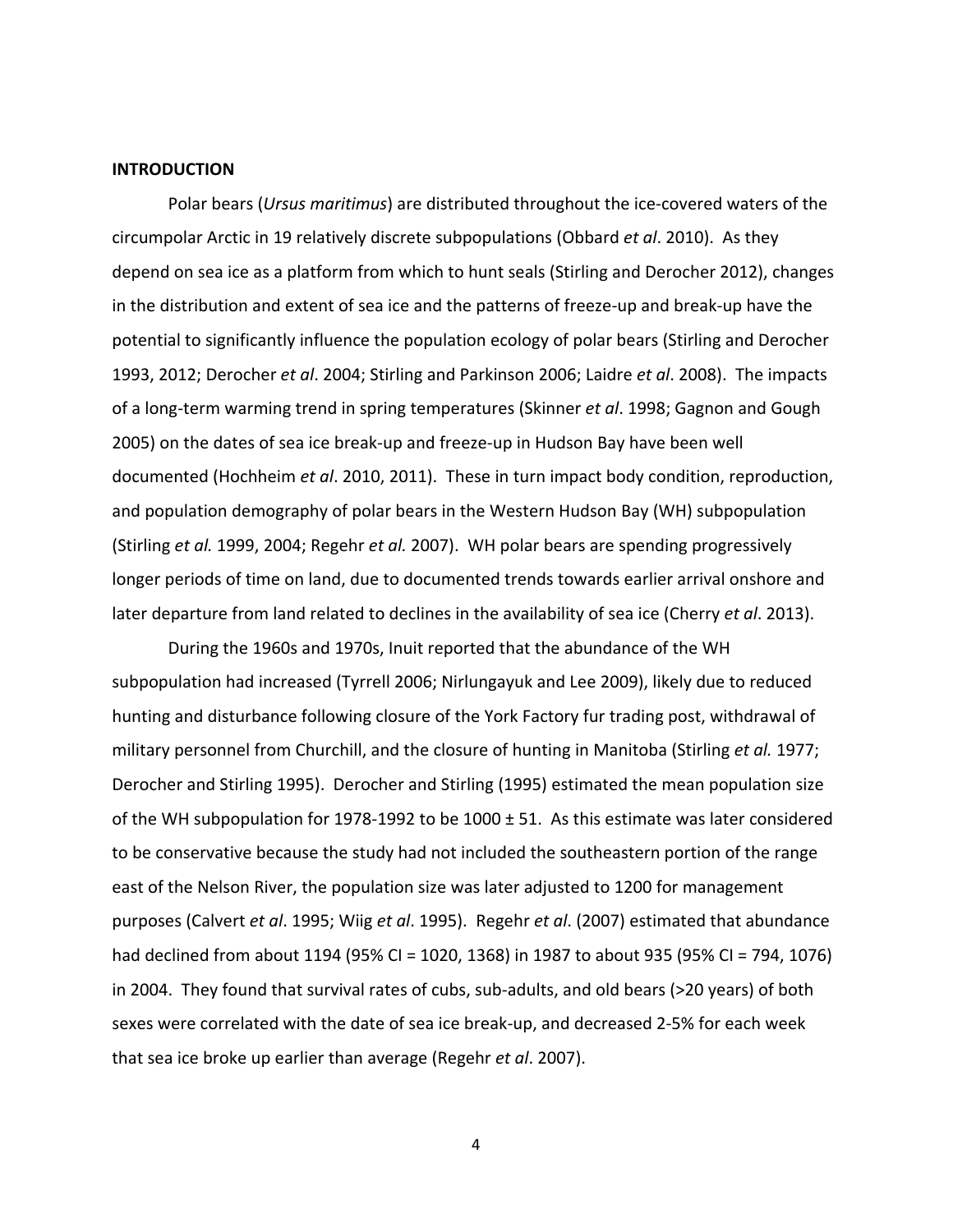#### **INTRODUCTION**

Polar bears (*Ursus maritimus*) are distributed throughout the ice‐covered waters of the circumpolar Arctic in 19 relatively discrete subpopulations (Obbard *et al*. 2010). As they depend on sea ice as a platform from which to hunt seals (Stirling and Derocher 2012), changes in the distribution and extent of sea ice and the patterns of freeze‐up and break‐up have the potential to significantly influence the population ecology of polar bears (Stirling and Derocher 1993, 2012; Derocher *et al*. 2004; Stirling and Parkinson 2006; Laidre *et al*. 2008). The impacts of a long‐term warming trend in spring temperatures (Skinner *et al*. 1998; Gagnon and Gough 2005) on the dates of sea ice break‐up and freeze‐up in Hudson Bay have been well documented (Hochheim *et al*. 2010, 2011). These in turn impact body condition, reproduction, and population demography of polar bears in the Western Hudson Bay (WH) subpopulation (Stirling *et al.* 1999, 2004; Regehr *et al.* 2007). WH polar bears are spending progressively longer periods of time on land, due to documented trends towards earlier arrival onshore and later departure from land related to declines in the availability of sea ice (Cherry *et al*. 2013).

During the 1960s and 1970s, Inuit reported that the abundance of the WH subpopulation had increased (Tyrrell 2006; Nirlungayuk and Lee 2009), likely due to reduced hunting and disturbance following closure of the York Factory fur trading post, withdrawal of military personnel from Churchill, and the closure of hunting in Manitoba (Stirling *et al.* 1977; Derocher and Stirling 1995). Derocher and Stirling (1995) estimated the mean population size of the WH subpopulation for 1978‐1992 to be 1000 ± 51. As this estimate was later considered to be conservative because the study had not included the southeastern portion of the range east of the Nelson River, the population size was later adjusted to 1200 for management purposes (Calvert *et al*. 1995; Wiig *et al*. 1995). Regehr *et al*. (2007) estimated that abundance had declined from about 1194 (95% CI = 1020, 1368) in 1987 to about 935 (95% CI = 794, 1076) in 2004. They found that survival rates of cubs, sub‐adults, and old bears (>20 years) of both sexes were correlated with the date of sea ice break‐up, and decreased 2‐5% for each week that sea ice broke up earlier than average (Regehr *et al*. 2007).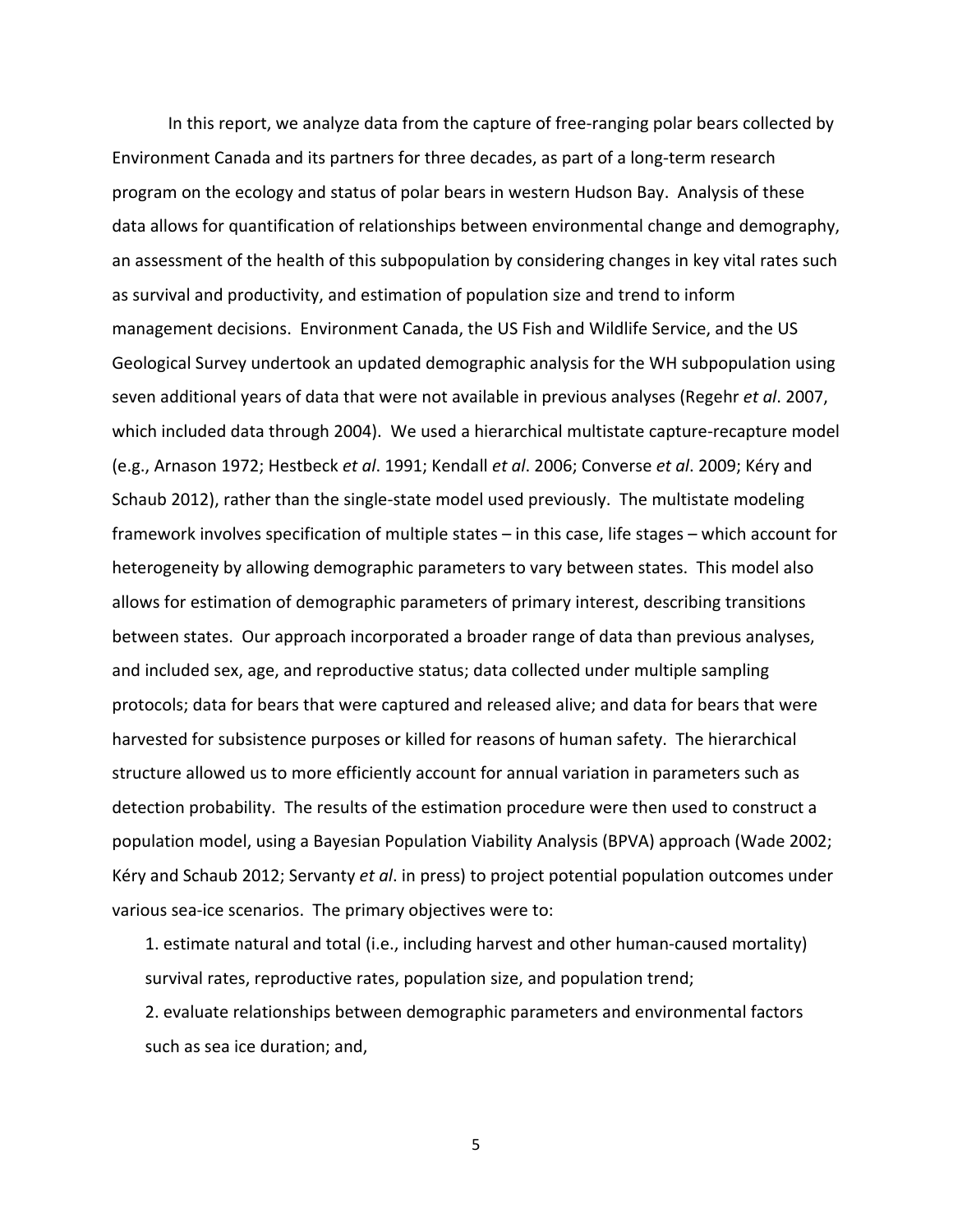In this report, we analyze data from the capture of free-ranging polar bears collected by Environment Canada and its partners for three decades, as part of a long‐term research program on the ecology and status of polar bears in western Hudson Bay. Analysis of these data allows for quantification of relationships between environmental change and demography, an assessment of the health of this subpopulation by considering changes in key vital rates such as survival and productivity, and estimation of population size and trend to inform management decisions. Environment Canada, the US Fish and Wildlife Service, and the US Geological Survey undertook an updated demographic analysis for the WH subpopulation using seven additional years of data that were not available in previous analyses (Regehr *et al*. 2007, which included data through 2004). We used a hierarchical multistate capture-recapture model (e.g., Arnason 1972; Hestbeck *et al*. 1991; Kendall *et al*. 2006; Converse *et al*. 2009; Kéry and Schaub 2012), rather than the single‐state model used previously. The multistate modeling framework involves specification of multiple states – in this case, life stages – which account for heterogeneity by allowing demographic parameters to vary between states. This model also allows for estimation of demographic parameters of primary interest, describing transitions between states. Our approach incorporated a broader range of data than previous analyses, and included sex, age, and reproductive status; data collected under multiple sampling protocols; data for bears that were captured and released alive; and data for bears that were harvested for subsistence purposes or killed for reasons of human safety. The hierarchical structure allowed us to more efficiently account for annual variation in parameters such as detection probability. The results of the estimation procedure were then used to construct a population model, using a Bayesian Population Viability Analysis (BPVA) approach (Wade 2002; Kéry and Schaub 2012; Servanty *et al*. in press) to project potential population outcomes under various sea‐ice scenarios. The primary objectives were to:

1. estimate natural and total (i.e., including harvest and other human‐caused mortality) survival rates, reproductive rates, population size, and population trend;

2. evaluate relationships between demographic parameters and environmental factors such as sea ice duration; and,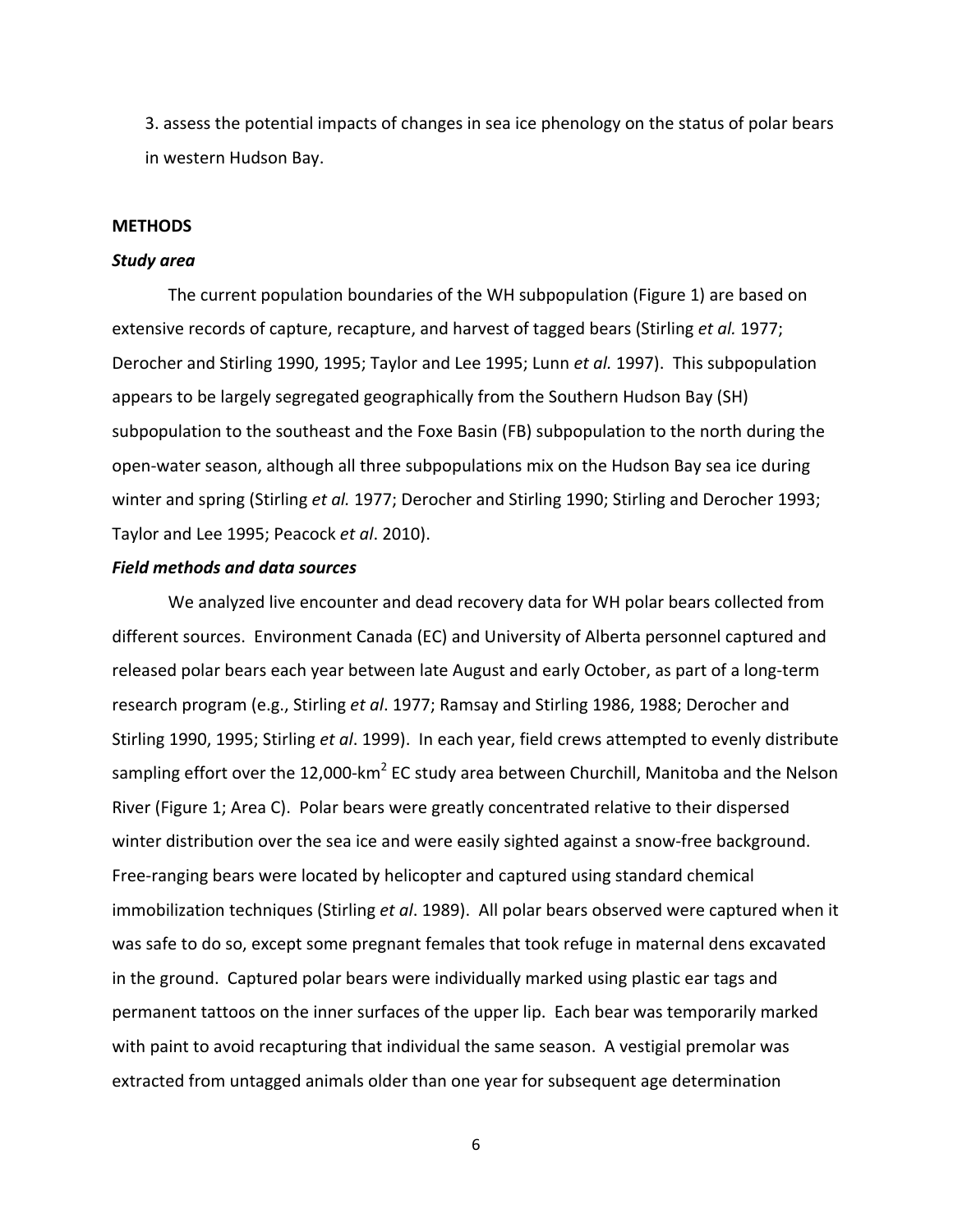3. assess the potential impacts of changes in sea ice phenology on the status of polar bears in western Hudson Bay.

#### **METHODS**

#### *Study area*

The current population boundaries of the WH subpopulation (Figure 1) are based on extensive records of capture, recapture, and harvest of tagged bears (Stirling *et al.* 1977; Derocher and Stirling 1990, 1995; Taylor and Lee 1995; Lunn *et al.* 1997). This subpopulation appears to be largely segregated geographically from the Southern Hudson Bay (SH) subpopulation to the southeast and the Foxe Basin (FB) subpopulation to the north during the open‐water season, although all three subpopulations mix on the Hudson Bay sea ice during winter and spring (Stirling *et al.* 1977; Derocher and Stirling 1990; Stirling and Derocher 1993; Taylor and Lee 1995; Peacock *et al*. 2010).

## *Field methods and data sources*

We analyzed live encounter and dead recovery data for WH polar bears collected from different sources. Environment Canada (EC) and University of Alberta personnel captured and released polar bears each year between late August and early October, as part of a long‐term research program (e.g., Stirling *et al*. 1977; Ramsay and Stirling 1986, 1988; Derocher and Stirling 1990, 1995; Stirling *et al*. 1999). In each year, field crews attempted to evenly distribute sampling effort over the 12,000-km<sup>2</sup> EC study area between Churchill, Manitoba and the Nelson River (Figure 1; Area C). Polar bears were greatly concentrated relative to their dispersed winter distribution over the sea ice and were easily sighted against a snow-free background. Free‐ranging bears were located by helicopter and captured using standard chemical immobilization techniques (Stirling *et al*. 1989). All polar bears observed were captured when it was safe to do so, except some pregnant females that took refuge in maternal dens excavated in the ground. Captured polar bears were individually marked using plastic ear tags and permanent tattoos on the inner surfaces of the upper lip. Each bear was temporarily marked with paint to avoid recapturing that individual the same season. A vestigial premolar was extracted from untagged animals older than one year for subsequent age determination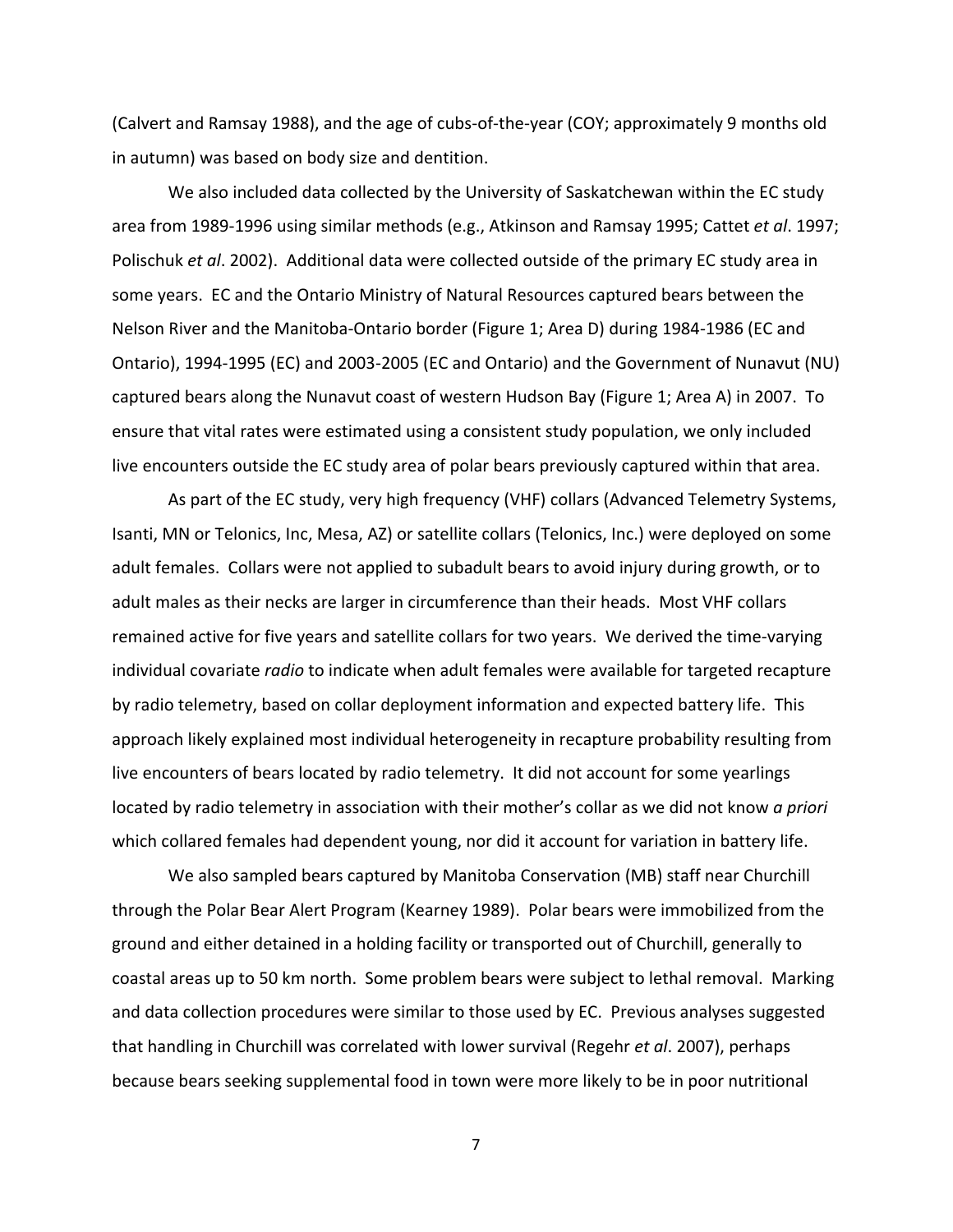(Calvert and Ramsay 1988), and the age of cubs‐of‐the‐year (COY; approximately 9 months old in autumn) was based on body size and dentition.

We also included data collected by the University of Saskatchewan within the EC study area from 1989‐1996 using similar methods (e.g., Atkinson and Ramsay 1995; Cattet *et al*. 1997; Polischuk *et al*. 2002). Additional data were collected outside of the primary EC study area in some years. EC and the Ontario Ministry of Natural Resources captured bears between the Nelson River and the Manitoba‐Ontario border (Figure 1; Area D) during 1984‐1986 (EC and Ontario), 1994‐1995 (EC) and 2003‐2005 (EC and Ontario) and the Government of Nunavut (NU) captured bears along the Nunavut coast of western Hudson Bay (Figure 1; Area A) in 2007. To ensure that vital rates were estimated using a consistent study population, we only included live encounters outside the EC study area of polar bears previously captured within that area.

As part of the EC study, very high frequency (VHF) collars (Advanced Telemetry Systems, Isanti, MN or Telonics, Inc, Mesa, AZ) or satellite collars (Telonics, Inc.) were deployed on some adult females. Collars were not applied to subadult bears to avoid injury during growth, or to adult males as their necks are larger in circumference than their heads. Most VHF collars remained active for five years and satellite collars for two years. We derived the time‐varying individual covariate *radio* to indicate when adult females were available for targeted recapture by radio telemetry, based on collar deployment information and expected battery life. This approach likely explained most individual heterogeneity in recapture probability resulting from live encounters of bears located by radio telemetry. It did not account for some yearlings located by radio telemetry in association with their mother's collar as we did not know *a priori* which collared females had dependent young, nor did it account for variation in battery life.

We also sampled bears captured by Manitoba Conservation (MB) staff near Churchill through the Polar Bear Alert Program (Kearney 1989). Polar bears were immobilized from the ground and either detained in a holding facility or transported out of Churchill, generally to coastal areas up to 50 km north. Some problem bears were subject to lethal removal. Marking and data collection procedures were similar to those used by EC. Previous analyses suggested that handling in Churchill was correlated with lower survival (Regehr *et al*. 2007), perhaps because bears seeking supplemental food in town were more likely to be in poor nutritional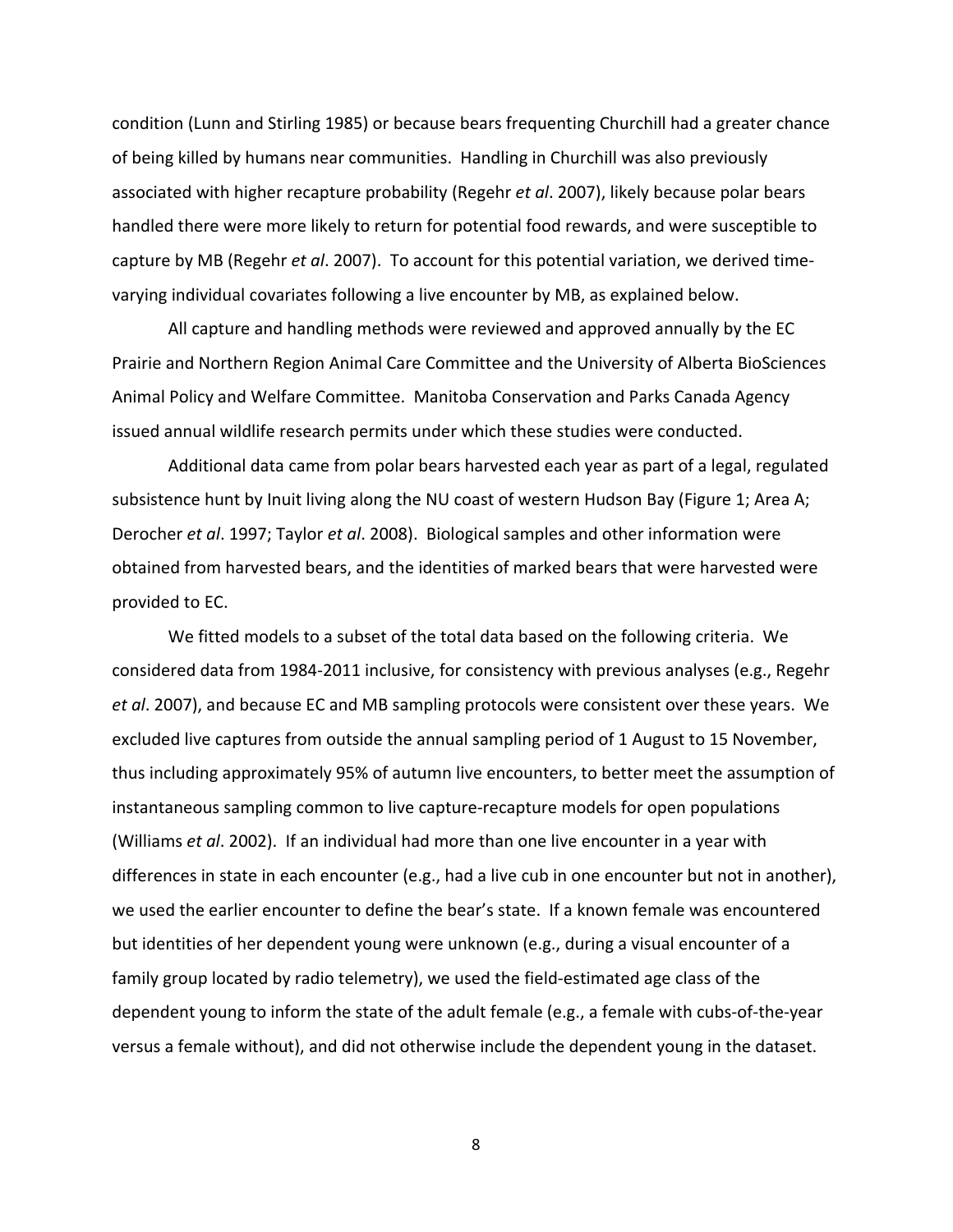condition (Lunn and Stirling 1985) or because bears frequenting Churchill had a greater chance of being killed by humans near communities. Handling in Churchill was also previously associated with higher recapture probability (Regehr *et al*. 2007), likely because polar bears handled there were more likely to return for potential food rewards, and were susceptible to capture by MB (Regehr *et al*. 2007). To account for this potential variation, we derived time‐ varying individual covariates following a live encounter by MB, as explained below.

All capture and handling methods were reviewed and approved annually by the EC Prairie and Northern Region Animal Care Committee and the University of Alberta BioSciences Animal Policy and Welfare Committee. Manitoba Conservation and Parks Canada Agency issued annual wildlife research permits under which these studies were conducted.

Additional data came from polar bears harvested each year as part of a legal, regulated subsistence hunt by Inuit living along the NU coast of western Hudson Bay (Figure 1; Area A; Derocher *et al*. 1997; Taylor *et al*. 2008). Biological samples and other information were obtained from harvested bears, and the identities of marked bears that were harvested were provided to EC.

We fitted models to a subset of the total data based on the following criteria. We considered data from 1984‐2011 inclusive, for consistency with previous analyses (e.g., Regehr *et al*. 2007), and because EC and MB sampling protocols were consistent over these years. We excluded live captures from outside the annual sampling period of 1 August to 15 November, thus including approximately 95% of autumn live encounters, to better meet the assumption of instantaneous sampling common to live capture‐recapture models for open populations (Williams *et al*. 2002). If an individual had more than one live encounter in a year with differences in state in each encounter (e.g., had a live cub in one encounter but not in another), we used the earlier encounter to define the bear's state. If a known female was encountered but identities of her dependent young were unknown (e.g., during a visual encounter of a family group located by radio telemetry), we used the field-estimated age class of the dependent young to inform the state of the adult female (e.g., a female with cubs‐of‐the‐year versus a female without), and did not otherwise include the dependent young in the dataset.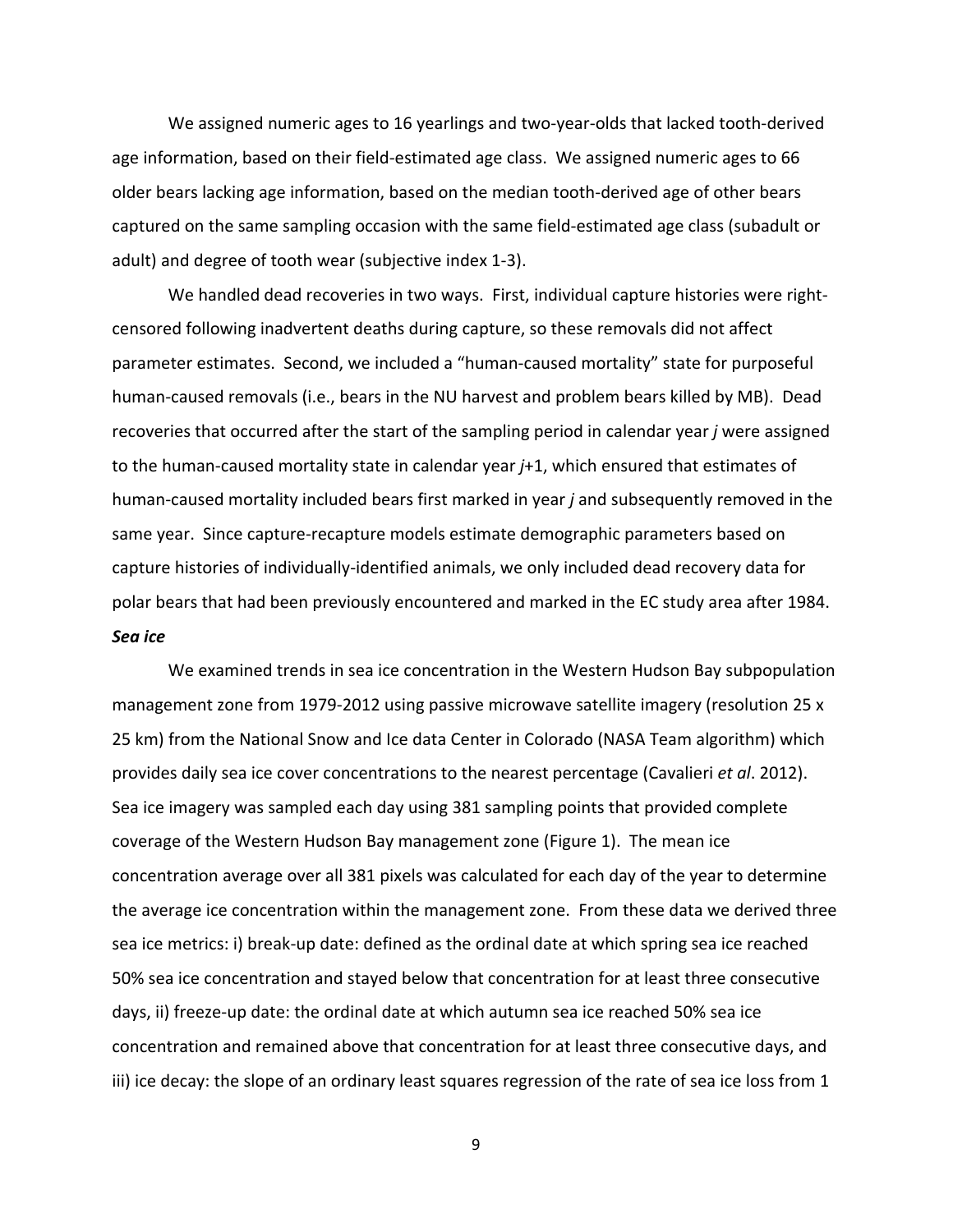We assigned numeric ages to 16 yearlings and two-year-olds that lacked tooth-derived age information, based on their field‐estimated age class. We assigned numeric ages to 66 older bears lacking age information, based on the median tooth‐derived age of other bears captured on the same sampling occasion with the same field‐estimated age class (subadult or adult) and degree of tooth wear (subjective index 1‐3).

We handled dead recoveries in two ways. First, individual capture histories were rightcensored following inadvertent deaths during capture, so these removals did not affect parameter estimates. Second, we included a "human‐caused mortality" state for purposeful human‐caused removals (i.e., bears in the NU harvest and problem bears killed by MB). Dead recoveries that occurred after the start of the sampling period in calendar year *j* were assigned to the human‐caused mortality state in calendar year *j*+1, which ensured that estimates of human‐caused mortality included bears first marked in year *j* and subsequently removed in the same year. Since capture‐recapture models estimate demographic parameters based on capture histories of individually‐identified animals, we only included dead recovery data for polar bears that had been previously encountered and marked in the EC study area after 1984. *Sea ice*

We examined trends in sea ice concentration in the Western Hudson Bay subpopulation management zone from 1979-2012 using passive microwave satellite imagery (resolution 25 x 25 km) from the National Snow and Ice data Center in Colorado (NASA Team algorithm) which provides daily sea ice cover concentrations to the nearest percentage (Cavalieri *et al*. 2012). Sea ice imagery was sampled each day using 381 sampling points that provided complete coverage of the Western Hudson Bay management zone (Figure 1). The mean ice concentration average over all 381 pixels was calculated for each day of the year to determine the average ice concentration within the management zone. From these data we derived three sea ice metrics: i) break‐up date: defined as the ordinal date at which spring sea ice reached 50% sea ice concentration and stayed below that concentration for at least three consecutive days, ii) freeze‐up date: the ordinal date at which autumn sea ice reached 50% sea ice concentration and remained above that concentration for at least three consecutive days, and iii) ice decay: the slope of an ordinary least squares regression of the rate of sea ice loss from 1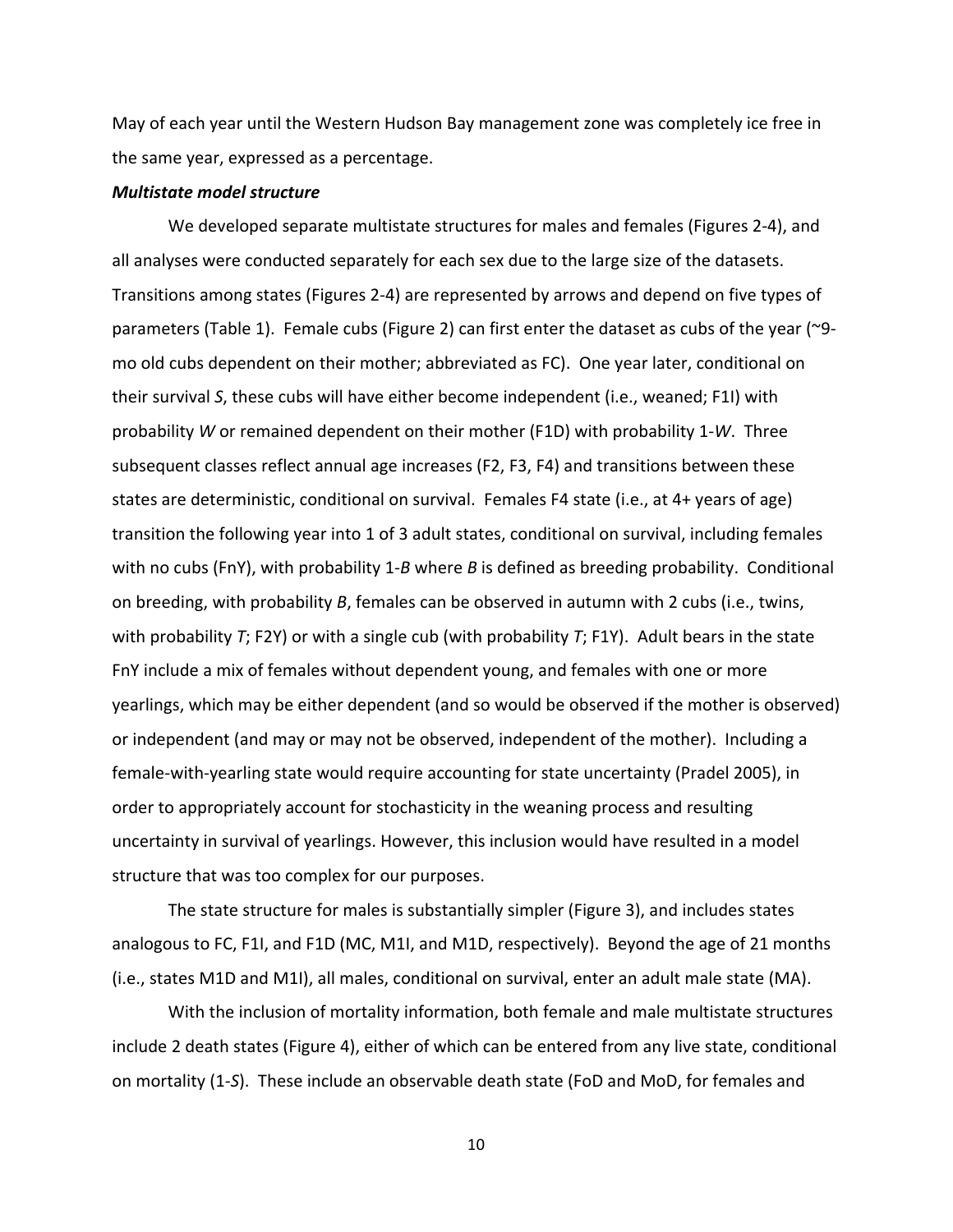May of each year until the Western Hudson Bay management zone was completely ice free in the same year, expressed as a percentage.

# *Multistate model structure*

We developed separate multistate structures for males and females (Figures 2‐4), and all analyses were conducted separately for each sex due to the large size of the datasets. Transitions among states (Figures 2‐4) are represented by arrows and depend on five types of parameters (Table 1). Female cubs (Figure 2) can first enter the dataset as cubs of the year (~9‐ mo old cubs dependent on their mother; abbreviated as FC). One year later, conditional on their survival *S*, these cubs will have either become independent (i.e., weaned; F1I) with probability *W* or remained dependent on their mother (F1D) with probability 1‐*W*. Three subsequent classes reflect annual age increases (F2, F3, F4) and transitions between these states are deterministic, conditional on survival. Females F4 state (i.e., at 4+ years of age) transition the following year into 1 of 3 adult states, conditional on survival, including females with no cubs (FnY), with probability 1-B where B is defined as breeding probability. Conditional on breeding, with probability *B*, females can be observed in autumn with 2 cubs (i.e., twins, with probability *T*; F2Y) or with a single cub (with probability *T*; F1Y). Adult bears in the state FnY include a mix of females without dependent young, and females with one or more yearlings, which may be either dependent (and so would be observed if the mother is observed) or independent (and may or may not be observed, independent of the mother). Including a female‐with‐yearling state would require accounting for state uncertainty (Pradel 2005), in order to appropriately account for stochasticity in the weaning process and resulting uncertainty in survival of yearlings. However, this inclusion would have resulted in a model structure that was too complex for our purposes.

The state structure for males is substantially simpler (Figure 3), and includes states analogous to FC, F1I, and F1D (MC, M1I, and M1D, respectively). Beyond the age of 21 months (i.e., states M1D and M1I), all males, conditional on survival, enter an adult male state (MA).

With the inclusion of mortality information, both female and male multistate structures include 2 death states (Figure 4), either of which can be entered from any live state, conditional on mortality (1‐*S*). These include an observable death state (FoD and MoD, for females and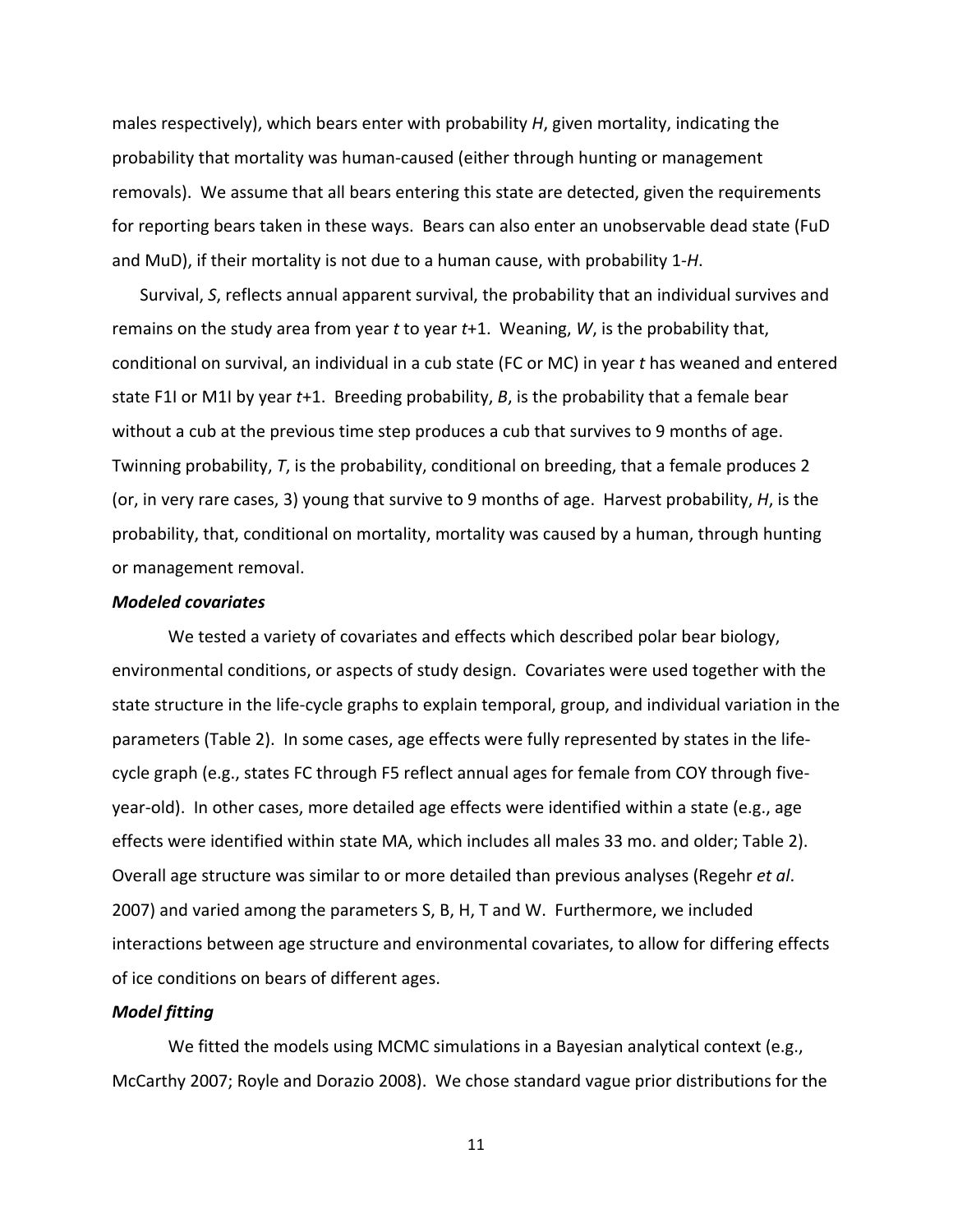males respectively), which bears enter with probability *H*, given mortality, indicating the probability that mortality was human‐caused (either through hunting or management removals). We assume that all bears entering this state are detected, given the requirements for reporting bears taken in these ways. Bears can also enter an unobservable dead state (FuD and MuD), if their mortality is not due to a human cause, with probability 1‐*H*.

Survival, *S*, reflects annual apparent survival, the probability that an individual survives and remains on the study area from year *t* to year *t*+1. Weaning, *W*, is the probability that, conditional on survival, an individual in a cub state (FC or MC) in year *t* has weaned and entered state F1I or M1I by year *t*+1. Breeding probability, *B*, is the probability that a female bear without a cub at the previous time step produces a cub that survives to 9 months of age. Twinning probability, *T*, is the probability, conditional on breeding, that a female produces 2 (or, in very rare cases, 3) young that survive to 9 months of age. Harvest probability, *H*, is the probability, that, conditional on mortality, mortality was caused by a human, through hunting or management removal.

# *Modeled covariates*

We tested a variety of covariates and effects which described polar bear biology, environmental conditions, or aspects of study design. Covariates were used together with the state structure in the life‐cycle graphs to explain temporal, group, and individual variation in the parameters (Table 2). In some cases, age effects were fully represented by states in the life‐ cycle graph (e.g., states FC through F5 reflect annual ages for female from COY through five‐ year‐old). In other cases, more detailed age effects were identified within a state (e.g., age effects were identified within state MA, which includes all males 33 mo. and older; Table 2). Overall age structure was similar to or more detailed than previous analyses (Regehr *et al*. 2007) and varied among the parameters S, B, H, T and W. Furthermore, we included interactions between age structure and environmental covariates, to allow for differing effects of ice conditions on bears of different ages.

### *Model fitting*

We fitted the models using MCMC simulations in a Bayesian analytical context (e.g., McCarthy 2007; Royle and Dorazio 2008). We chose standard vague prior distributions for the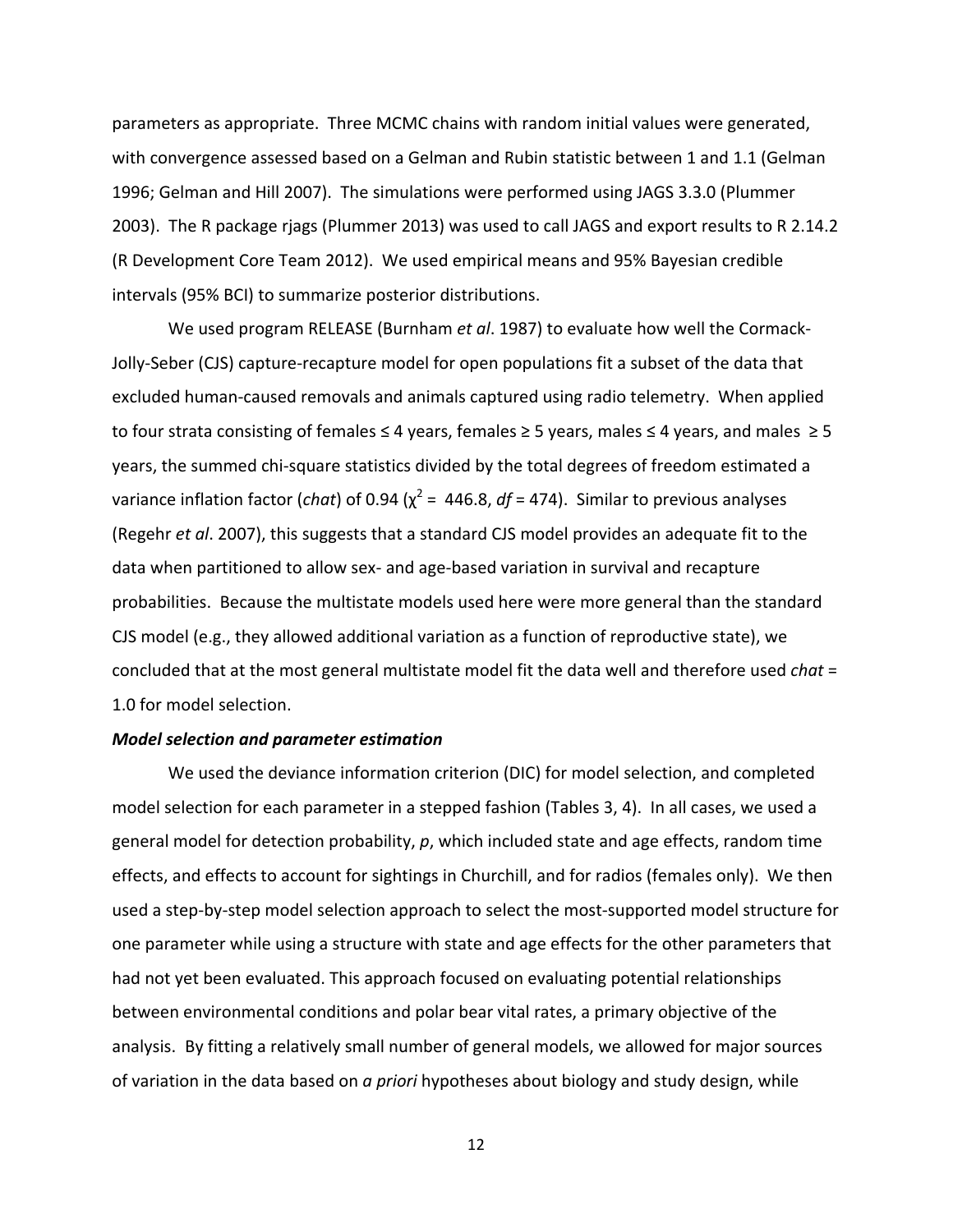parameters as appropriate. Three MCMC chains with random initial values were generated, with convergence assessed based on a Gelman and Rubin statistic between 1 and 1.1 (Gelman 1996; Gelman and Hill 2007). The simulations were performed using JAGS 3.3.0 (Plummer 2003). The R package rjags (Plummer 2013) was used to call JAGS and export results to R 2.14.2 (R Development Core Team 2012). We used empirical means and 95% Bayesian credible intervals (95% BCI) to summarize posterior distributions.

We used program RELEASE (Burnham *et al*. 1987) to evaluate how well the Cormack‐ Jolly‐Seber (CJS) capture‐recapture model for open populations fit a subset of the data that excluded human‐caused removals and animals captured using radio telemetry. When applied to four strata consisting of females  $\leq 4$  years, females  $\geq 5$  years, males  $\leq 4$  years, and males  $\geq 5$ years, the summed chi‐square statistics divided by the total degrees of freedom estimated a variance inflation factor (*chat*) of 0.94 (χ <sup>2</sup> = 446.8, *df* = 474). Similar to previous analyses (Regehr *et al*. 2007), this suggests that a standard CJS model provides an adequate fit to the data when partitioned to allow sex‐ and age‐based variation in survival and recapture probabilities. Because the multistate models used here were more general than the standard CJS model (e.g., they allowed additional variation as a function of reproductive state), we concluded that at the most general multistate model fit the data well and therefore used *chat* = 1.0 for model selection.

#### *Model selection and parameter estimation*

We used the deviance information criterion (DIC) for model selection, and completed model selection for each parameter in a stepped fashion (Tables 3, 4). In all cases, we used a general model for detection probability, *p*, which included state and age effects, random time effects, and effects to account for sightings in Churchill, and for radios (females only). We then used a step‐by‐step model selection approach to select the most‐supported model structure for one parameter while using a structure with state and age effects for the other parameters that had not yet been evaluated. This approach focused on evaluating potential relationships between environmental conditions and polar bear vital rates, a primary objective of the analysis. By fitting a relatively small number of general models, we allowed for major sources of variation in the data based on *a priori* hypotheses about biology and study design, while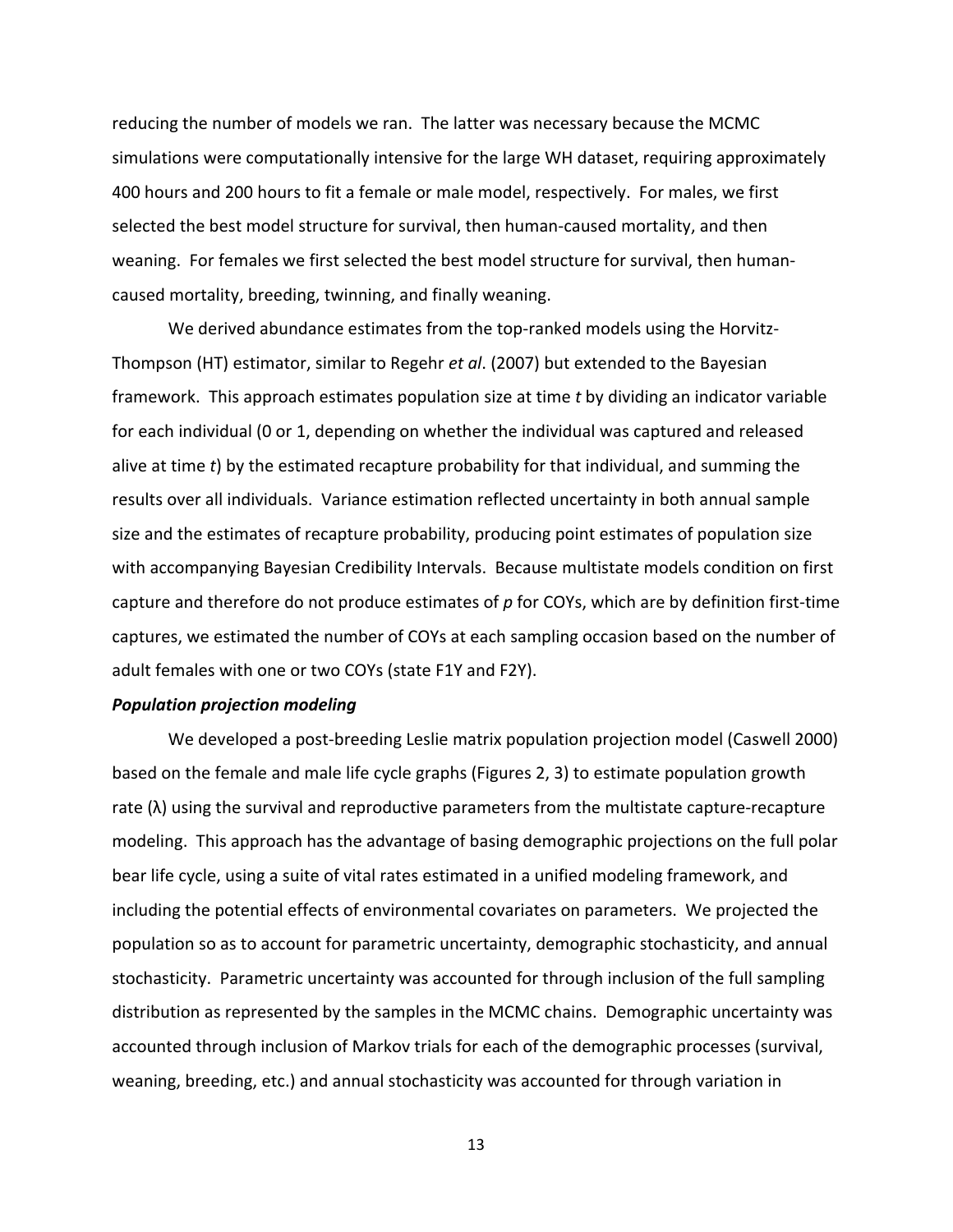reducing the number of models we ran. The latter was necessary because the MCMC simulations were computationally intensive for the large WH dataset, requiring approximately 400 hours and 200 hours to fit a female or male model, respectively. For males, we first selected the best model structure for survival, then human‐caused mortality, and then weaning. For females we first selected the best model structure for survival, then human‐ caused mortality, breeding, twinning, and finally weaning.

We derived abundance estimates from the top-ranked models using the Horvitz-Thompson (HT) estimator, similar to Regehr *et al*. (2007) but extended to the Bayesian framework. This approach estimates population size at time *t* by dividing an indicator variable for each individual (0 or 1, depending on whether the individual was captured and released alive at time *t*) by the estimated recapture probability for that individual, and summing the results over all individuals. Variance estimation reflected uncertainty in both annual sample size and the estimates of recapture probability, producing point estimates of population size with accompanying Bayesian Credibility Intervals. Because multistate models condition on first capture and therefore do not produce estimates of p for COYs, which are by definition first-time captures, we estimated the number of COYs at each sampling occasion based on the number of adult females with one or two COYs (state F1Y and F2Y).

#### *Population projection modeling*

We developed a post‐breeding Leslie matrix population projection model (Caswell 2000) based on the female and male life cycle graphs (Figures 2, 3) to estimate population growth rate  $(\lambda)$  using the survival and reproductive parameters from the multistate capture-recapture modeling. This approach has the advantage of basing demographic projections on the full polar bear life cycle, using a suite of vital rates estimated in a unified modeling framework, and including the potential effects of environmental covariates on parameters. We projected the population so as to account for parametric uncertainty, demographic stochasticity, and annual stochasticity. Parametric uncertainty was accounted for through inclusion of the full sampling distribution as represented by the samples in the MCMC chains. Demographic uncertainty was accounted through inclusion of Markov trials for each of the demographic processes (survival, weaning, breeding, etc.) and annual stochasticity was accounted for through variation in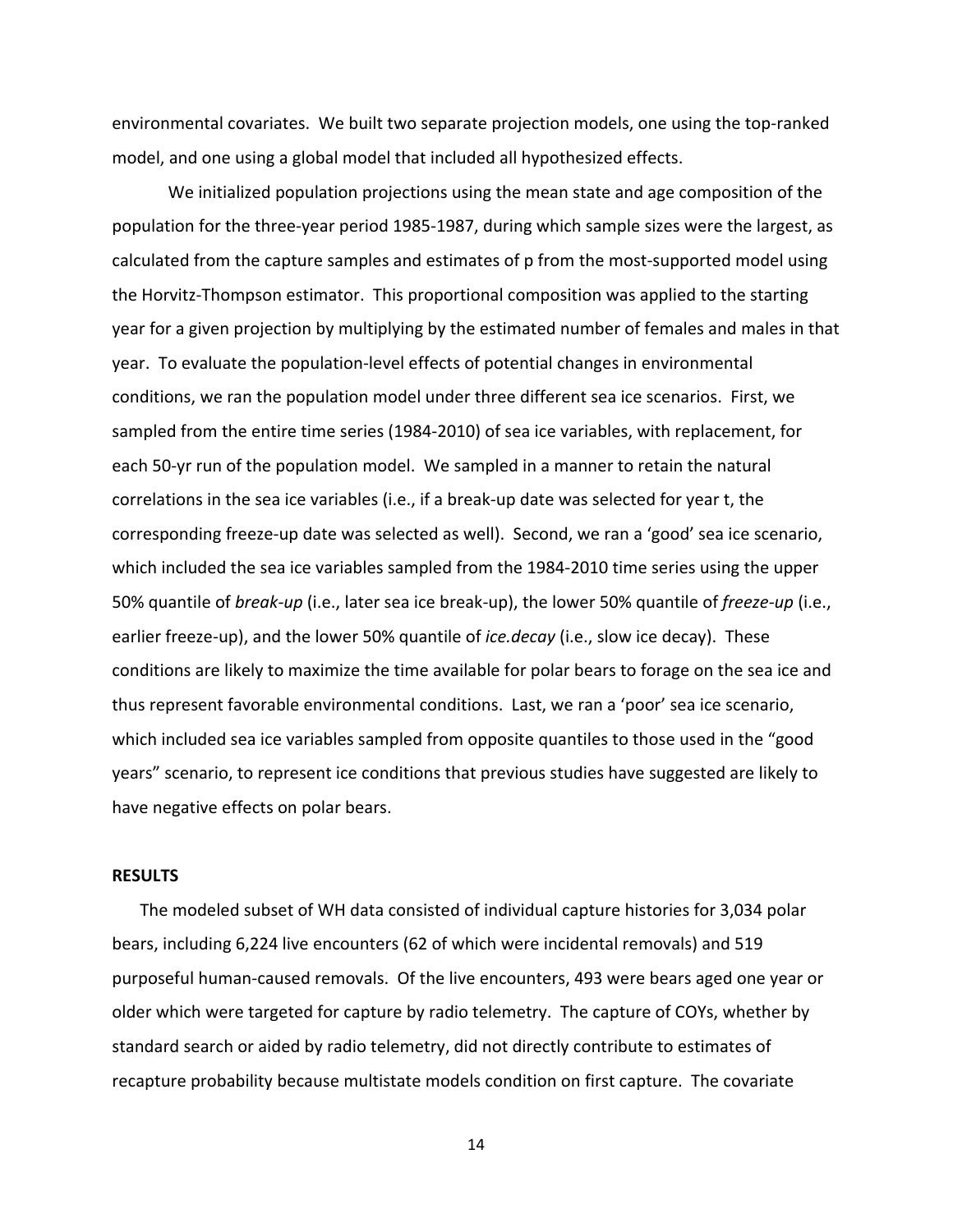environmental covariates. We built two separate projection models, one using the top-ranked model, and one using a global model that included all hypothesized effects.

We initialized population projections using the mean state and age composition of the population for the three‐year period 1985‐1987, during which sample sizes were the largest, as calculated from the capture samples and estimates of p from the most‐supported model using the Horvitz‐Thompson estimator. This proportional composition was applied to the starting year for a given projection by multiplying by the estimated number of females and males in that year. To evaluate the population‐level effects of potential changes in environmental conditions, we ran the population model under three different sea ice scenarios. First, we sampled from the entire time series (1984‐2010) of sea ice variables, with replacement, for each 50-yr run of the population model. We sampled in a manner to retain the natural correlations in the sea ice variables (i.e., if a break‐up date was selected for year t, the corresponding freeze‐up date was selected as well). Second, we ran a 'good' sea ice scenario, which included the sea ice variables sampled from the 1984-2010 time series using the upper 50% quantile of *break‐up* (i.e., later sea ice break‐up), the lower 50% quantile of *freeze‐up* (i.e., earlier freeze‐up), and the lower 50% quantile of *ice.decay* (i.e., slow ice decay). These conditions are likely to maximize the time available for polar bears to forage on the sea ice and thus represent favorable environmental conditions. Last, we ran a 'poor' sea ice scenario, which included sea ice variables sampled from opposite quantiles to those used in the "good years" scenario, to represent ice conditions that previous studies have suggested are likely to have negative effects on polar bears.

# **RESULTS**

The modeled subset of WH data consisted of individual capture histories for 3,034 polar bears, including 6,224 live encounters (62 of which were incidental removals) and 519 purposeful human‐caused removals. Of the live encounters, 493 were bears aged one year or older which were targeted for capture by radio telemetry. The capture of COYs, whether by standard search or aided by radio telemetry, did not directly contribute to estimates of recapture probability because multistate models condition on first capture. The covariate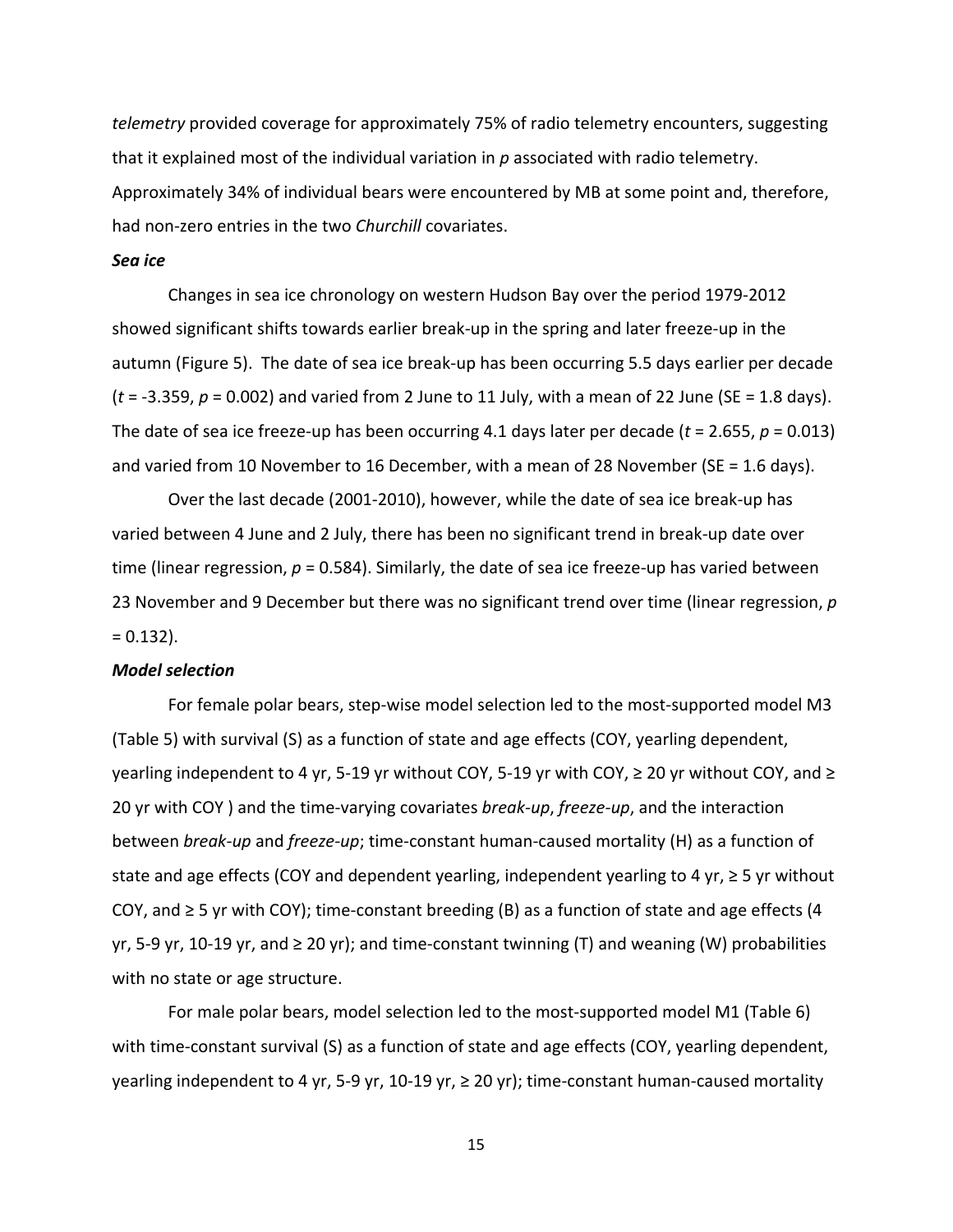*telemetry* provided coverage for approximately 75% of radio telemetry encounters, suggesting that it explained most of the individual variation in *p* associated with radio telemetry. Approximately 34% of individual bears were encountered by MB at some point and, therefore, had non‐zero entries in the two *Churchill* covariates.

# *Sea ice*

Changes in sea ice chronology on western Hudson Bay over the period 1979‐2012 showed significant shifts towards earlier break‐up in the spring and later freeze‐up in the autumn (Figure 5). The date of sea ice break‐up has been occurring 5.5 days earlier per decade (*t* = ‐3.359, *p* = 0.002) and varied from 2 June to 11 July, with a mean of 22 June (SE = 1.8 days). The date of sea ice freeze-up has been occurring 4.1 days later per decade ( $t = 2.655$ ,  $p = 0.013$ ) and varied from 10 November to 16 December, with a mean of 28 November (SE = 1.6 days).

Over the last decade (2001‐2010), however, while the date of sea ice break‐up has varied between 4 June and 2 July, there has been no significant trend in break‐up date over time (linear regression,  $p = 0.584$ ). Similarly, the date of sea ice freeze-up has varied between 23 November and 9 December but there was no significant trend over time (linear regression, *p*  $= 0.132$ ).

# *Model selection*

For female polar bears, step-wise model selection led to the most-supported model M3 (Table 5) with survival (S) as a function of state and age effects (COY, yearling dependent, yearling independent to 4 yr, 5‐19 yr without COY, 5‐19 yr with COY, ≥ 20 yr without COY, and ≥ 20 yr with COY ) and the time‐varying covariates *break‐up*, *freeze‐up*, and the interaction between *break‐up* and *freeze‐up*; time‐constant human‐caused mortality (H) as a function of state and age effects (COY and dependent yearling, independent yearling to 4 yr,  $\geq$  5 yr without COY, and  $\geq$  5 yr with COY); time-constant breeding (B) as a function of state and age effects (4 yr, 5-9 yr, 10-19 yr, and  $\geq 20$  yr); and time-constant twinning (T) and weaning (W) probabilities with no state or age structure.

For male polar bears, model selection led to the most-supported model M1 (Table 6) with time-constant survival (S) as a function of state and age effects (COY, yearling dependent, yearling independent to 4 yr, 5‐9 yr, 10‐19 yr, ≥ 20 yr); time‐constant human‐caused mortality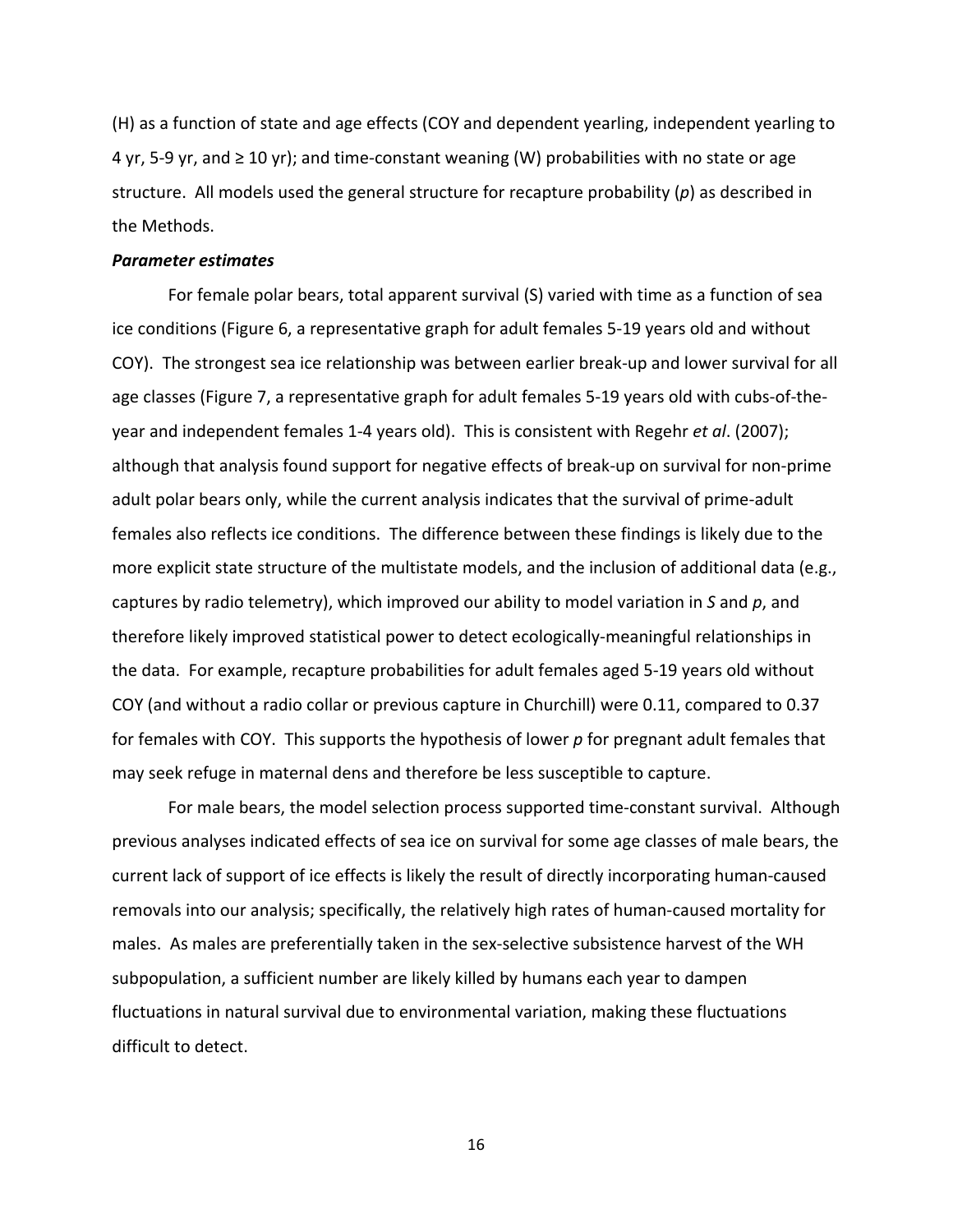(H) as a function of state and age effects (COY and dependent yearling, independent yearling to 4 yr, 5-9 yr, and  $\geq 10$  yr); and time-constant weaning (W) probabilities with no state or age structure. All models used the general structure for recapture probability (*p*) as described in the Methods.

# *Parameter estimates*

For female polar bears, total apparent survival (S) varied with time as a function of sea ice conditions (Figure 6, a representative graph for adult females 5‐19 years old and without COY). The strongest sea ice relationship was between earlier break‐up and lower survival for all age classes (Figure 7, a representative graph for adult females 5‐19 years old with cubs‐of‐the‐ year and independent females 1‐4 years old). This is consistent with Regehr *et al*. (2007); although that analysis found support for negative effects of break‐up on survival for non‐prime adult polar bears only, while the current analysis indicates that the survival of prime‐adult females also reflects ice conditions. The difference between these findings is likely due to the more explicit state structure of the multistate models, and the inclusion of additional data (e.g., captures by radio telemetry), which improved our ability to model variation in *S* and *p*, and therefore likely improved statistical power to detect ecologically‐meaningful relationships in the data. For example, recapture probabilities for adult females aged 5‐19 years old without COY (and without a radio collar or previous capture in Churchill) were 0.11, compared to 0.37 for females with COY. This supports the hypothesis of lower *p* for pregnant adult females that may seek refuge in maternal dens and therefore be less susceptible to capture.

For male bears, the model selection process supported time‐constant survival. Although previous analyses indicated effects of sea ice on survival for some age classes of male bears, the current lack of support of ice effects is likely the result of directly incorporating human‐caused removals into our analysis; specifically, the relatively high rates of human‐caused mortality for males. As males are preferentially taken in the sex-selective subsistence harvest of the WH subpopulation, a sufficient number are likely killed by humans each year to dampen fluctuations in natural survival due to environmental variation, making these fluctuations difficult to detect.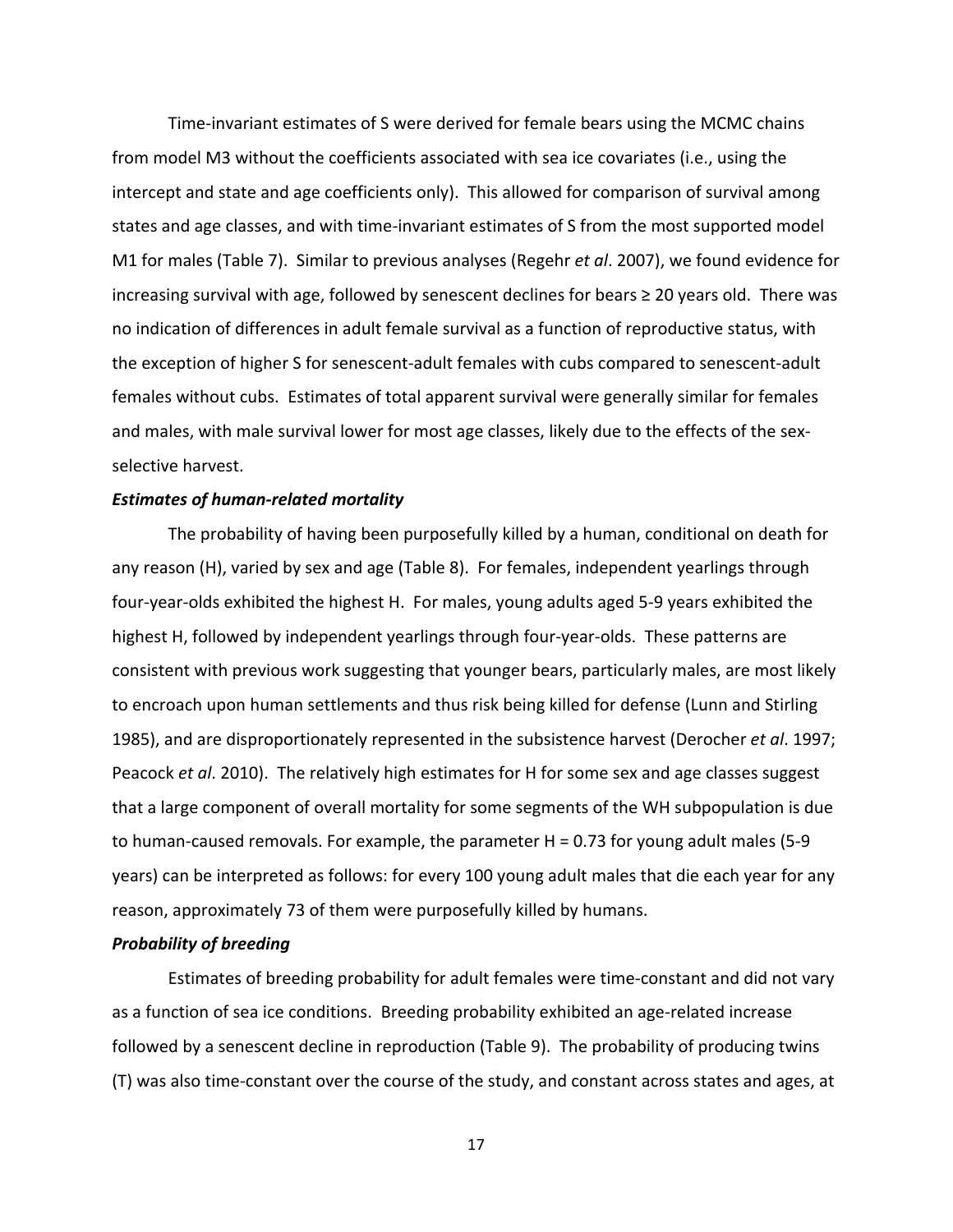Time‐invariant estimates of S were derived for female bears using the MCMC chains from model M3 without the coefficients associated with sea ice covariates (i.e., using the intercept and state and age coefficients only). This allowed for comparison of survival among states and age classes, and with time‐invariant estimates of S from the most supported model M1 for males (Table 7). Similar to previous analyses (Regehr *et al*. 2007), we found evidence for increasing survival with age, followed by senescent declines for bears  $\geq 20$  years old. There was no indication of differences in adult female survival as a function of reproductive status, with the exception of higher S for senescent‐adult females with cubs compared to senescent‐adult females without cubs. Estimates of total apparent survival were generally similar for females and males, with male survival lower for most age classes, likely due to the effects of the sexselective harvest.

#### *Estimates of human‐related mortality*

The probability of having been purposefully killed by a human, conditional on death for any reason (H), varied by sex and age (Table 8). For females, independent yearlings through four‐year‐olds exhibited the highest H. For males, young adults aged 5‐9 years exhibited the highest H, followed by independent yearlings through four-year-olds. These patterns are consistent with previous work suggesting that younger bears, particularly males, are most likely to encroach upon human settlements and thus risk being killed for defense (Lunn and Stirling 1985), and are disproportionately represented in the subsistence harvest (Derocher *et al*. 1997; Peacock *et al*. 2010). The relatively high estimates for H for some sex and age classes suggest that a large component of overall mortality for some segments of the WH subpopulation is due to human‐caused removals. For example, the parameter H = 0.73 for young adult males (5‐9 years) can be interpreted as follows: for every 100 young adult males that die each year for any reason, approximately 73 of them were purposefully killed by humans.

#### *Probability of breeding*

Estimates of breeding probability for adult females were time‐constant and did not vary as a function of sea ice conditions. Breeding probability exhibited an age-related increase followed by a senescent decline in reproduction (Table 9). The probability of producing twins (T) was also time‐constant over the course of the study, and constant across states and ages, at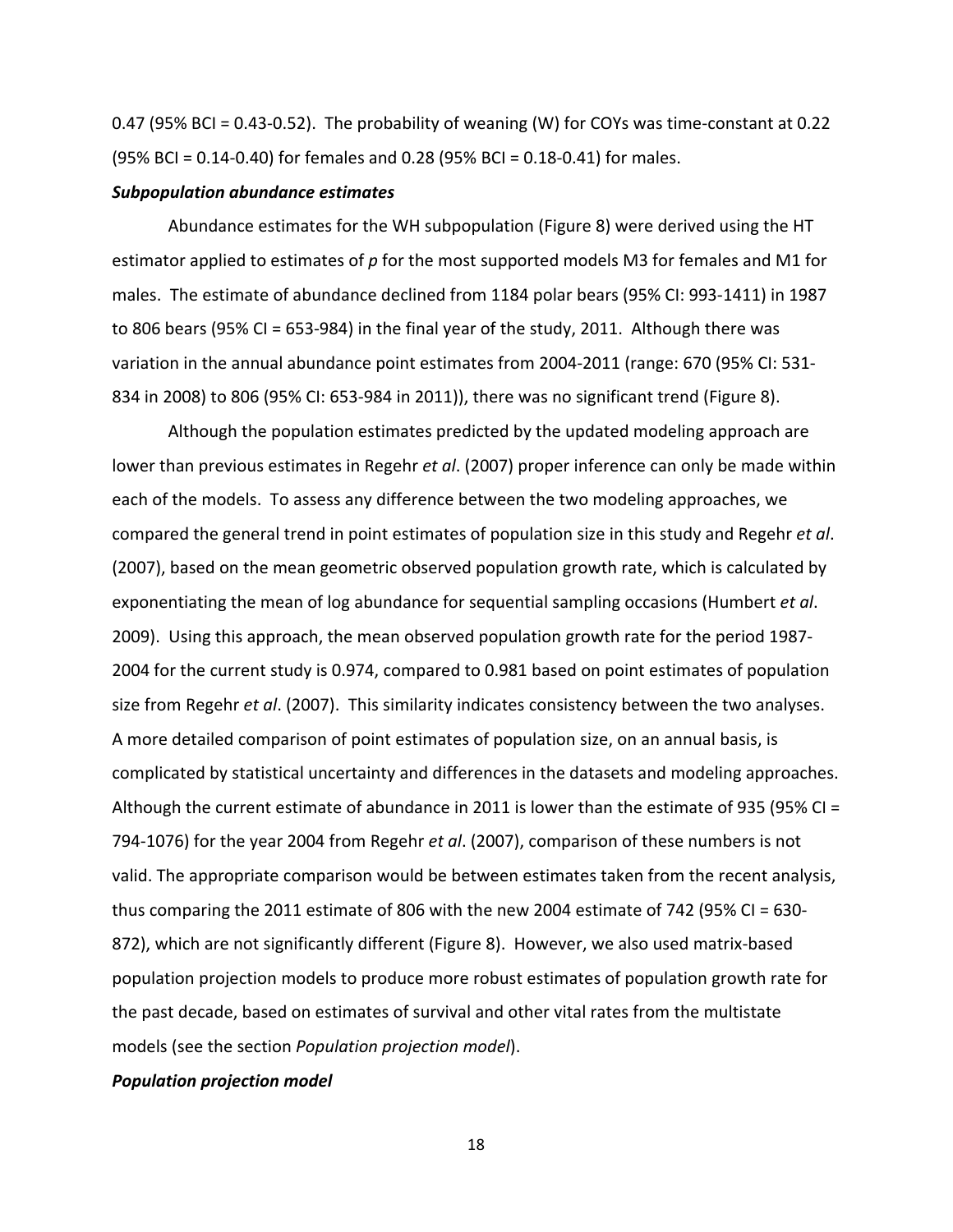0.47 (95% BCI = 0.43-0.52). The probability of weaning (W) for COYs was time-constant at 0.22 (95% BCI = 0.14‐0.40) for females and 0.28 (95% BCI = 0.18‐0.41) for males.

#### *Subpopulation abundance estimates*

Abundance estimates for the WH subpopulation (Figure 8) were derived using the HT estimator applied to estimates of *p* for the most supported models M3 for females and M1 for males. The estimate of abundance declined from 1184 polar bears (95% CI: 993‐1411) in 1987 to 806 bears (95% CI = 653‐984) in the final year of the study, 2011. Although there was variation in the annual abundance point estimates from 2004‐2011 (range: 670 (95% CI: 531‐ 834 in 2008) to 806 (95% CI: 653‐984 in 2011)), there was no significant trend (Figure 8).

Although the population estimates predicted by the updated modeling approach are lower than previous estimates in Regehr *et al*. (2007) proper inference can only be made within each of the models. To assess any difference between the two modeling approaches, we compared the general trend in point estimates of population size in this study and Regehr *et al*. (2007), based on the mean geometric observed population growth rate, which is calculated by exponentiating the mean of log abundance for sequential sampling occasions (Humbert *et al*. 2009). Using this approach, the mean observed population growth rate for the period 1987‐ 2004 for the current study is 0.974, compared to 0.981 based on point estimates of population size from Regehr *et al*. (2007). This similarity indicates consistency between the two analyses. A more detailed comparison of point estimates of population size, on an annual basis, is complicated by statistical uncertainty and differences in the datasets and modeling approaches. Although the current estimate of abundance in 2011 is lower than the estimate of 935 (95% CI = 794‐1076) for the year 2004 from Regehr *et al*. (2007), comparison of these numbers is not valid. The appropriate comparison would be between estimates taken from the recent analysis, thus comparing the 2011 estimate of 806 with the new 2004 estimate of 742 (95% CI = 630-872), which are not significantly different (Figure 8). However, we also used matrix‐based population projection models to produce more robust estimates of population growth rate for the past decade, based on estimates of survival and other vital rates from the multistate models (see the section *Population projection model*).

# *Population projection model*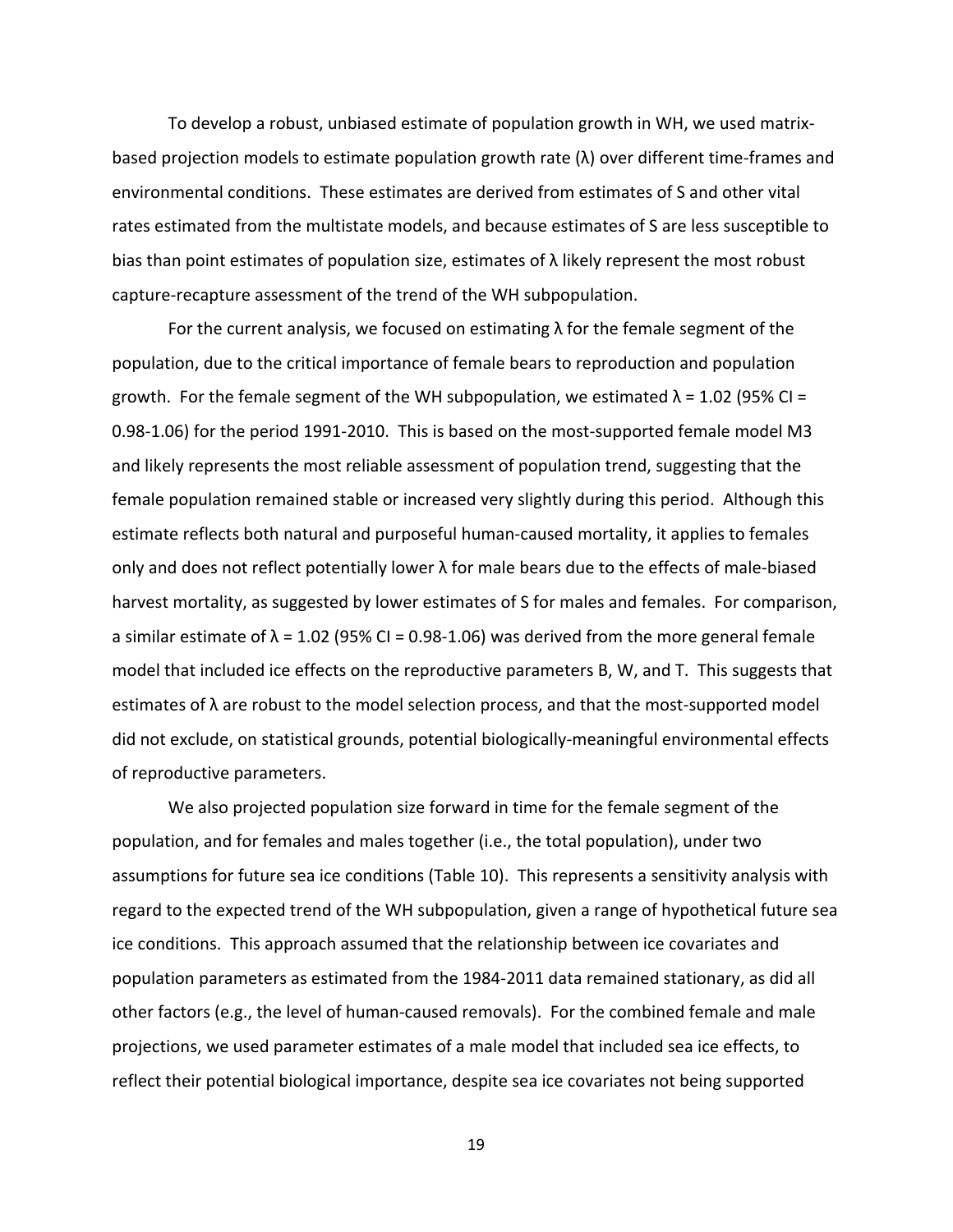To develop a robust, unbiased estimate of population growth in WH, we used matrix‐ based projection models to estimate population growth rate  $(\lambda)$  over different time-frames and environmental conditions. These estimates are derived from estimates of S and other vital rates estimated from the multistate models, and because estimates of S are less susceptible to bias than point estimates of population size, estimates of  $\lambda$  likely represent the most robust capture‐recapture assessment of the trend of the WH subpopulation.

For the current analysis, we focused on estimating  $\lambda$  for the female segment of the population, due to the critical importance of female bears to reproduction and population growth. For the female segment of the WH subpopulation, we estimated  $\lambda$  = 1.02 (95% CI = 0.98‐1.06) for the period 1991‐2010. This is based on the most‐supported female model M3 and likely represents the most reliable assessment of population trend, suggesting that the female population remained stable or increased very slightly during this period. Although this estimate reflects both natural and purposeful human‐caused mortality, it applies to females only and does not reflect potentially lower  $\lambda$  for male bears due to the effects of male-biased harvest mortality, as suggested by lower estimates of S for males and females. For comparison, a similar estimate of  $\lambda$  = 1.02 (95% CI = 0.98-1.06) was derived from the more general female model that included ice effects on the reproductive parameters B, W, and T. This suggests that estimates of  $\lambda$  are robust to the model selection process, and that the most-supported model did not exclude, on statistical grounds, potential biologically‐meaningful environmental effects of reproductive parameters.

We also projected population size forward in time for the female segment of the population, and for females and males together (i.e., the total population), under two assumptions for future sea ice conditions (Table 10). This represents a sensitivity analysis with regard to the expected trend of the WH subpopulation, given a range of hypothetical future sea ice conditions. This approach assumed that the relationship between ice covariates and population parameters as estimated from the 1984‐2011 data remained stationary, as did all other factors (e.g., the level of human‐caused removals). For the combined female and male projections, we used parameter estimates of a male model that included sea ice effects, to reflect their potential biological importance, despite sea ice covariates not being supported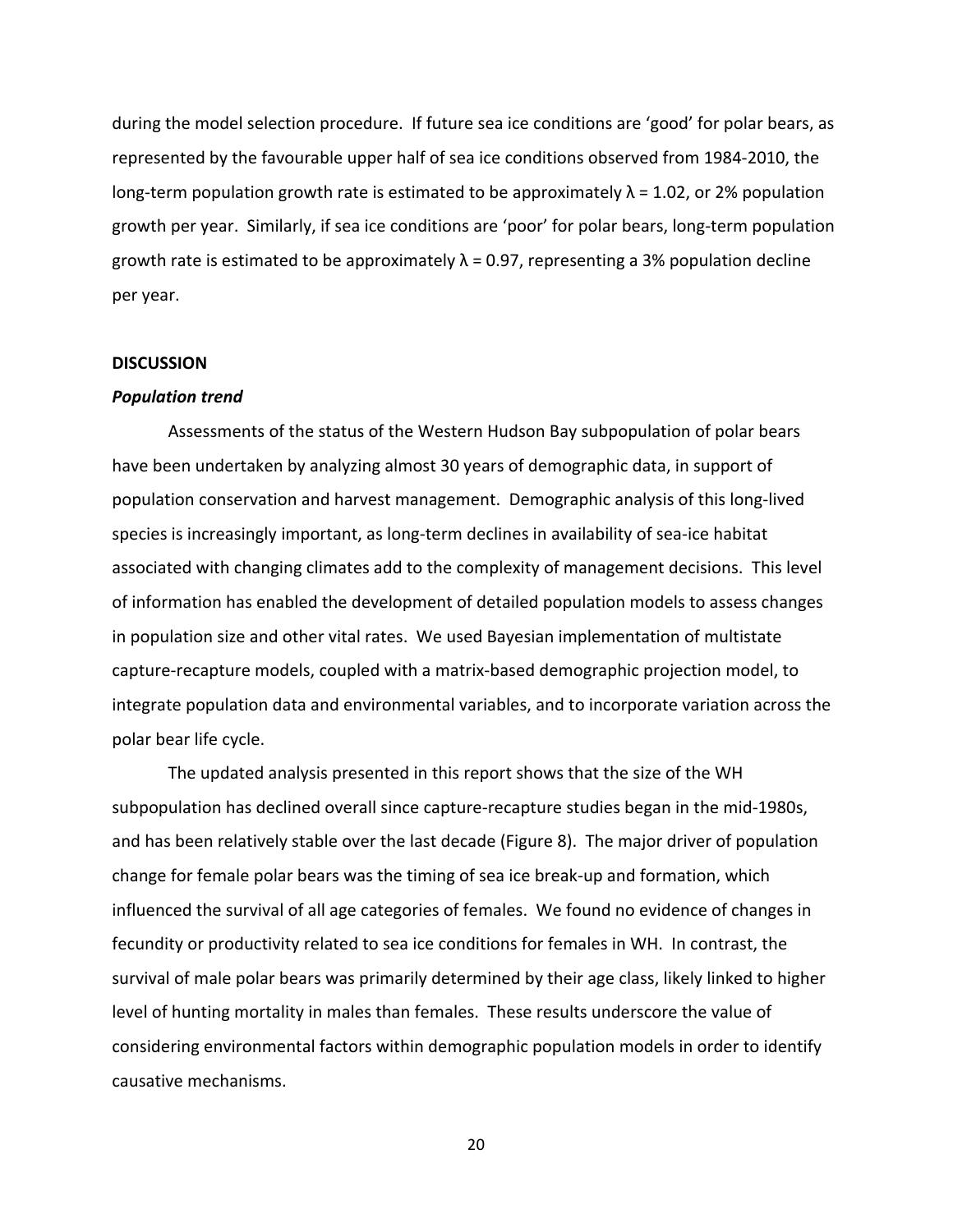during the model selection procedure. If future sea ice conditions are 'good' for polar bears, as represented by the favourable upper half of sea ice conditions observed from 1984‐2010, the long-term population growth rate is estimated to be approximately  $\lambda = 1.02$ , or 2% population growth per year. Similarly, if sea ice conditions are 'poor' for polar bears, long‐term population growth rate is estimated to be approximately  $\lambda$  = 0.97, representing a 3% population decline per year.

# **DISCUSSION**

#### *Population trend*

Assessments of the status of the Western Hudson Bay subpopulation of polar bears have been undertaken by analyzing almost 30 years of demographic data, in support of population conservation and harvest management. Demographic analysis of this long‐lived species is increasingly important, as long-term declines in availability of sea-ice habitat associated with changing climates add to the complexity of management decisions. This level of information has enabled the development of detailed population models to assess changes in population size and other vital rates. We used Bayesian implementation of multistate capture‐recapture models, coupled with a matrix‐based demographic projection model, to integrate population data and environmental variables, and to incorporate variation across the polar bear life cycle.

The updated analysis presented in this report shows that the size of the WH subpopulation has declined overall since capture‐recapture studies began in the mid‐1980s, and has been relatively stable over the last decade (Figure 8). The major driver of population change for female polar bears was the timing of sea ice break‐up and formation, which influenced the survival of all age categories of females. We found no evidence of changes in fecundity or productivity related to sea ice conditions for females in WH. In contrast, the survival of male polar bears was primarily determined by their age class, likely linked to higher level of hunting mortality in males than females. These results underscore the value of considering environmental factors within demographic population models in order to identify causative mechanisms.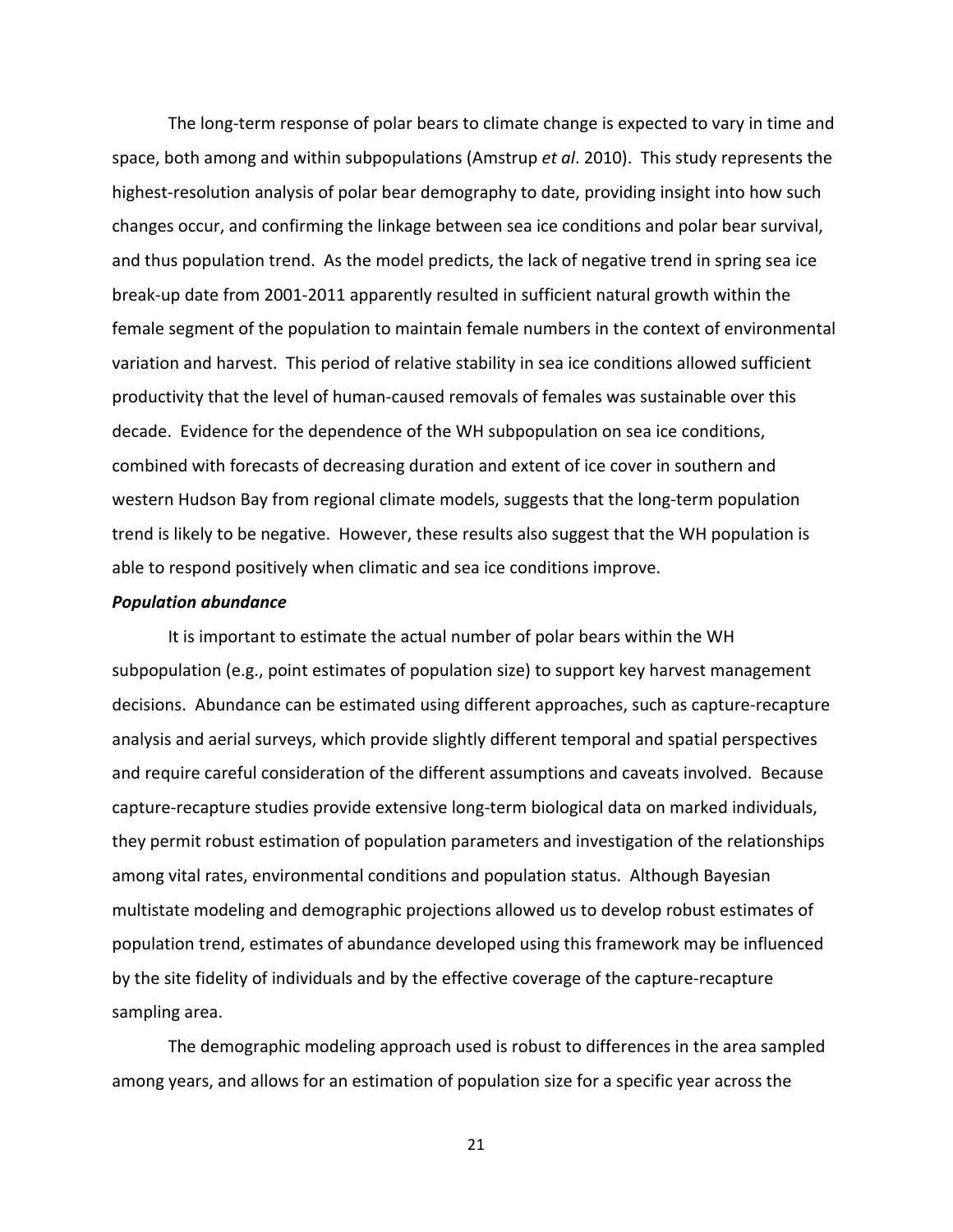The long‐term response of polar bears to climate change is expected to vary in time and space, both among and within subpopulations (Amstrup *et al*. 2010). This study represents the highest-resolution analysis of polar bear demography to date, providing insight into how such changes occur, and confirming the linkage between sea ice conditions and polar bear survival, and thus population trend. As the model predicts, the lack of negative trend in spring sea ice break‐up date from 2001‐2011 apparently resulted in sufficient natural growth within the female segment of the population to maintain female numbers in the context of environmental variation and harvest. This period of relative stability in sea ice conditions allowed sufficient productivity that the level of human‐caused removals of females was sustainable over this decade. Evidence for the dependence of the WH subpopulation on sea ice conditions, combined with forecasts of decreasing duration and extent of ice cover in southern and western Hudson Bay from regional climate models, suggests that the long-term population trend is likely to be negative. However, these results also suggest that the WH population is able to respond positively when climatic and sea ice conditions improve.

# *Population abundance*

It is important to estimate the actual number of polar bears within the WH subpopulation (e.g., point estimates of population size) to support key harvest management decisions. Abundance can be estimated using different approaches, such as capture‐recapture analysis and aerial surveys, which provide slightly different temporal and spatial perspectives and require careful consideration of the different assumptions and caveats involved. Because capture‐recapture studies provide extensive long‐term biological data on marked individuals, they permit robust estimation of population parameters and investigation of the relationships among vital rates, environmental conditions and population status. Although Bayesian multistate modeling and demographic projections allowed us to develop robust estimates of population trend, estimates of abundance developed using this framework may be influenced by the site fidelity of individuals and by the effective coverage of the capture‐recapture sampling area.

The demographic modeling approach used is robust to differences in the area sampled among years, and allows for an estimation of population size for a specific year across the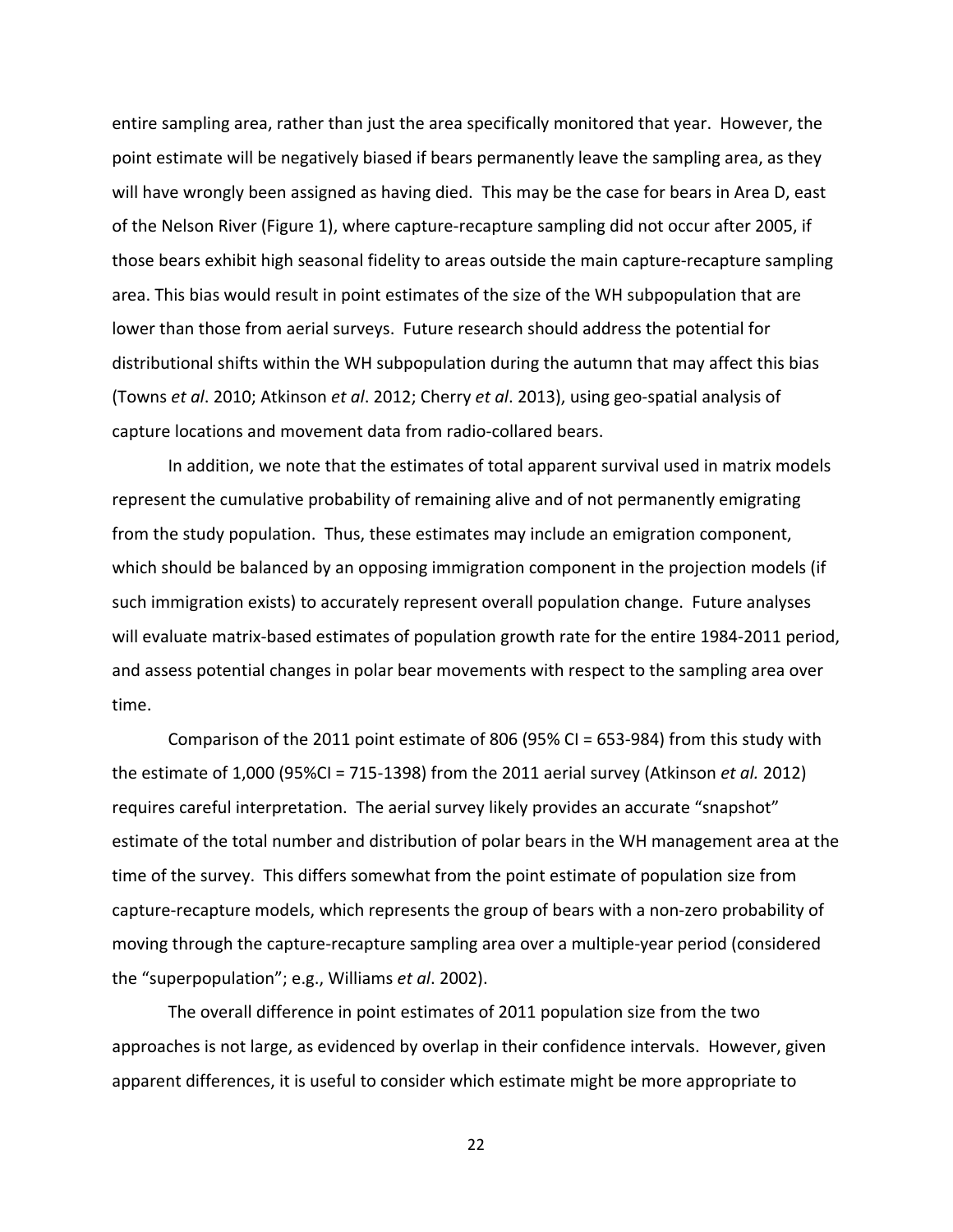entire sampling area, rather than just the area specifically monitored that year. However, the point estimate will be negatively biased if bears permanently leave the sampling area, as they will have wrongly been assigned as having died. This may be the case for bears in Area D, east of the Nelson River (Figure 1), where capture‐recapture sampling did not occur after 2005, if those bears exhibit high seasonal fidelity to areas outside the main capture‐recapture sampling area. This bias would result in point estimates of the size of the WH subpopulation that are lower than those from aerial surveys. Future research should address the potential for distributional shifts within the WH subpopulation during the autumn that may affect this bias (Towns *et al*. 2010; Atkinson *et al*. 2012; Cherry *et al*. 2013), using geo‐spatial analysis of capture locations and movement data from radio‐collared bears.

In addition, we note that the estimates of total apparent survival used in matrix models represent the cumulative probability of remaining alive and of not permanently emigrating from the study population. Thus, these estimates may include an emigration component, which should be balanced by an opposing immigration component in the projection models (if such immigration exists) to accurately represent overall population change. Future analyses will evaluate matrix-based estimates of population growth rate for the entire 1984-2011 period, and assess potential changes in polar bear movements with respect to the sampling area over time.

Comparison of the 2011 point estimate of 806 (95% CI = 653‐984) from this study with the estimate of 1,000 (95%CI = 715‐1398) from the 2011 aerial survey (Atkinson *et al.* 2012) requires careful interpretation. The aerial survey likely provides an accurate "snapshot" estimate of the total number and distribution of polar bears in the WH management area at the time of the survey. This differs somewhat from the point estimate of population size from capture‐recapture models, which represents the group of bears with a non‐zero probability of moving through the capture‐recapture sampling area over a multiple‐year period (considered the "superpopulation"; e.g., Williams *et al*. 2002).

The overall difference in point estimates of 2011 population size from the two approaches is not large, as evidenced by overlap in their confidence intervals. However, given apparent differences, it is useful to consider which estimate might be more appropriate to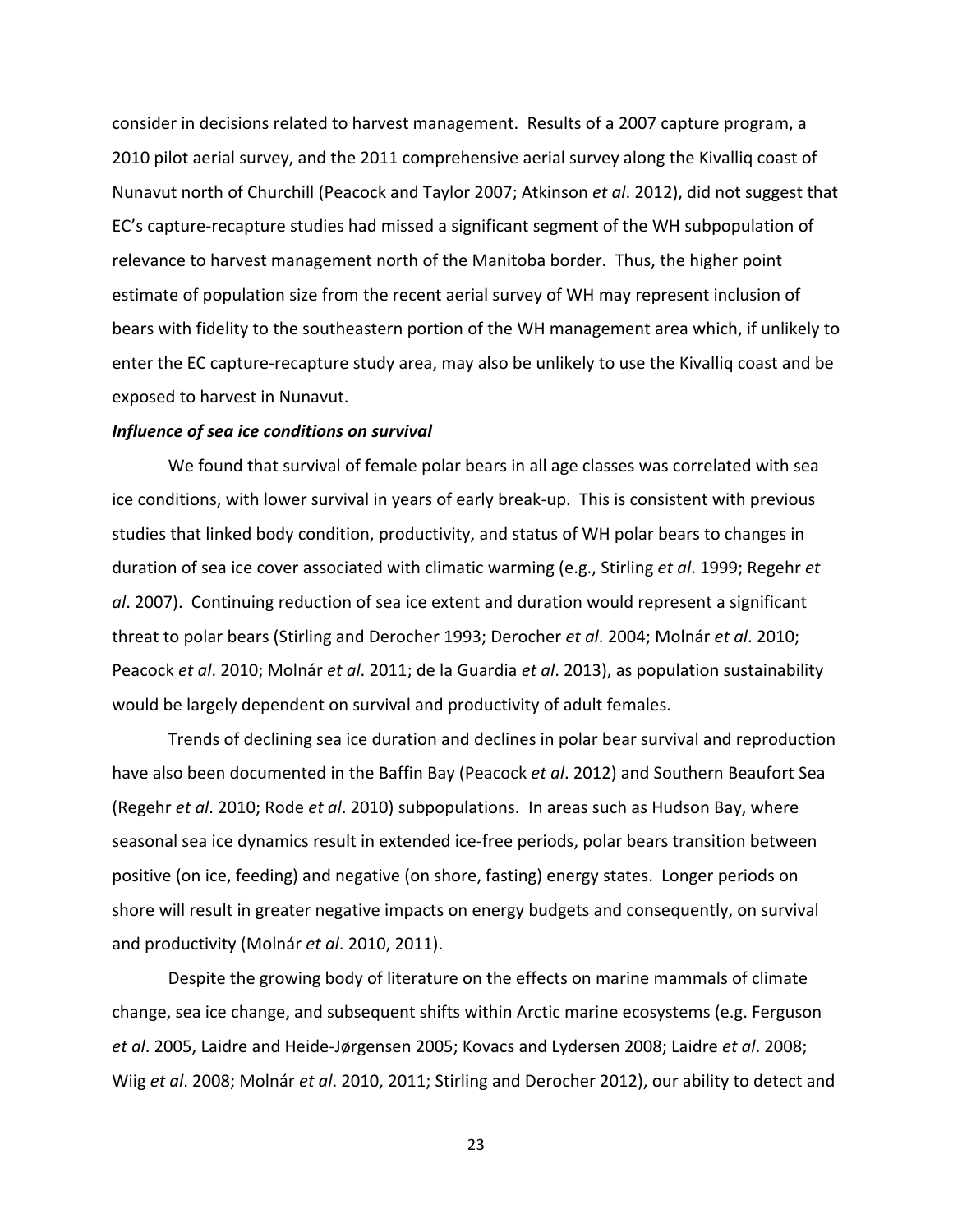consider in decisions related to harvest management. Results of a 2007 capture program, a 2010 pilot aerial survey, and the 2011 comprehensive aerial survey along the Kivalliq coast of Nunavut north of Churchill (Peacock and Taylor 2007; Atkinson *et al*. 2012), did not suggest that EC's capture‐recapture studies had missed a significant segment of the WH subpopulation of relevance to harvest management north of the Manitoba border. Thus, the higher point estimate of population size from the recent aerial survey of WH may represent inclusion of bears with fidelity to the southeastern portion of the WH management area which, if unlikely to enter the EC capture‐recapture study area, may also be unlikely to use the Kivalliq coast and be exposed to harvest in Nunavut.

#### *Influence of sea ice conditions on survival*

We found that survival of female polar bears in all age classes was correlated with sea ice conditions, with lower survival in years of early break‐up. This is consistent with previous studies that linked body condition, productivity, and status of WH polar bears to changes in duration of sea ice cover associated with climatic warming (e.g., Stirling *et al*. 1999; Regehr *et al*. 2007). Continuing reduction of sea ice extent and duration would represent a significant threat to polar bears (Stirling and Derocher 1993; Derocher *et al*. 2004; Molnár *et al*. 2010; Peacock *et al*. 2010; Molnár *et al*. 2011; de la Guardia *et al*. 2013), as population sustainability would be largely dependent on survival and productivity of adult females.

Trends of declining sea ice duration and declines in polar bear survival and reproduction have also been documented in the Baffin Bay (Peacock *et al*. 2012) and Southern Beaufort Sea (Regehr *et al*. 2010; Rode *et al*. 2010) subpopulations. In areas such as Hudson Bay, where seasonal sea ice dynamics result in extended ice‐free periods, polar bears transition between positive (on ice, feeding) and negative (on shore, fasting) energy states. Longer periods on shore will result in greater negative impacts on energy budgets and consequently, on survival and productivity (Molnár *et al*. 2010, 2011).

Despite the growing body of literature on the effects on marine mammals of climate change, sea ice change, and subsequent shifts within Arctic marine ecosystems (e.g. Ferguson *et al*. 2005, Laidre and Heide‐Jørgensen 2005; Kovacs and Lydersen 2008; Laidre *et al*. 2008; Wiig *et al*. 2008; Molnár *et al*. 2010, 2011; Stirling and Derocher 2012), our ability to detect and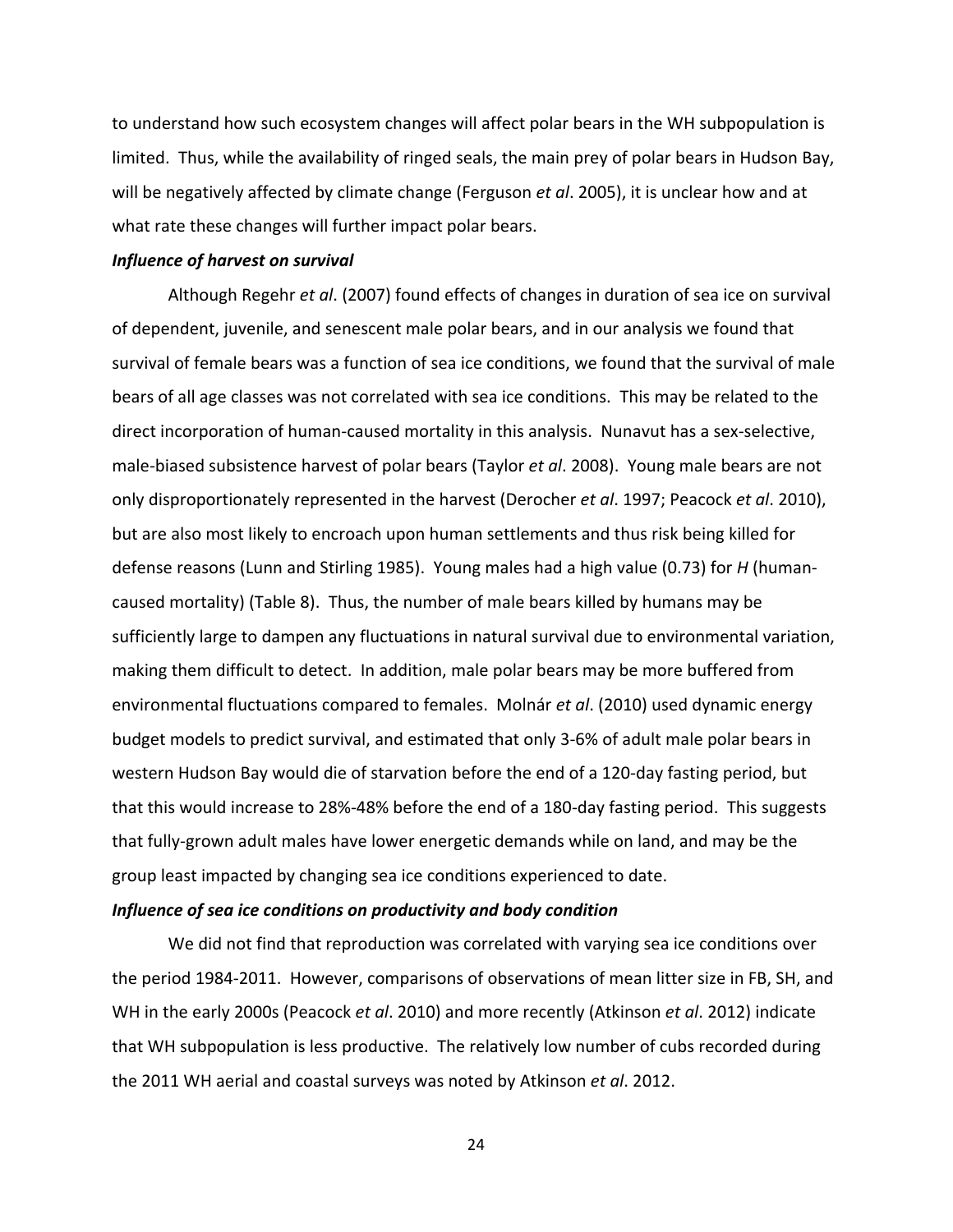to understand how such ecosystem changes will affect polar bears in the WH subpopulation is limited. Thus, while the availability of ringed seals, the main prey of polar bears in Hudson Bay, will be negatively affected by climate change (Ferguson *et al*. 2005), it is unclear how and at what rate these changes will further impact polar bears.

# *Influence of harvest on survival*

Although Regehr *et al*. (2007) found effects of changes in duration of sea ice on survival of dependent, juvenile, and senescent male polar bears, and in our analysis we found that survival of female bears was a function of sea ice conditions, we found that the survival of male bears of all age classes was not correlated with sea ice conditions. This may be related to the direct incorporation of human-caused mortality in this analysis. Nunavut has a sex-selective, male‐biased subsistence harvest of polar bears (Taylor *et al*. 2008). Young male bears are not only disproportionately represented in the harvest (Derocher *et al*. 1997; Peacock *et al*. 2010), but are also most likely to encroach upon human settlements and thus risk being killed for defense reasons (Lunn and Stirling 1985). Young males had a high value (0.73) for *H* (human‐ caused mortality) (Table 8). Thus, the number of male bears killed by humans may be sufficiently large to dampen any fluctuations in natural survival due to environmental variation, making them difficult to detect. In addition, male polar bears may be more buffered from environmental fluctuations compared to females. Molnár *et al*. (2010) used dynamic energy budget models to predict survival, and estimated that only 3‐6% of adult male polar bears in western Hudson Bay would die of starvation before the end of a 120‐day fasting period, but that this would increase to 28%‐48% before the end of a 180‐day fasting period. This suggests that fully‐grown adult males have lower energetic demands while on land, and may be the group least impacted by changing sea ice conditions experienced to date.

# *Influence of sea ice conditions on productivity and body condition*

We did not find that reproduction was correlated with varying sea ice conditions over the period 1984‐2011. However, comparisons of observations of mean litter size in FB, SH, and WH in the early 2000s (Peacock *et al*. 2010) and more recently (Atkinson *et al*. 2012) indicate that WH subpopulation is less productive. The relatively low number of cubs recorded during the 2011 WH aerial and coastal surveys was noted by Atkinson *et al*. 2012.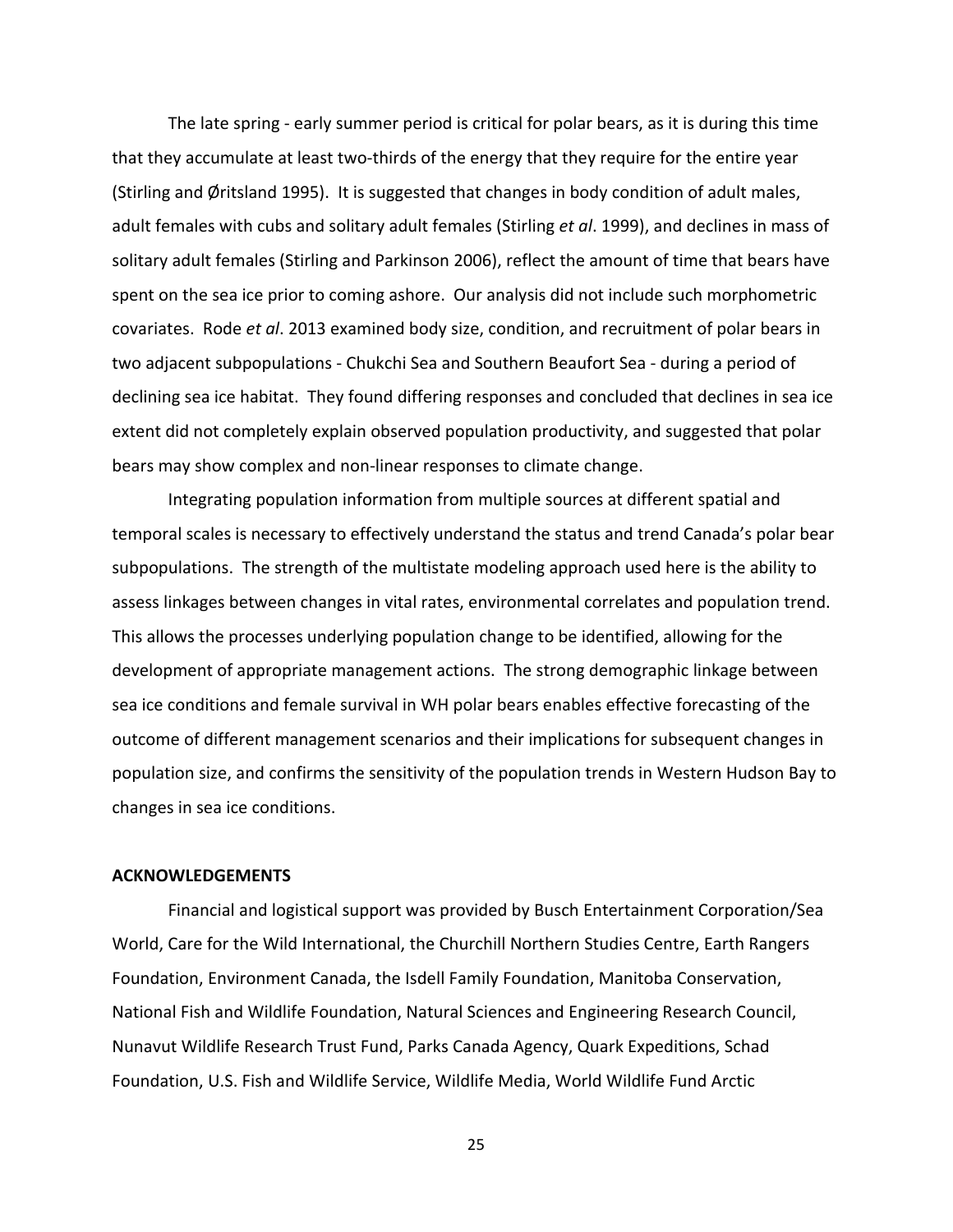The late spring ‐ early summer period is critical for polar bears, as it is during this time that they accumulate at least two-thirds of the energy that they require for the entire year (Stirling and Øritsland 1995). It is suggested that changes in body condition of adult males, adult females with cubs and solitary adult females (Stirling *et al*. 1999), and declines in mass of solitary adult females (Stirling and Parkinson 2006), reflect the amount of time that bears have spent on the sea ice prior to coming ashore. Our analysis did not include such morphometric covariates. Rode *et al*. 2013 examined body size, condition, and recruitment of polar bears in two adjacent subpopulations ‐ Chukchi Sea and Southern Beaufort Sea ‐ during a period of declining sea ice habitat. They found differing responses and concluded that declines in sea ice extent did not completely explain observed population productivity, and suggested that polar bears may show complex and non‐linear responses to climate change.

Integrating population information from multiple sources at different spatial and temporal scales is necessary to effectively understand the status and trend Canada's polar bear subpopulations. The strength of the multistate modeling approach used here is the ability to assess linkages between changes in vital rates, environmental correlates and population trend. This allows the processes underlying population change to be identified, allowing for the development of appropriate management actions. The strong demographic linkage between sea ice conditions and female survival in WH polar bears enables effective forecasting of the outcome of different management scenarios and their implications for subsequent changes in population size, and confirms the sensitivity of the population trends in Western Hudson Bay to changes in sea ice conditions.

# **ACKNOWLEDGEMENTS**

Financial and logistical support was provided by Busch Entertainment Corporation/Sea World, Care for the Wild International, the Churchill Northern Studies Centre, Earth Rangers Foundation, Environment Canada, the Isdell Family Foundation, Manitoba Conservation, National Fish and Wildlife Foundation, Natural Sciences and Engineering Research Council, Nunavut Wildlife Research Trust Fund, Parks Canada Agency, Quark Expeditions, Schad Foundation, U.S. Fish and Wildlife Service, Wildlife Media, World Wildlife Fund Arctic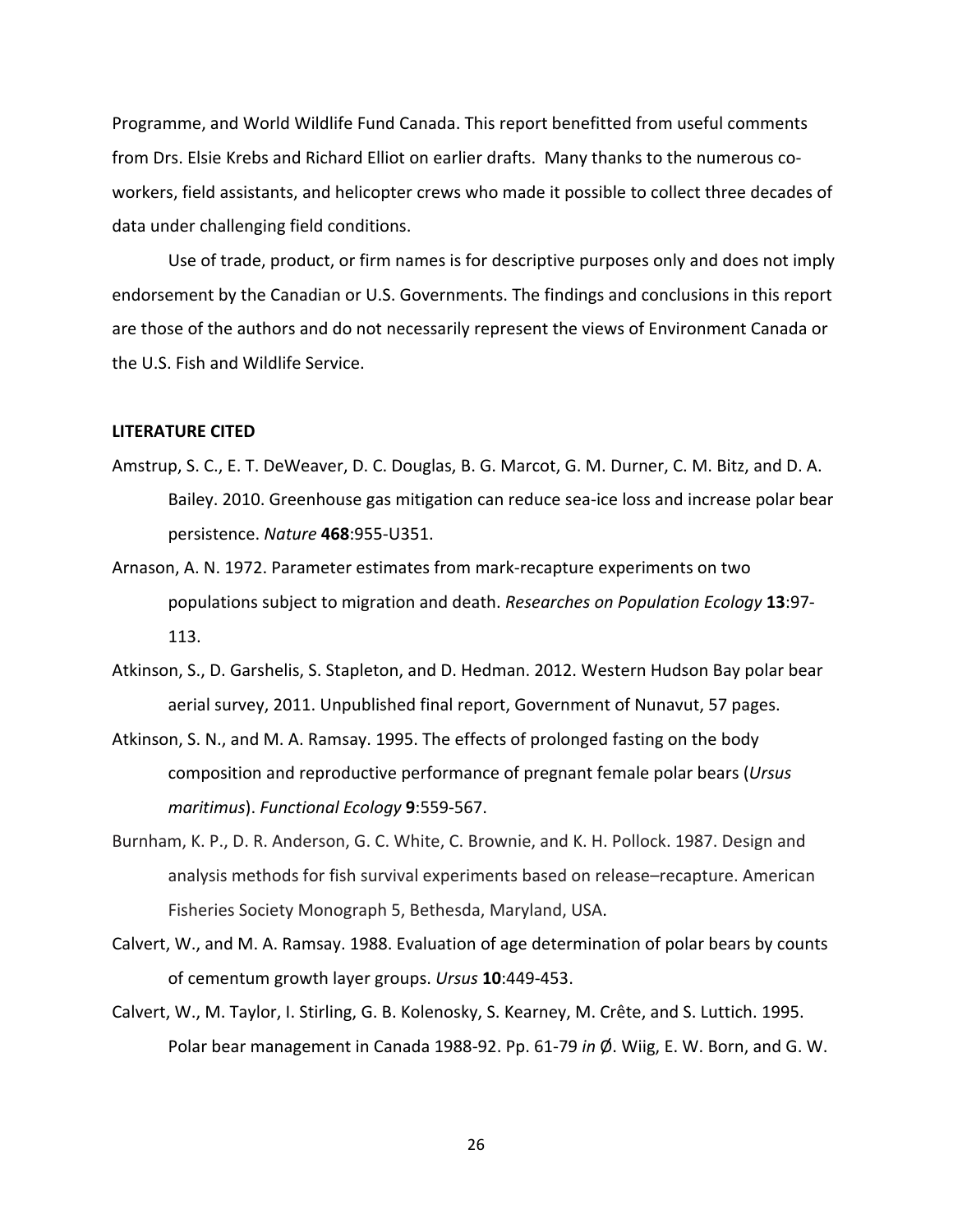Programme, and World Wildlife Fund Canada. This report benefitted from useful comments from Drs. Elsie Krebs and Richard Elliot on earlier drafts. Many thanks to the numerous co‐ workers, field assistants, and helicopter crews who made it possible to collect three decades of data under challenging field conditions.

Use of trade, product, or firm names is for descriptive purposes only and does not imply endorsement by the Canadian or U.S. Governments. The findings and conclusions in this report are those of the authors and do not necessarily represent the views of Environment Canada or the U.S. Fish and Wildlife Service.

## **LITERATURE CITED**

- Amstrup, S. C., E. T. DeWeaver, D. C. Douglas, B. G. Marcot, G. M. Durner, C. M. Bitz, and D. A. Bailey. 2010. Greenhouse gas mitigation can reduce sea‐ice loss and increase polar bear persistence. *Nature* **468**:955‐U351.
- Arnason, A. N. 1972. Parameter estimates from mark‐recapture experiments on two populations subject to migration and death. *Researches on Population Ecology* **13**:97‐ 113.
- Atkinson, S., D. Garshelis, S. Stapleton, and D. Hedman. 2012. Western Hudson Bay polar bear aerial survey, 2011. Unpublished final report, Government of Nunavut, 57 pages.
- Atkinson, S. N., and M. A. Ramsay. 1995. The effects of prolonged fasting on the body composition and reproductive performance of pregnant female polar bears (*Ursus maritimus*). *Functional Ecology* **9**:559‐567.
- Burnham, K. P., D. R. Anderson, G. C. White, C. Brownie, and K. H. Pollock. 1987. Design and analysis methods for fish survival experiments based on release–recapture. American Fisheries Society Monograph 5, Bethesda, Maryland, USA.
- Calvert, W., and M. A. Ramsay. 1988. Evaluation of age determination of polar bears by counts of cementum growth layer groups. *Ursus* **10**:449‐453.
- Calvert, W., M. Taylor, I. Stirling, G. B. Kolenosky, S. Kearney, M. Crête, and S. Luttich. 1995. Polar bear management in Canada 1988‐92. Pp. 61‐79 *in* Ø. Wiig, E. W. Born, and G. W.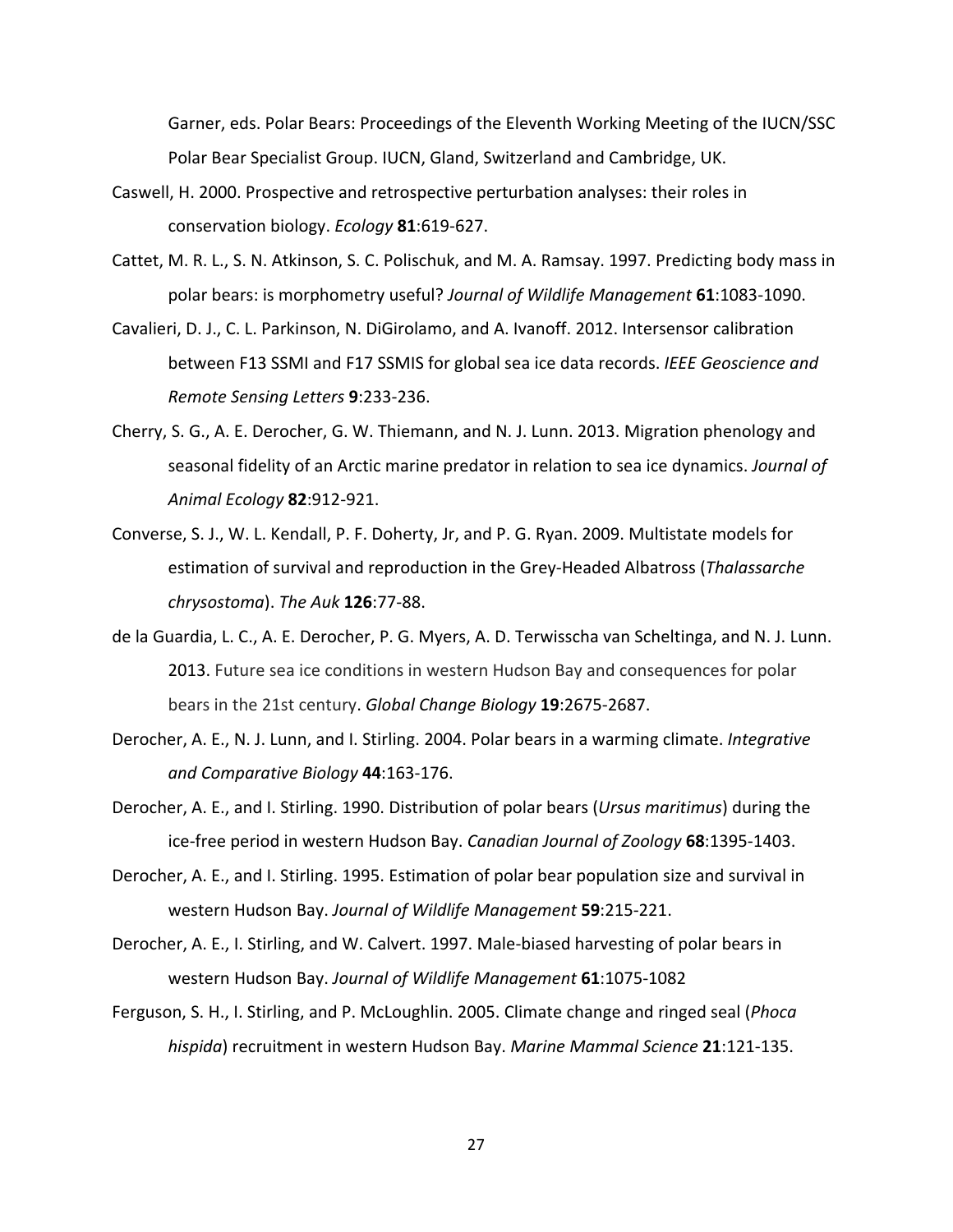Garner, eds. Polar Bears: Proceedings of the Eleventh Working Meeting of the IUCN/SSC Polar Bear Specialist Group. IUCN, Gland, Switzerland and Cambridge, UK.

- Caswell, H. 2000. Prospective and retrospective perturbation analyses: their roles in conservation biology. *Ecology* **81**:619‐627.
- Cattet, M. R. L., S. N. Atkinson, S. C. Polischuk, and M. A. Ramsay. 1997. Predicting body mass in polar bears: is morphometry useful? *Journal of Wildlife Management* **61**:1083‐1090.
- Cavalieri, D. J., C. L. Parkinson, N. DiGirolamo, and A. Ivanoff. 2012. Intersensor calibration between F13 SSMI and F17 SSMIS for global sea ice data records. *IEEE Geoscience and Remote Sensing Letters* **9**:233‐236.
- Cherry, S. G., A. E. Derocher, G. W. Thiemann, and N. J. Lunn. 2013. Migration phenology and seasonal fidelity of an Arctic marine predator in relation to sea ice dynamics. *Journal of Animal Ecology* **82**:912‐921.
- Converse, S. J., W. L. Kendall, P. F. Doherty, Jr, and P. G. Ryan. 2009. Multistate models for estimation of survival and reproduction in the Grey‐Headed Albatross (*Thalassarche chrysostoma*). *The Auk* **126**:77‐88.
- de la Guardia, L. C., A. E. Derocher, P. G. Myers, A. D. Terwisscha van Scheltinga, and N. J. Lunn. 2013. Future sea ice conditions in western Hudson Bay and consequences for polar bears in the 21st century. *Global Change Biology* **19**:2675‐2687.
- Derocher, A. E., N. J. Lunn, and I. Stirling. 2004. Polar bears in a warming climate. *Integrative and Comparative Biology* **44**:163‐176.
- Derocher, A. E., and I. Stirling. 1990. Distribution of polar bears (*Ursus maritimus*) during the ice‐free period in western Hudson Bay. *Canadian Journal of Zoology* **68**:1395‐1403.
- Derocher, A. E., and I. Stirling. 1995. Estimation of polar bear population size and survival in western Hudson Bay. *Journal of Wildlife Management* **59**:215‐221.
- Derocher, A. E., I. Stirling, and W. Calvert. 1997. Male-biased harvesting of polar bears in western Hudson Bay. *Journal of Wildlife Management* **61**:1075‐1082
- Ferguson, S. H., I. Stirling, and P. McLoughlin. 2005. Climate change and ringed seal (*Phoca hispida*) recruitment in western Hudson Bay. *Marine Mammal Science* **21**:121‐135.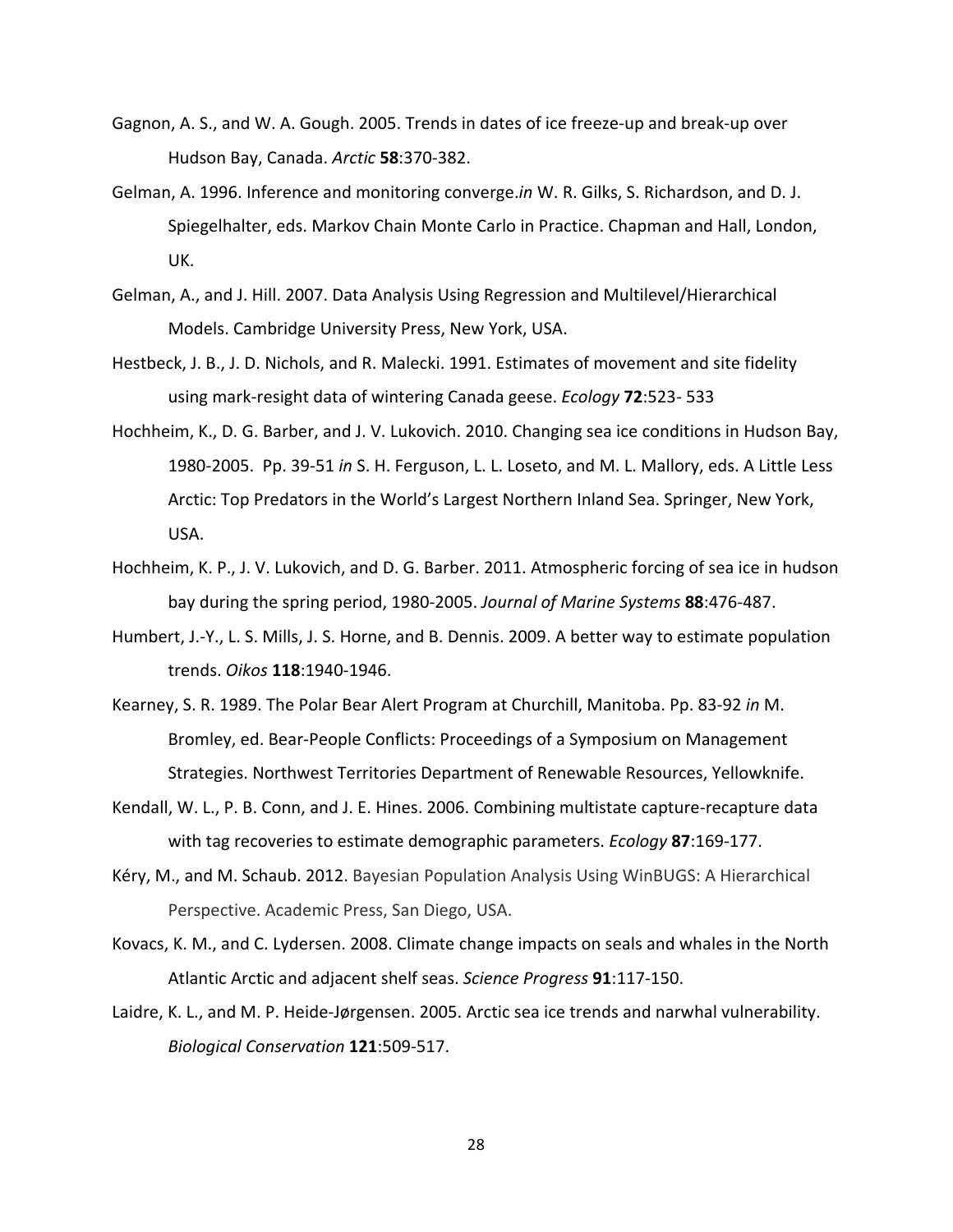- Gagnon, A. S., and W. A. Gough. 2005. Trends in dates of ice freeze‐up and break‐up over Hudson Bay, Canada. *Arctic* **58**:370‐382.
- Gelman, A. 1996. Inference and monitoring converge.*in* W. R. Gilks, S. Richardson, and D. J. Spiegelhalter, eds. Markov Chain Monte Carlo in Practice. Chapman and Hall, London, UK.
- Gelman, A., and J. Hill. 2007. Data Analysis Using Regression and Multilevel/Hierarchical Models. Cambridge University Press, New York, USA.
- Hestbeck, J. B., J. D. Nichols, and R. Malecki. 1991. Estimates of movement and site fidelity using mark‐resight data of wintering Canada geese. *Ecology* **72**:523‐ 533
- Hochheim, K., D. G. Barber, and J. V. Lukovich. 2010. Changing sea ice conditions in Hudson Bay, 1980‐2005. Pp. 39‐51 *in* S. H. Ferguson, L. L. Loseto, and M. L. Mallory, eds. A Little Less Arctic: Top Predators in the World's Largest Northern Inland Sea. Springer, New York, USA.
- Hochheim, K. P., J. V. Lukovich, and D. G. Barber. 2011. Atmospheric forcing of sea ice in hudson bay during the spring period, 1980‐2005. *Journal of Marine Systems* **88**:476‐487.
- Humbert, J.‐Y., L. S. Mills, J. S. Horne, and B. Dennis. 2009. A better way to estimate population trends. *Oikos* **118**:1940‐1946.
- Kearney, S. R. 1989. The Polar Bear Alert Program at Churchill, Manitoba. Pp. 83‐92 *in* M. Bromley, ed. Bear‐People Conflicts: Proceedings of a Symposium on Management Strategies. Northwest Territories Department of Renewable Resources, Yellowknife.
- Kendall, W. L., P. B. Conn, and J. E. Hines. 2006. Combining multistate capture‐recapture data with tag recoveries to estimate demographic parameters. *Ecology* **87**:169‐177.
- Kéry, M., and M. Schaub. 2012. Bayesian Population Analysis Using WinBUGS: A Hierarchical Perspective. Academic Press, San Diego, USA.
- Kovacs, K. M., and C. Lydersen. 2008. Climate change impacts on seals and whales in the North Atlantic Arctic and adjacent shelf seas. *Science Progress* **91**:117‐150.
- Laidre, K. L., and M. P. Heide‐Jørgensen. 2005. Arctic sea ice trends and narwhal vulnerability. *Biological Conservation* **121**:509‐517.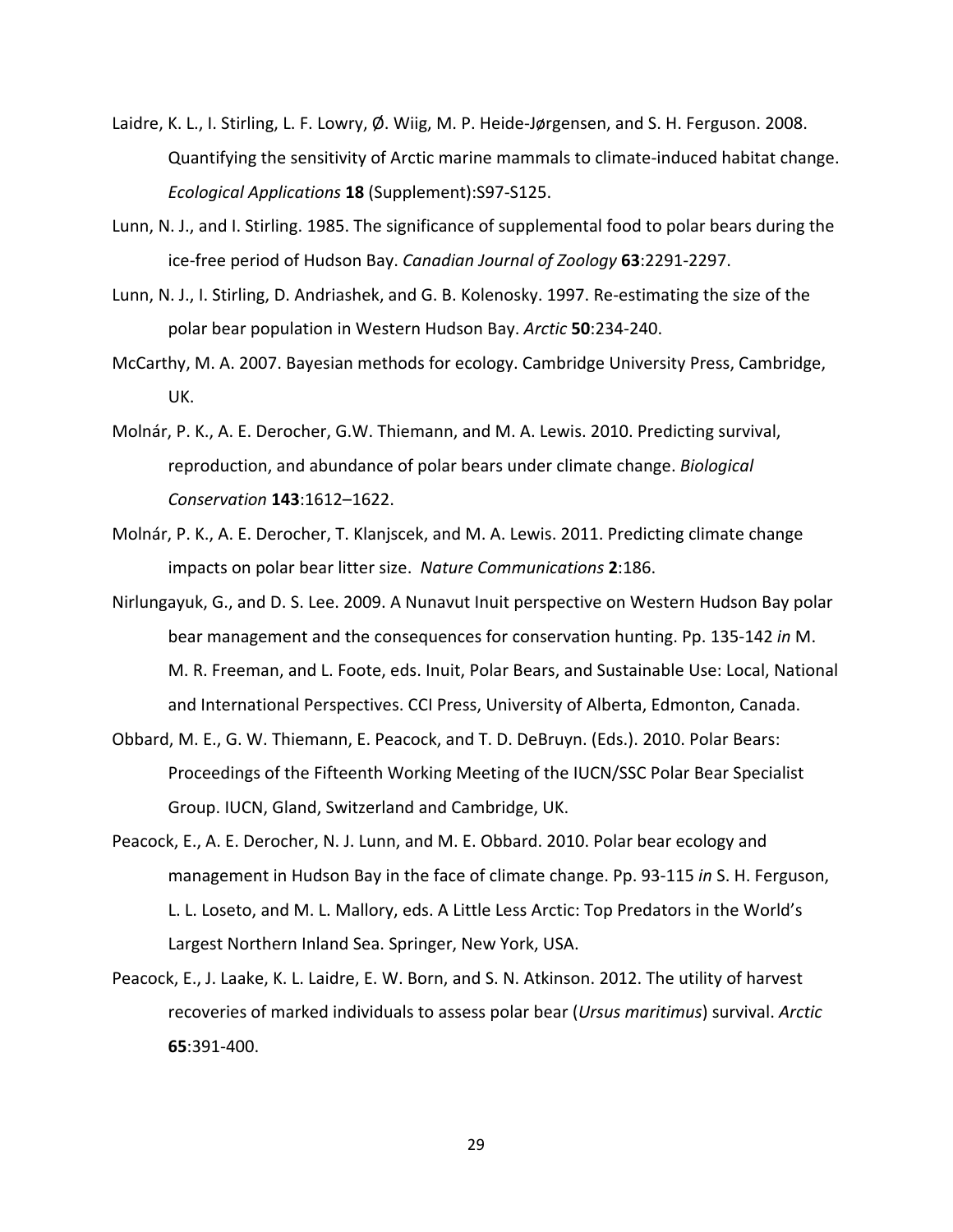- Laidre, K. L., I. Stirling, L. F. Lowry, Ø. Wiig, M. P. Heide-Jørgensen, and S. H. Ferguson. 2008. Quantifying the sensitivity of Arctic marine mammals to climate‐induced habitat change. *Ecological Applications* **18** (Supplement):S97‐S125.
- Lunn, N. J., and I. Stirling. 1985. The significance of supplemental food to polar bears during the ice‐free period of Hudson Bay. *Canadian Journal of Zoology* **63**:2291‐2297.
- Lunn, N. J., I. Stirling, D. Andriashek, and G. B. Kolenosky. 1997. Re‐estimating the size of the polar bear population in Western Hudson Bay. *Arctic* **50**:234‐240.
- McCarthy, M. A. 2007. Bayesian methods for ecology. Cambridge University Press, Cambridge, UK.
- Molnár, P. K., A. E. Derocher, G.W. Thiemann, and M. A. Lewis. 2010. Predicting survival, reproduction, and abundance of polar bears under climate change. *Biological Conservation* **143**:1612–1622.
- Molnár, P. K., A. E. Derocher, T. Klanjscek, and M. A. Lewis. 2011. Predicting climate change impacts on polar bear litter size. *Nature Communications* **2**:186.
- Nirlungayuk, G., and D. S. Lee. 2009. A Nunavut Inuit perspective on Western Hudson Bay polar bear management and the consequences for conservation hunting. Pp. 135‐142 *in* M. M. R. Freeman, and L. Foote, eds. Inuit, Polar Bears, and Sustainable Use: Local, National and International Perspectives. CCI Press, University of Alberta, Edmonton, Canada.
- Obbard, M. E., G. W. Thiemann, E. Peacock, and T. D. DeBruyn. (Eds.). 2010. Polar Bears: Proceedings of the Fifteenth Working Meeting of the IUCN/SSC Polar Bear Specialist Group. IUCN, Gland, Switzerland and Cambridge, UK.
- Peacock, E., A. E. Derocher, N. J. Lunn, and M. E. Obbard. 2010. Polar bear ecology and management in Hudson Bay in the face of climate change. Pp. 93‐115 *in* S. H. Ferguson, L. L. Loseto, and M. L. Mallory, eds. A Little Less Arctic: Top Predators in the World's Largest Northern Inland Sea. Springer, New York, USA.
- Peacock, E., J. Laake, K. L. Laidre, E. W. Born, and S. N. Atkinson. 2012. The utility of harvest recoveries of marked individuals to assess polar bear (*Ursus maritimus*) survival. *Arctic* **65**:391‐400.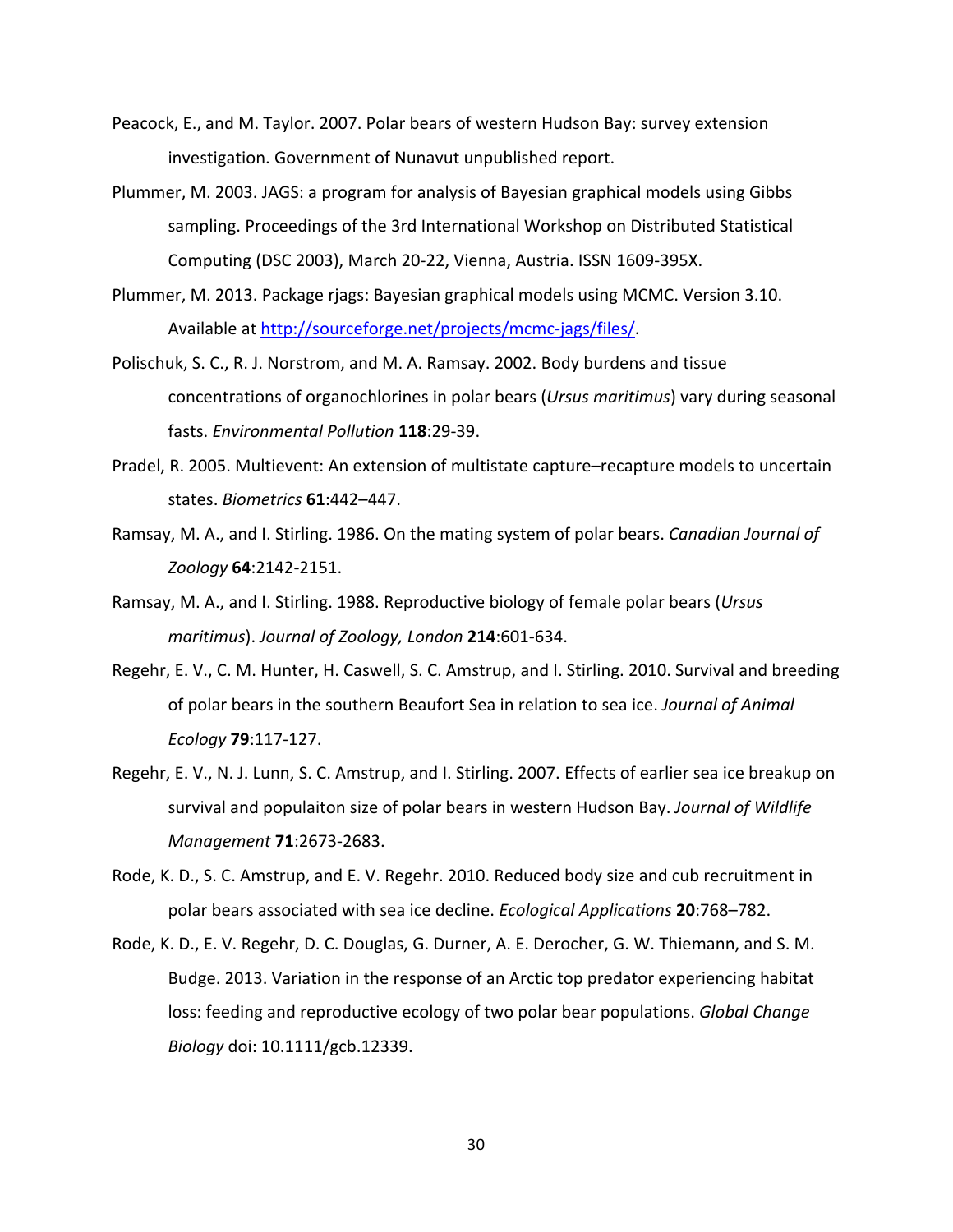- Peacock, E., and M. Taylor. 2007. Polar bears of western Hudson Bay: survey extension investigation. Government of Nunavut unpublished report.
- Plummer, M. 2003. JAGS: a program for analysis of Bayesian graphical models using Gibbs sampling. Proceedings of the 3rd International Workshop on Distributed Statistical Computing (DSC 2003), March 20‐22, Vienna, Austria. ISSN 1609‐395X.
- Plummer, M. 2013. Package rjags: Bayesian graphical models using MCMC. Version 3.10. Available at http://sourceforge.net/projects/mcmc‐jags/files/.
- Polischuk, S. C., R. J. Norstrom, and M. A. Ramsay. 2002. Body burdens and tissue concentrations of organochlorines in polar bears (*Ursus maritimus*) vary during seasonal fasts. *Environmental Pollution* **118**:29‐39.
- Pradel, R. 2005. Multievent: An extension of multistate capture–recapture models to uncertain states. *Biometrics* **61**:442–447.
- Ramsay, M. A., and I. Stirling. 1986. On the mating system of polar bears. *Canadian Journal of Zoology* **64**:2142‐2151.
- Ramsay, M. A., and I. Stirling. 1988. Reproductive biology of female polar bears (*Ursus maritimus*). *Journal of Zoology, London* **214**:601‐634.
- Regehr, E. V., C. M. Hunter, H. Caswell, S. C. Amstrup, and I. Stirling. 2010. Survival and breeding of polar bears in the southern Beaufort Sea in relation to sea ice. *Journal of Animal Ecology* **79**:117‐127.
- Regehr, E. V., N. J. Lunn, S. C. Amstrup, and I. Stirling. 2007. Effects of earlier sea ice breakup on survival and populaiton size of polar bears in western Hudson Bay. *Journal of Wildlife Management* **71**:2673‐2683.
- Rode, K. D., S. C. Amstrup, and E. V. Regehr. 2010. Reduced body size and cub recruitment in polar bears associated with sea ice decline. *Ecological Applications* **20**:768–782.
- Rode, K. D., E. V. Regehr, D. C. Douglas, G. Durner, A. E. Derocher, G. W. Thiemann, and S. M. Budge. 2013. Variation in the response of an Arctic top predator experiencing habitat loss: feeding and reproductive ecology of two polar bear populations. *Global Change Biology* doi: 10.1111/gcb.12339.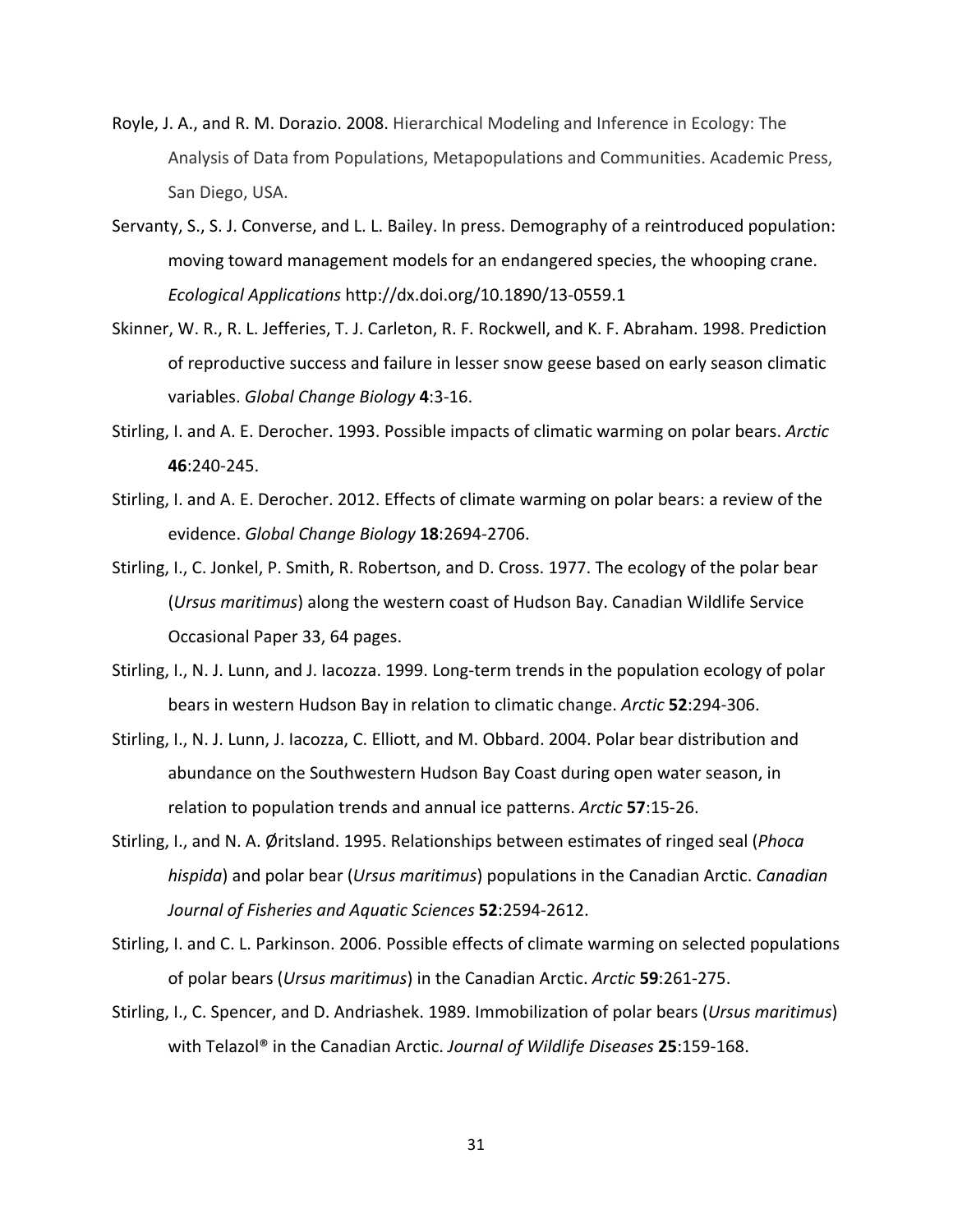- Royle, J. A., and R. M. Dorazio. 2008. Hierarchical Modeling and Inference in Ecology: The Analysis of Data from Populations, Metapopulations and Communities. Academic Press, San Diego, USA.
- Servanty, S., S. J. Converse, and L. L. Bailey. In press. Demography of a reintroduced population: moving toward management models for an endangered species, the whooping crane. *Ecological Applications* http://dx.doi.org/10.1890/13‐0559.1
- Skinner, W. R., R. L. Jefferies, T. J. Carleton, R. F. Rockwell, and K. F. Abraham. 1998. Prediction of reproductive success and failure in lesser snow geese based on early season climatic variables. *Global Change Biology* **4**:3‐16.
- Stirling, I. and A. E. Derocher. 1993. Possible impacts of climatic warming on polar bears. *Arctic* **46**:240‐245.
- Stirling, I. and A. E. Derocher. 2012. Effects of climate warming on polar bears: a review of the evidence. *Global Change Biology* **18**:2694‐2706.
- Stirling, I., C. Jonkel, P. Smith, R. Robertson, and D. Cross. 1977. The ecology of the polar bear (*Ursus maritimus*) along the western coast of Hudson Bay. Canadian Wildlife Service Occasional Paper 33, 64 pages.
- Stirling, I., N. J. Lunn, and J. Iacozza. 1999. Long-term trends in the population ecology of polar bears in western Hudson Bay in relation to climatic change. *Arctic* **52**:294‐306.
- Stirling, I., N. J. Lunn, J. Iacozza, C. Elliott, and M. Obbard. 2004. Polar bear distribution and abundance on the Southwestern Hudson Bay Coast during open water season, in relation to population trends and annual ice patterns. *Arctic* **57**:15‐26.
- Stirling, I., and N. A. Øritsland. 1995. Relationships between estimates of ringed seal (*Phoca hispida*) and polar bear (*Ursus maritimus*) populations in the Canadian Arctic. *Canadian Journal of Fisheries and Aquatic Sciences* **52**:2594‐2612.
- Stirling, I. and C. L. Parkinson. 2006. Possible effects of climate warming on selected populations of polar bears (*Ursus maritimus*) in the Canadian Arctic. *Arctic* **59**:261‐275.
- Stirling, I., C. Spencer, and D. Andriashek. 1989. Immobilization of polar bears (*Ursus maritimus*) with Telazol® in the Canadian Arctic. *Journal of Wildlife Diseases* **25**:159‐168.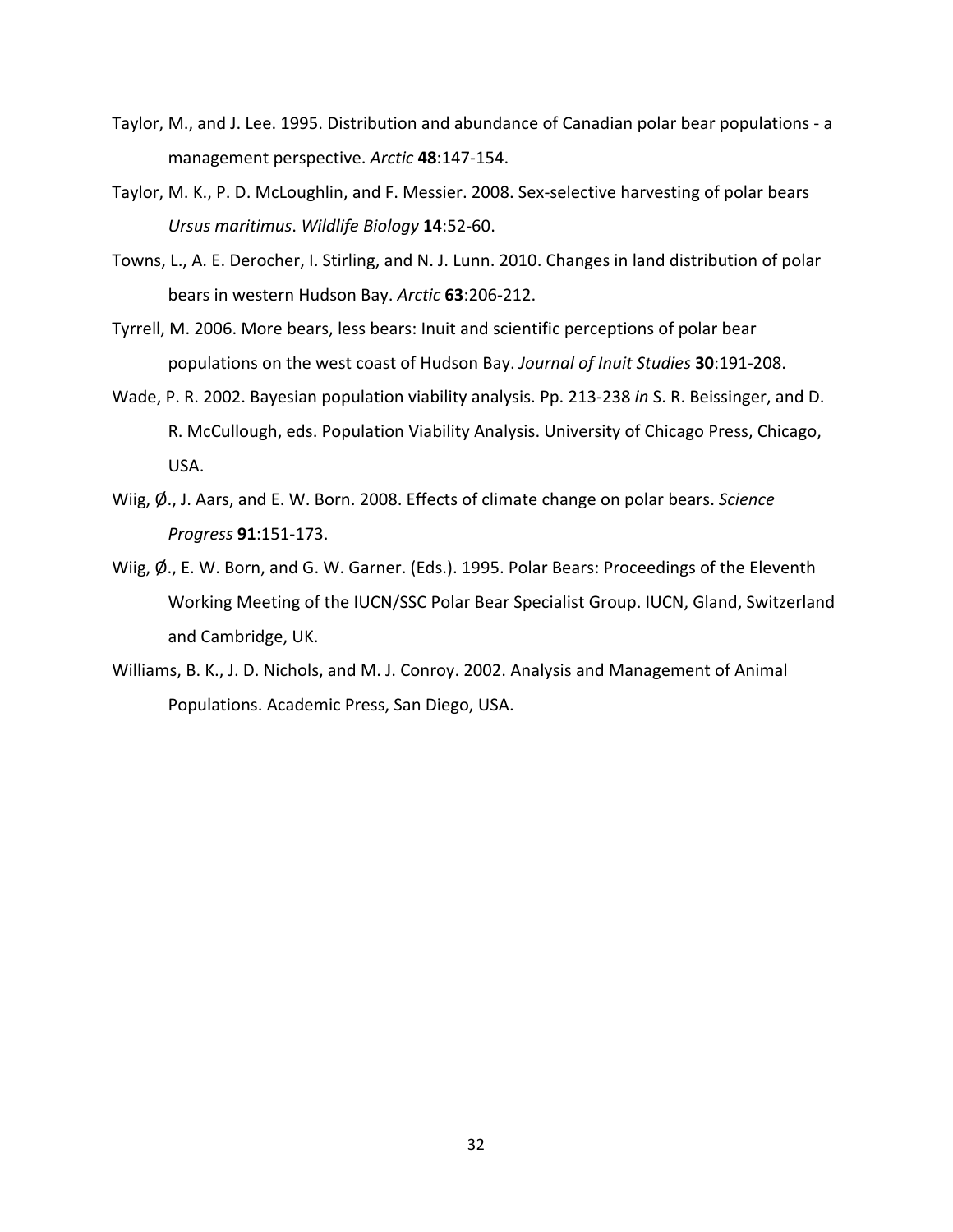- Taylor, M., and J. Lee. 1995. Distribution and abundance of Canadian polar bear populations ‐ a management perspective. *Arctic* **48**:147‐154.
- Taylor, M. K., P. D. McLoughlin, and F. Messier. 2008. Sex-selective harvesting of polar bears *Ursus maritimus*. *Wildlife Biology* **14**:52‐60.
- Towns, L., A. E. Derocher, I. Stirling, and N. J. Lunn. 2010. Changes in land distribution of polar bears in western Hudson Bay. *Arctic* **63**:206‐212.
- Tyrrell, M. 2006. More bears, less bears: Inuit and scientific perceptions of polar bear populations on the west coast of Hudson Bay. *Journal of Inuit Studies* **30**:191‐208.
- Wade, P. R. 2002. Bayesian population viability analysis. Pp. 213‐238 *in* S. R. Beissinger, and D. R. McCullough, eds. Population Viability Analysis. University of Chicago Press, Chicago, USA.
- Wiig, Ø., J. Aars, and E. W. Born. 2008. Effects of climate change on polar bears. *Science Progress* **91**:151‐173.
- Wiig,  $\emptyset$ ., E. W. Born, and G. W. Garner. (Eds.). 1995. Polar Bears: Proceedings of the Eleventh Working Meeting of the IUCN/SSC Polar Bear Specialist Group. IUCN, Gland, Switzerland and Cambridge, UK.
- Williams, B. K., J. D. Nichols, and M. J. Conroy. 2002. Analysis and Management of Animal Populations. Academic Press, San Diego, USA.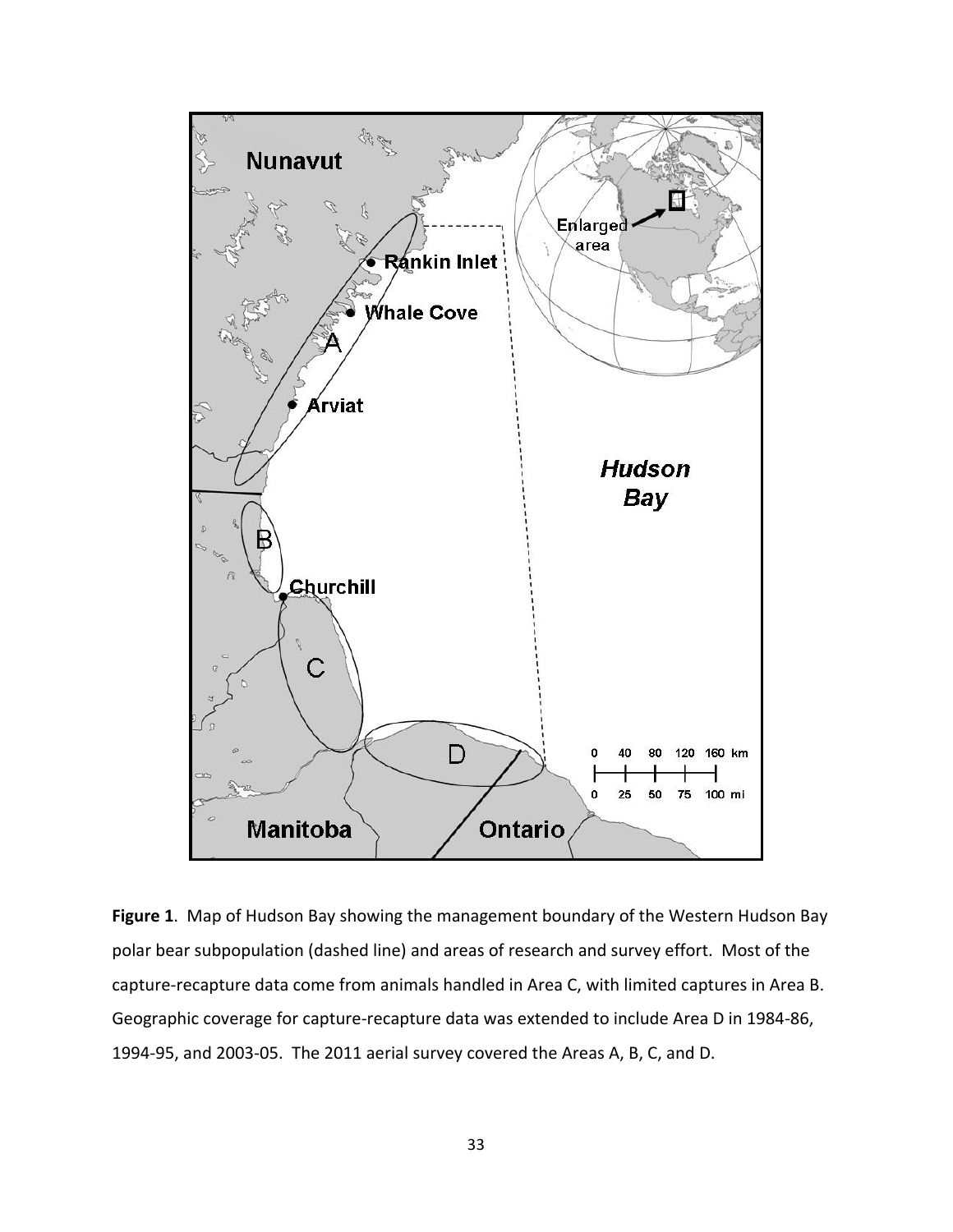

**Figure 1**. Map of Hudson Bay showing the management boundary of the Western Hudson Bay polar bear subpopulation (dashed line) and areas of research and survey effort. Most of the capture‐recapture data come from animals handled in Area C, with limited captures in Area B. Geographic coverage for capture‐recapture data was extended to include Area D in 1984‐86, 1994‐95, and 2003‐05. The 2011 aerial survey covered the Areas A, B, C, and D.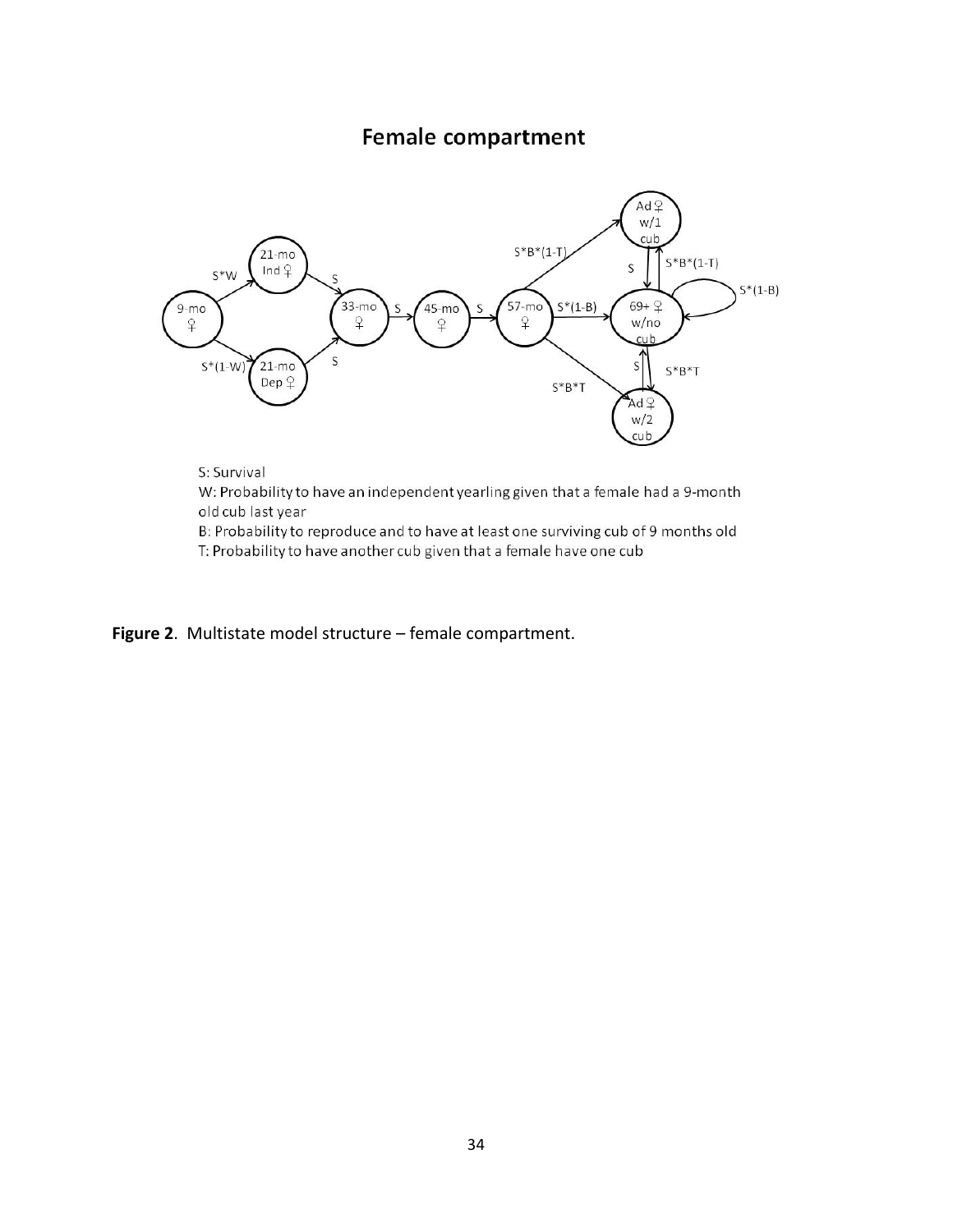# **Female compartment**



old cub last year

B: Probability to reproduce and to have at least one surviving cub of 9 months old T: Probability to have another cub given that a female have one cub

**Figure 2**. Multistate model structure – female compartment.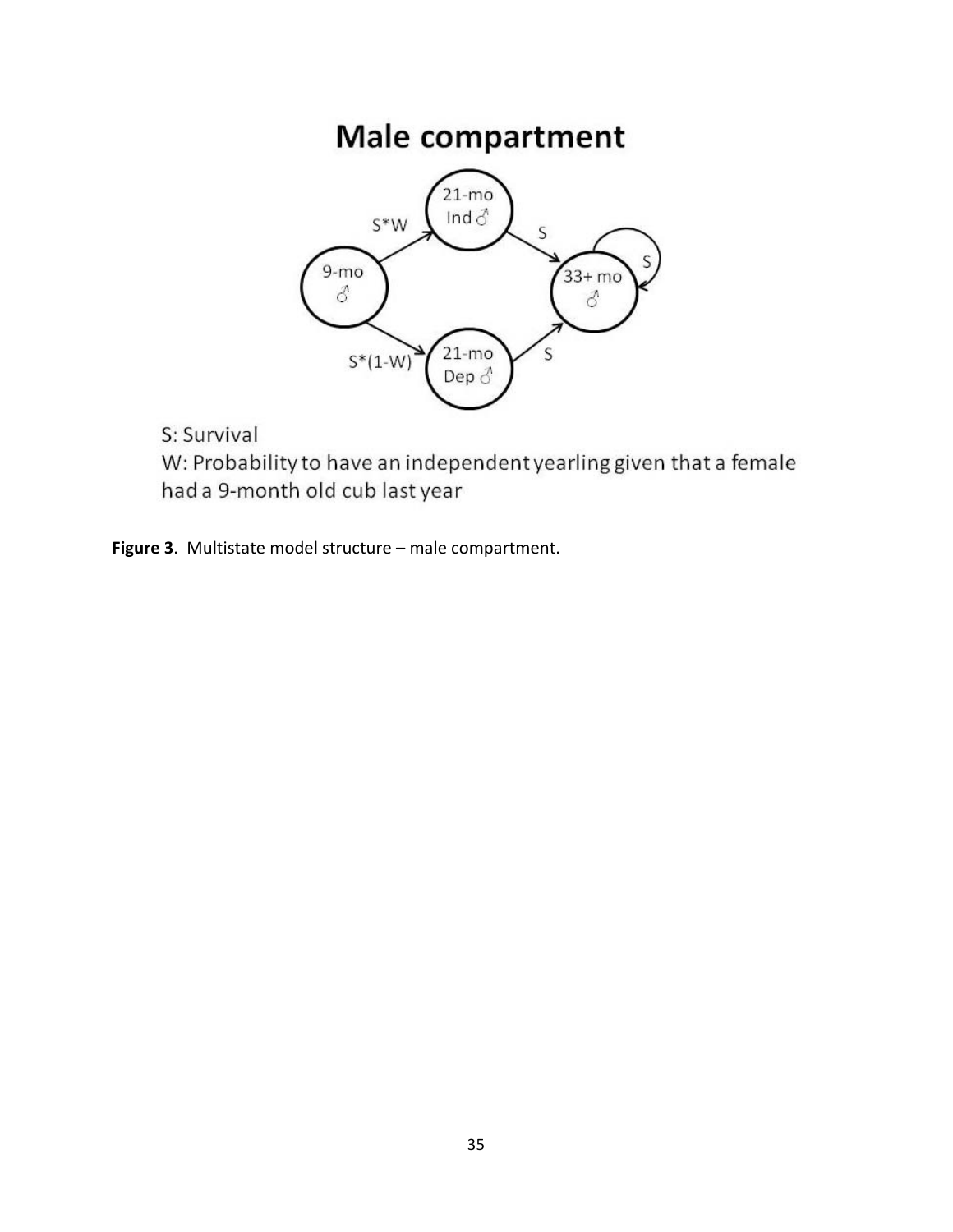# Male compartment



S: Survival

W: Probability to have an independent yearling given that a female had a 9-month old cub last year

**Figure 3**. Multistate model structure – male compartment.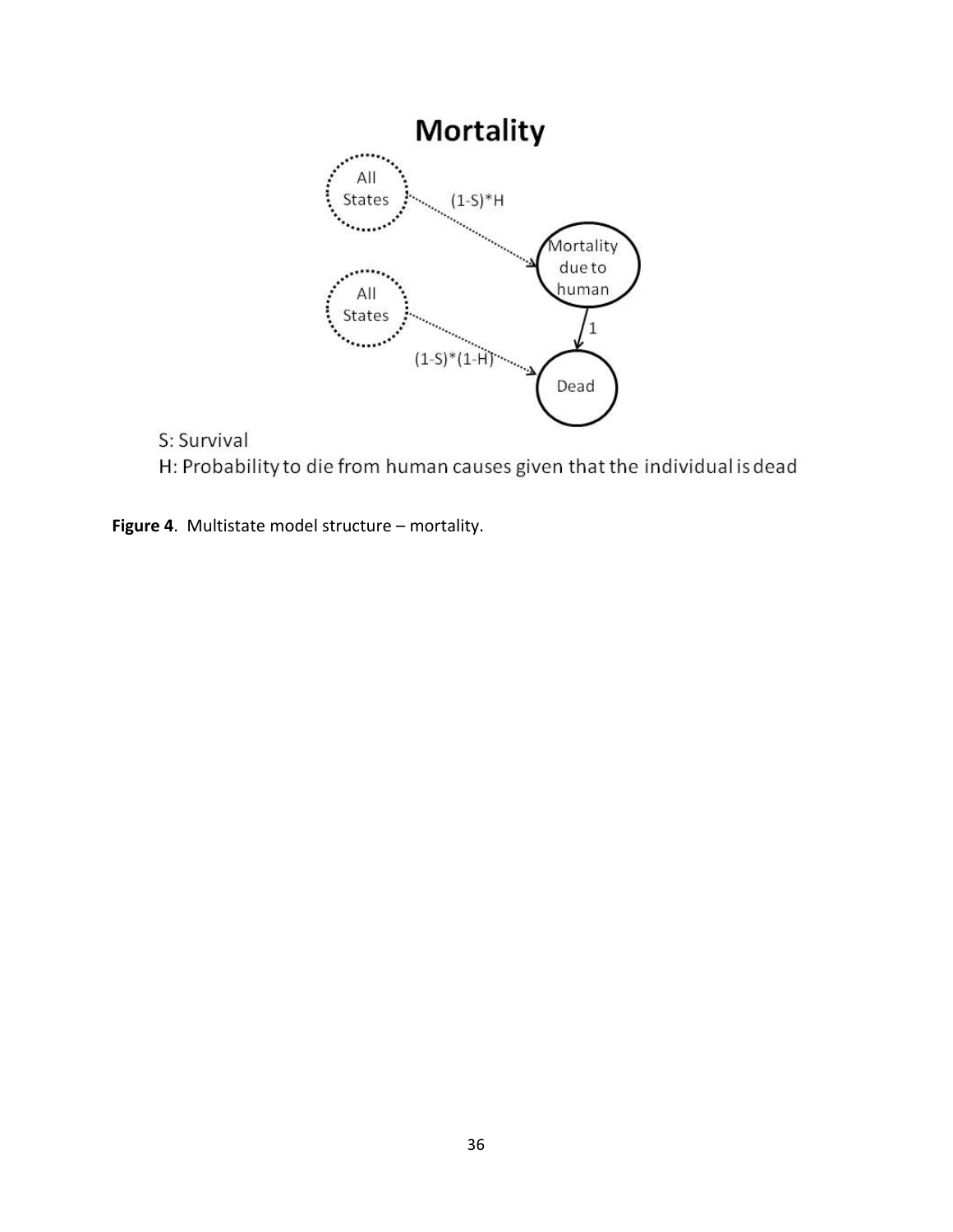

S: Survival H: Probability to die from human causes given that the individual is dead

**Figure 4**. Multistate model structure – mortality.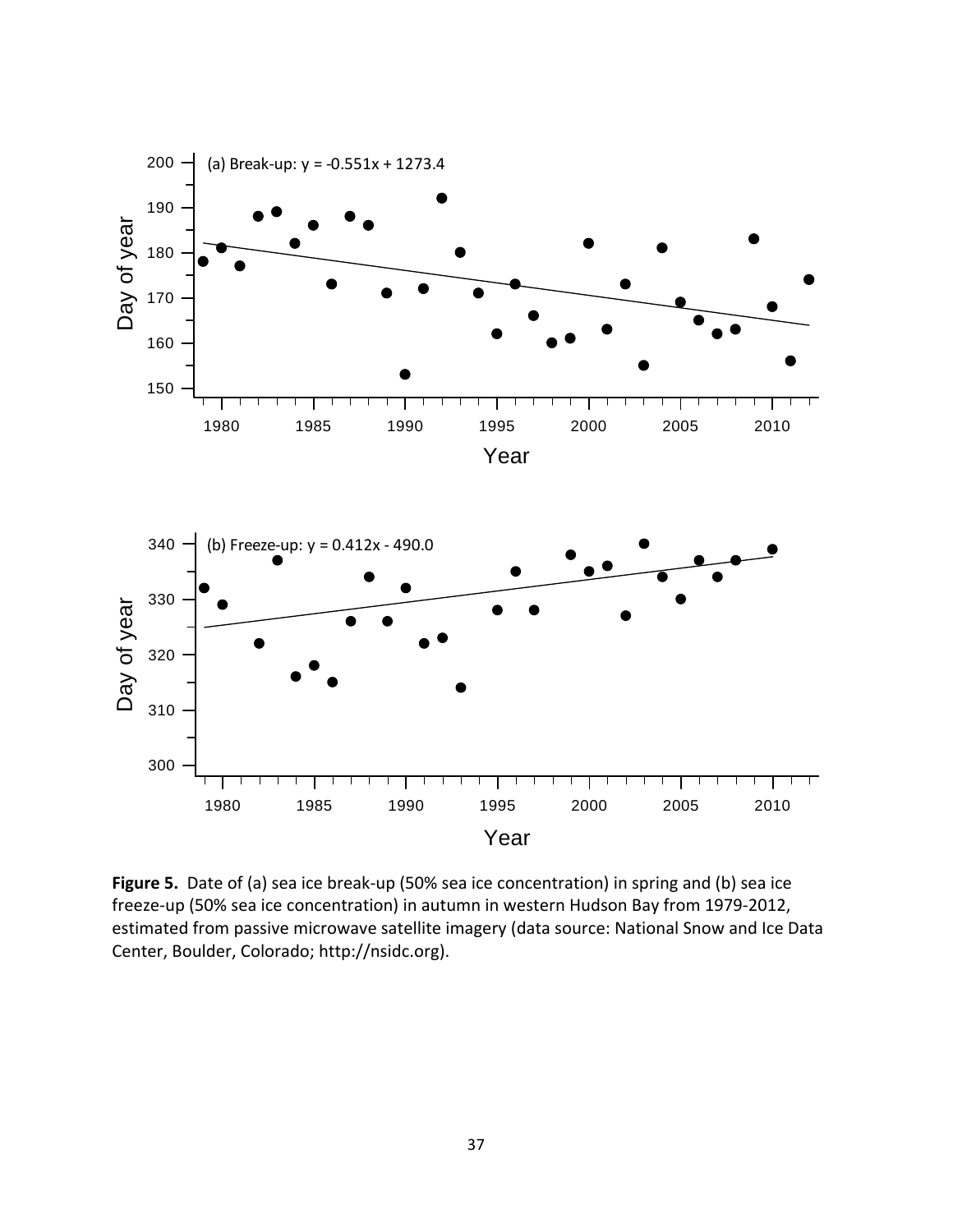

**Figure 5.** Date of (a) sea ice break‐up (50% sea ice concentration) in spring and (b) sea ice freeze-up (50% sea ice concentration) in autumn in western Hudson Bay from 1979-2012, estimated from passive microwave satellite imagery (data source: National Snow and Ice Data Center, Boulder, Colorado; http://nsidc.org).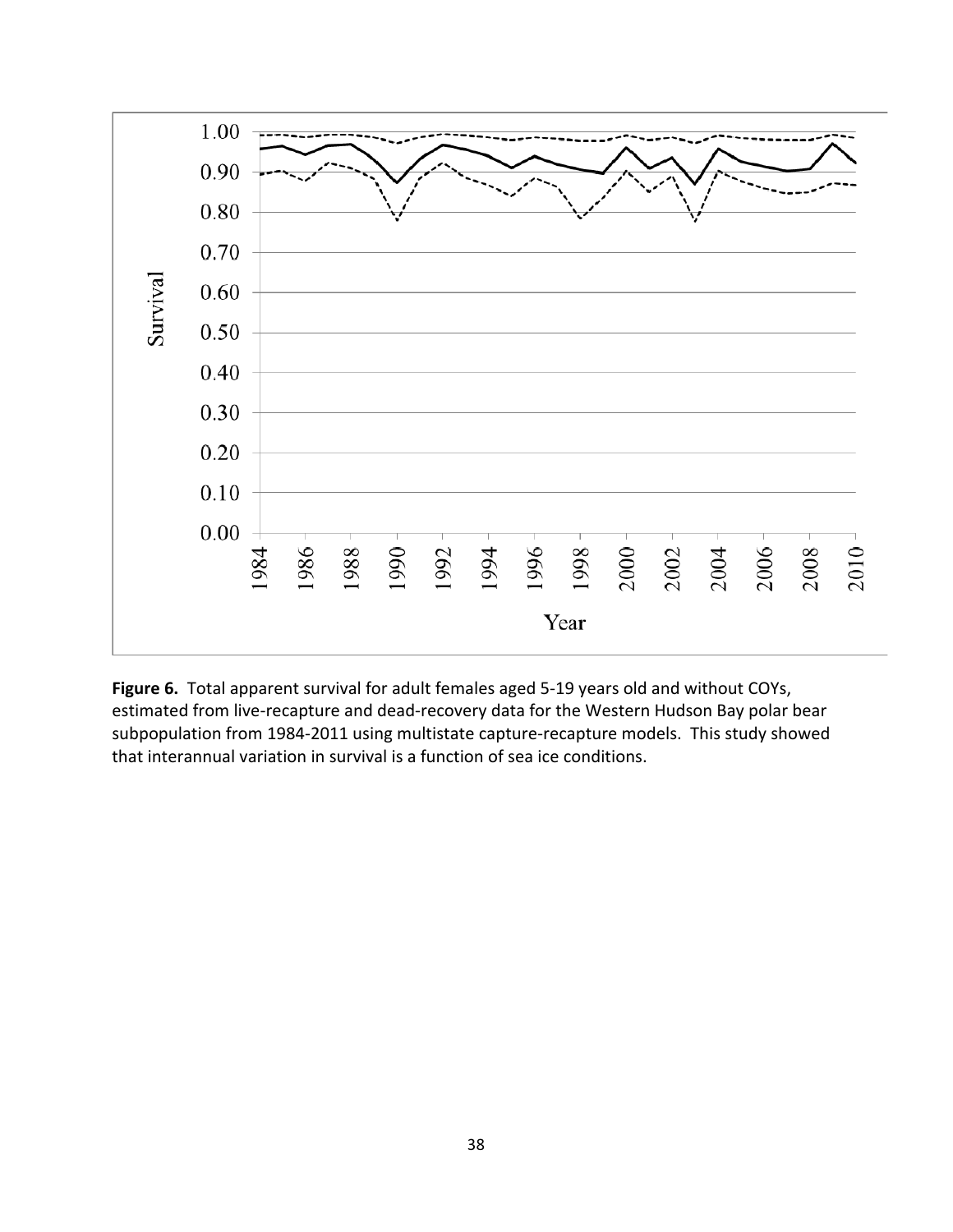

**Figure 6.** Total apparent survival for adult females aged 5‐19 years old and without COYs, estimated from live-recapture and dead-recovery data for the Western Hudson Bay polar bear subpopulation from 1984‐2011 using multistate capture‐recapture models. This study showed that interannual variation in survival is a function of sea ice conditions.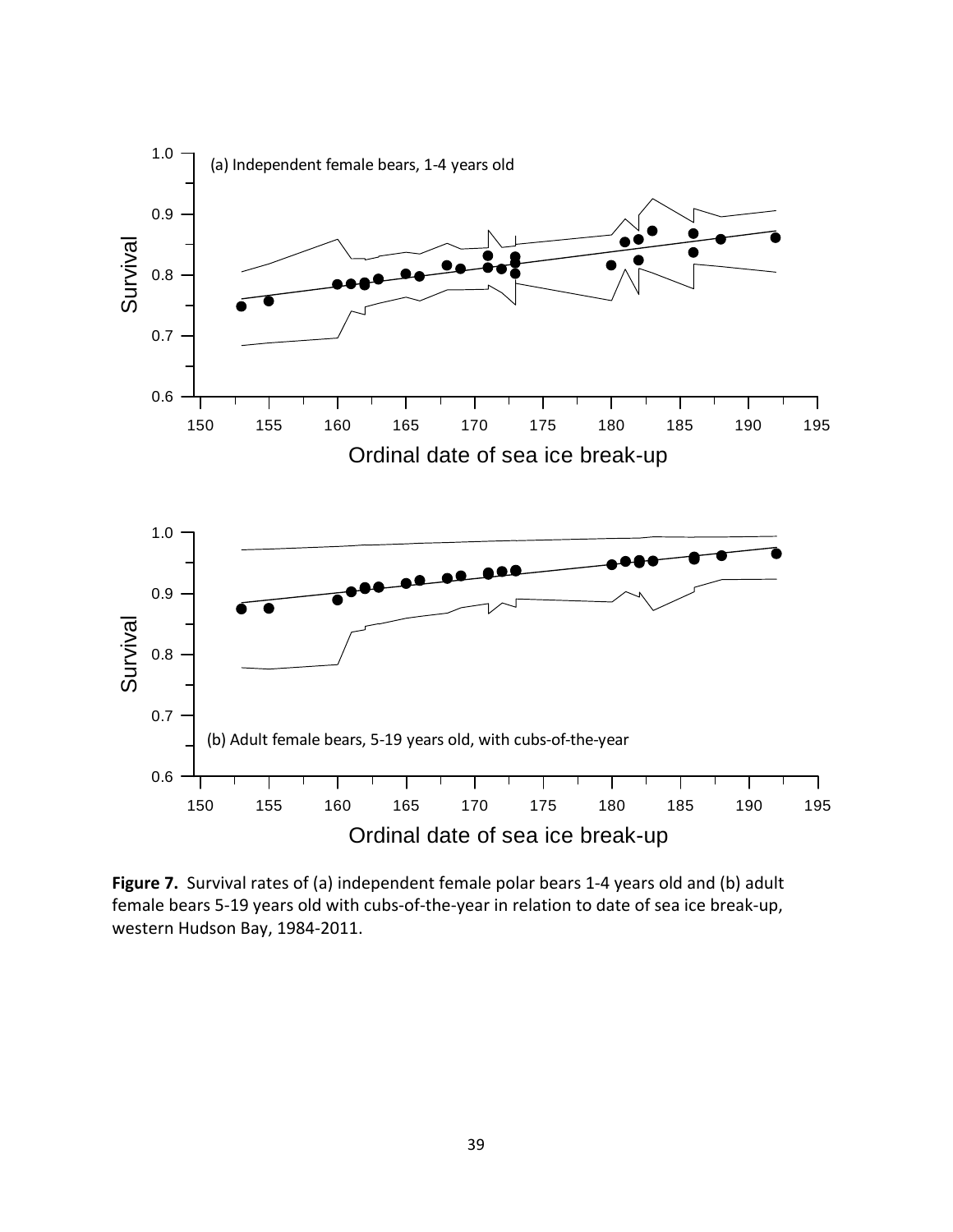

**Figure 7.** Survival rates of (a) independent female polar bears 1‐4 years old and (b) adult female bears 5‐19 years old with cubs‐of‐the‐year in relation to date of sea ice break‐up, western Hudson Bay, 1984‐2011.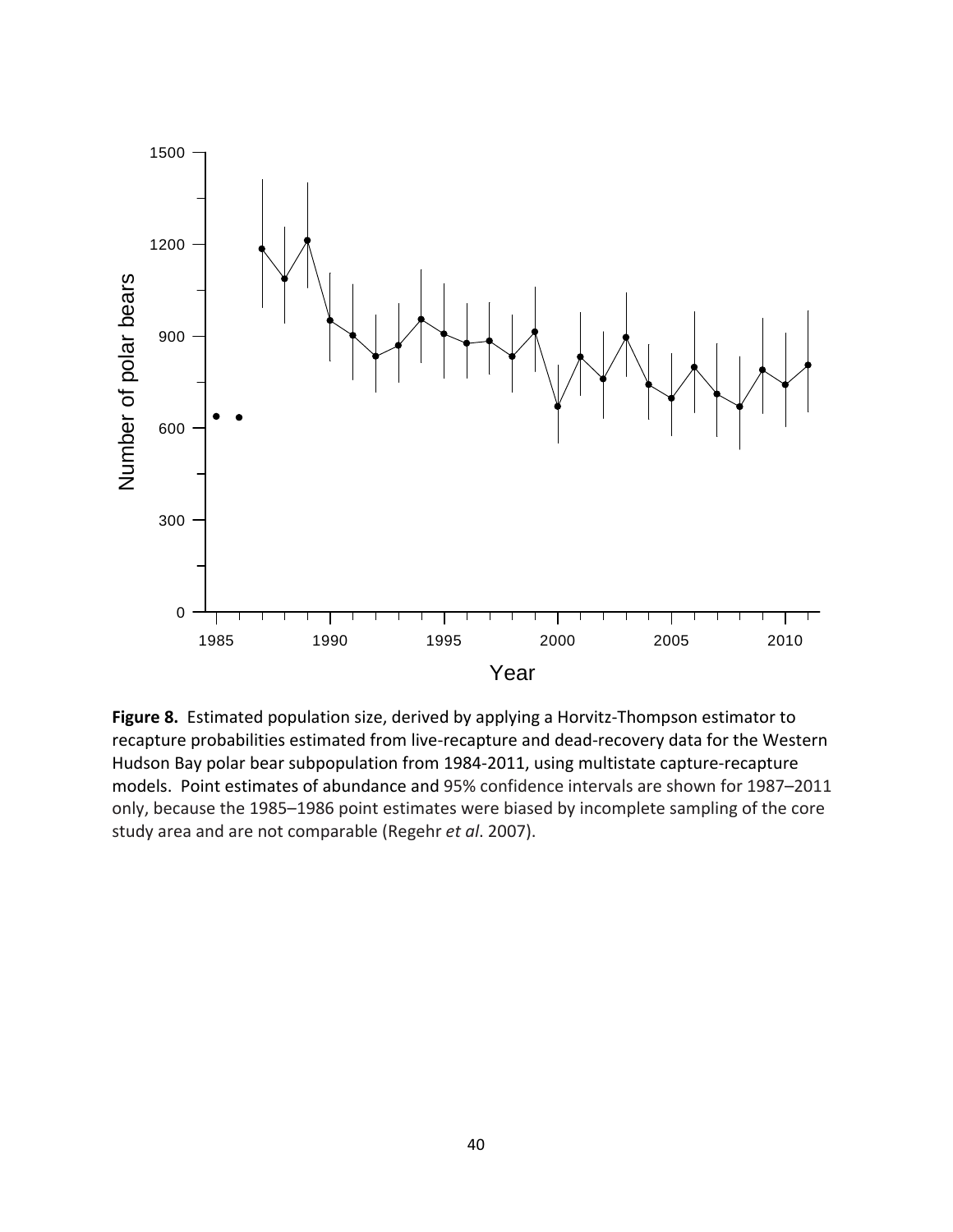

**Figure 8.** Estimated population size, derived by applying a Horvitz‐Thompson estimator to recapture probabilities estimated from live‐recapture and dead‐recovery data for the Western Hudson Bay polar bear subpopulation from 1984‐2011, using multistate capture‐recapture models. Point estimates of abundance and 95% confidence intervals are shown for 1987–2011 only, because the 1985–1986 point estimates were biased by incomplete sampling of the core study area and are not comparable (Regehr *et al*. 2007).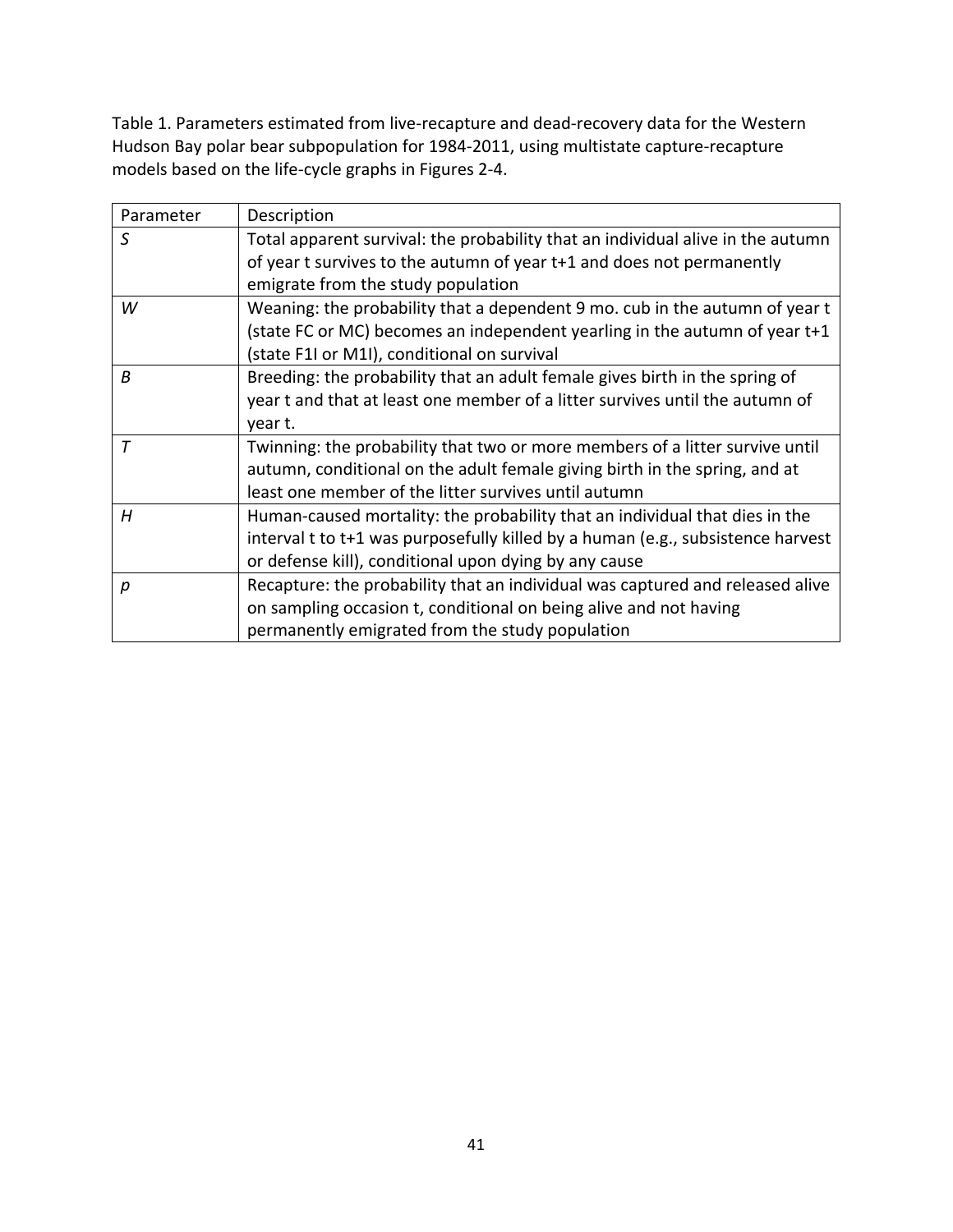Table 1. Parameters estimated from live‐recapture and dead‐recovery data for the Western Hudson Bay polar bear subpopulation for 1984‐2011, using multistate capture‐recapture models based on the life‐cycle graphs in Figures 2‐4.

| Parameter | Description                                                                     |
|-----------|---------------------------------------------------------------------------------|
| S         | Total apparent survival: the probability that an individual alive in the autumn |
|           | of year t survives to the autumn of year t+1 and does not permanently           |
|           | emigrate from the study population                                              |
| W         | Weaning: the probability that a dependent 9 mo. cub in the autumn of year t     |
|           | (state FC or MC) becomes an independent yearling in the autumn of year t+1      |
|           | (state F1I or M1I), conditional on survival                                     |
| B         | Breeding: the probability that an adult female gives birth in the spring of     |
|           | year t and that at least one member of a litter survives until the autumn of    |
|           | year t.                                                                         |
| $\tau$    | Twinning: the probability that two or more members of a litter survive until    |
|           | autumn, conditional on the adult female giving birth in the spring, and at      |
|           | least one member of the litter survives until autumn                            |
| H         | Human-caused mortality: the probability that an individual that dies in the     |
|           | interval t to t+1 was purposefully killed by a human (e.g., subsistence harvest |
|           | or defense kill), conditional upon dying by any cause                           |
| р         | Recapture: the probability that an individual was captured and released alive   |
|           | on sampling occasion t, conditional on being alive and not having               |
|           | permanently emigrated from the study population                                 |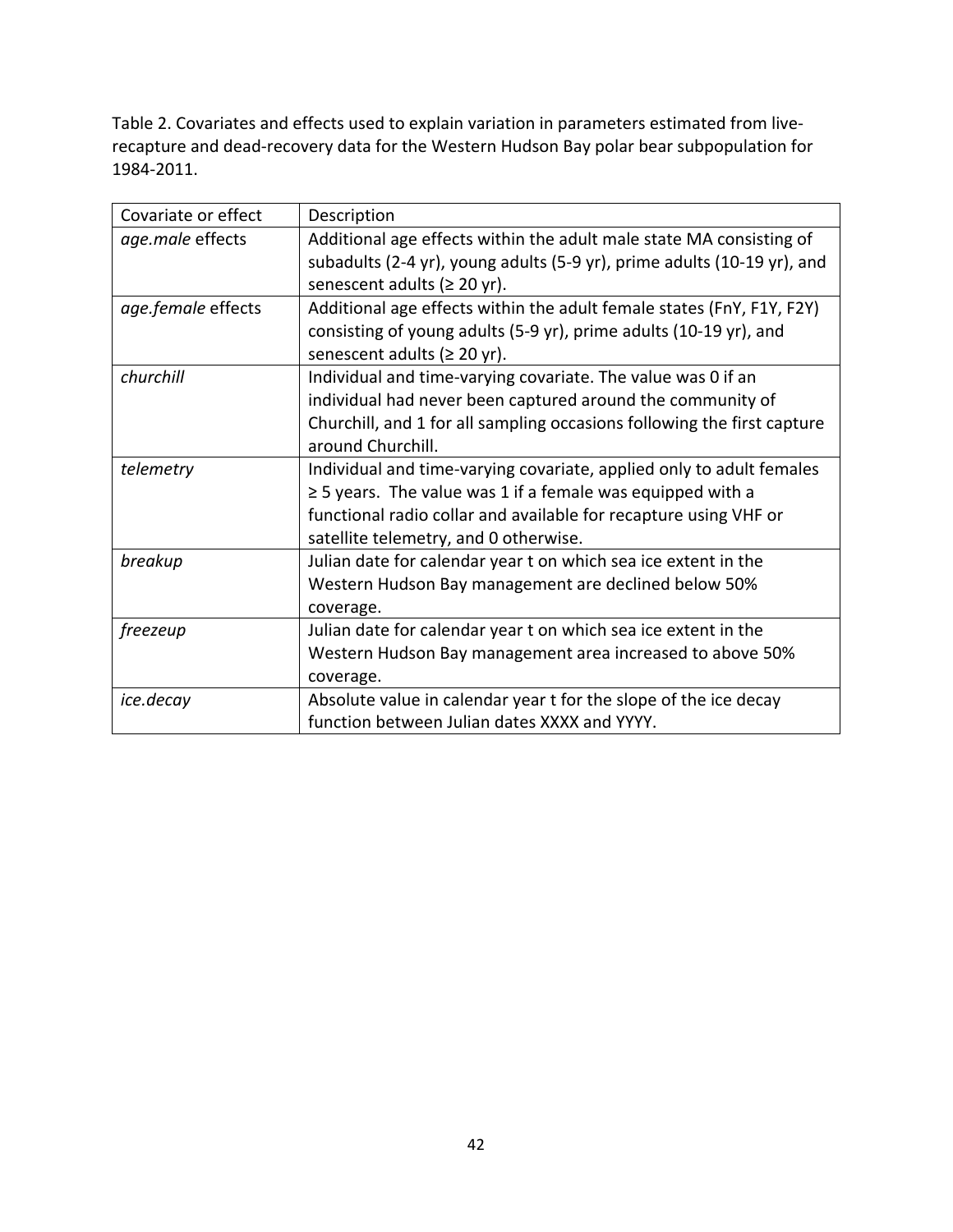Table 2. Covariates and effects used to explain variation in parameters estimated from live‐ recapture and dead‐recovery data for the Western Hudson Bay polar bear subpopulation for 1984‐2011.

| Covariate or effect | Description                                                             |
|---------------------|-------------------------------------------------------------------------|
| age.male effects    | Additional age effects within the adult male state MA consisting of     |
|                     | subadults (2-4 yr), young adults (5-9 yr), prime adults (10-19 yr), and |
|                     | senescent adults ( $\geq 20$ yr).                                       |
| age.female effects  | Additional age effects within the adult female states (FnY, F1Y, F2Y)   |
|                     | consisting of young adults (5-9 yr), prime adults (10-19 yr), and       |
|                     | senescent adults ( $\geq 20$ yr).                                       |
| churchill           | Individual and time-varying covariate. The value was 0 if an            |
|                     | individual had never been captured around the community of              |
|                     | Churchill, and 1 for all sampling occasions following the first capture |
|                     | around Churchill.                                                       |
| telemetry           | Individual and time-varying covariate, applied only to adult females    |
|                     | $\geq$ 5 years. The value was 1 if a female was equipped with a         |
|                     | functional radio collar and available for recapture using VHF or        |
|                     | satellite telemetry, and 0 otherwise.                                   |
| breakup             | Julian date for calendar year t on which sea ice extent in the          |
|                     | Western Hudson Bay management are declined below 50%                    |
|                     | coverage.                                                               |
| freezeup            | Julian date for calendar year t on which sea ice extent in the          |
|                     | Western Hudson Bay management area increased to above 50%               |
|                     | coverage.                                                               |
| ice.decay           | Absolute value in calendar year t for the slope of the ice decay        |
|                     | function between Julian dates XXXX and YYYY.                            |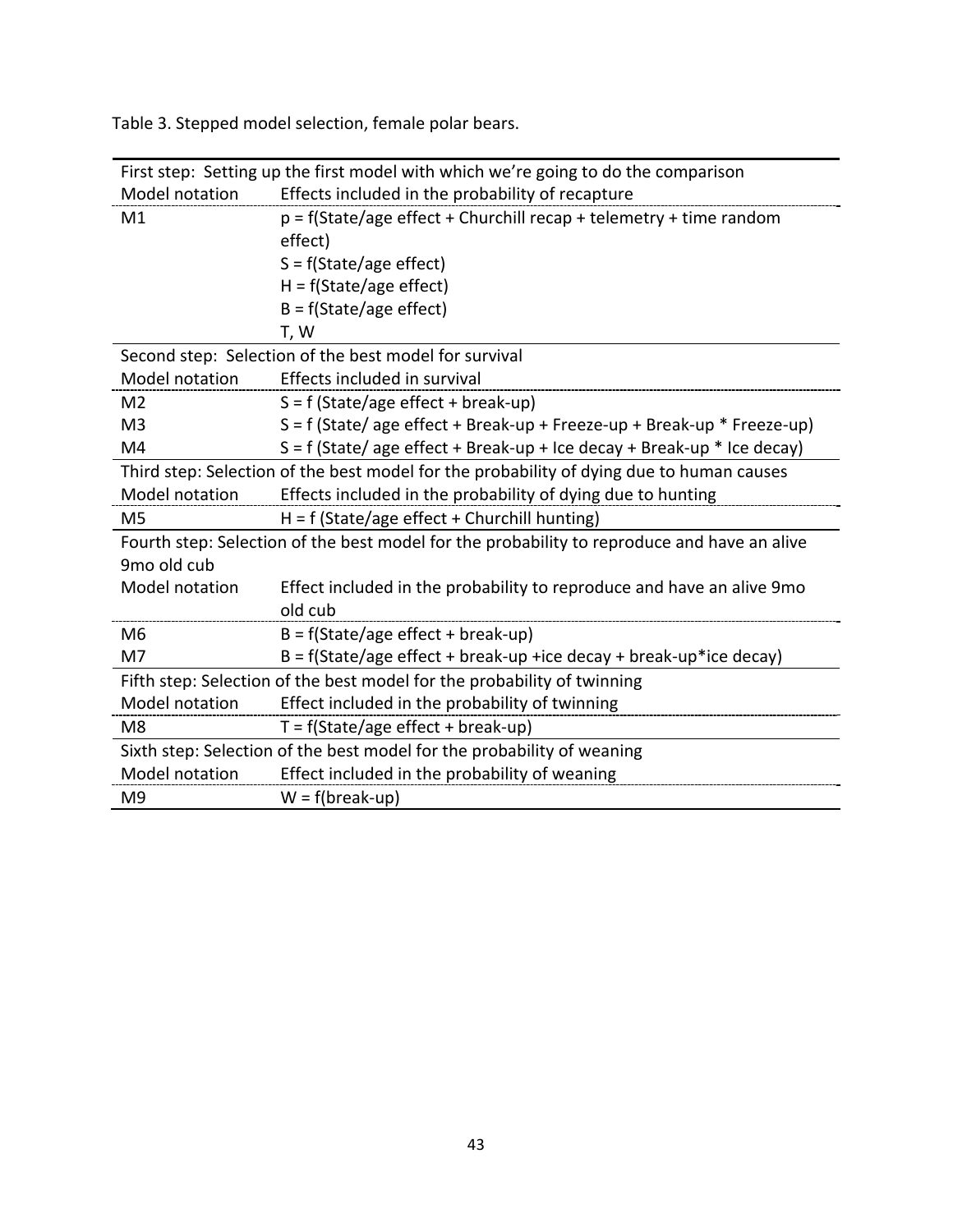|                | First step: Setting up the first model with which we're going to do the comparison          |  |  |  |
|----------------|---------------------------------------------------------------------------------------------|--|--|--|
| Model notation | Effects included in the probability of recapture                                            |  |  |  |
| M1             | $p = f(State/age effect + Churchill recap + telemetry + time random)$                       |  |  |  |
|                | effect)                                                                                     |  |  |  |
|                | $S = f(State/age effect)$                                                                   |  |  |  |
|                | $H = f(State/age effect)$                                                                   |  |  |  |
|                | $B = f(State/age effect)$                                                                   |  |  |  |
|                | T, W                                                                                        |  |  |  |
|                | Second step: Selection of the best model for survival                                       |  |  |  |
| Model notation | Effects included in survival                                                                |  |  |  |
| M <sub>2</sub> | $S = f$ (State/age effect + break-up)                                                       |  |  |  |
| M <sub>3</sub> | $S = f$ (State/age effect + Break-up + Freeze-up + Break-up * Freeze-up)                    |  |  |  |
| M4             | $S = f$ (State/age effect + Break-up + Ice decay + Break-up * Ice decay)                    |  |  |  |
|                | Third step: Selection of the best model for the probability of dying due to human causes    |  |  |  |
| Model notation | Effects included in the probability of dying due to hunting                                 |  |  |  |
| M <sub>5</sub> | $H = f$ (State/age effect + Churchill hunting)                                              |  |  |  |
|                | Fourth step: Selection of the best model for the probability to reproduce and have an alive |  |  |  |
| 9mo old cub    |                                                                                             |  |  |  |
| Model notation | Effect included in the probability to reproduce and have an alive 9mo                       |  |  |  |
|                | old cub                                                                                     |  |  |  |
| M <sub>6</sub> | $B = f(State/age effect + break-up)$                                                        |  |  |  |
| M7             | $B = f(State/age effect + break-up + ice decay + break-up *ice decay)$                      |  |  |  |
|                | Fifth step: Selection of the best model for the probability of twinning                     |  |  |  |
| Model notation | Effect included in the probability of twinning                                              |  |  |  |
| M8             | $T = f(State/age effect + break-up)$                                                        |  |  |  |
|                | Sixth step: Selection of the best model for the probability of weaning                      |  |  |  |
| Model notation | Effect included in the probability of weaning                                               |  |  |  |
| M <sub>9</sub> | $W = f(break-up)$                                                                           |  |  |  |

Table 3. Stepped model selection, female polar bears.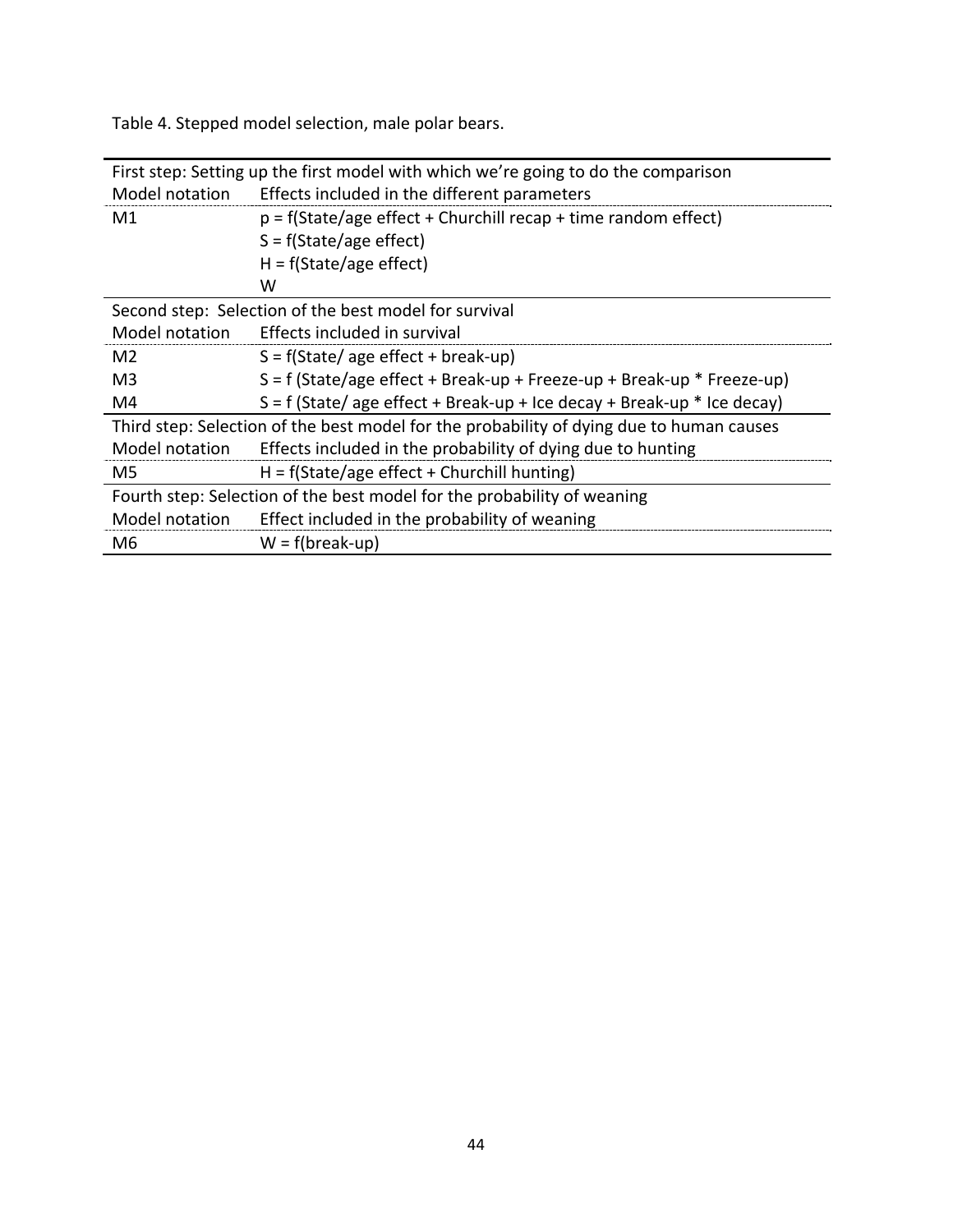Table 4. Stepped model selection, male polar bears.

| First step: Setting up the first model with which we're going to do the comparison |                                                                                          |  |  |  |
|------------------------------------------------------------------------------------|------------------------------------------------------------------------------------------|--|--|--|
| Model notation                                                                     | Effects included in the different parameters                                             |  |  |  |
| M1                                                                                 | $p = f(State/age effect + Churchill recap + time random effect)$                         |  |  |  |
|                                                                                    | $S = f(State/age effect)$                                                                |  |  |  |
|                                                                                    | $H = f(State/age effect)$                                                                |  |  |  |
|                                                                                    | W                                                                                        |  |  |  |
|                                                                                    | Second step: Selection of the best model for survival                                    |  |  |  |
| Model notation                                                                     | Effects included in survival                                                             |  |  |  |
| M <sub>2</sub>                                                                     | $S = f(State/age effect + break-up)$                                                     |  |  |  |
| M3                                                                                 | $S = f$ (State/age effect + Break-up + Freeze-up + Break-up * Freeze-up)                 |  |  |  |
| M4                                                                                 | $S = f$ (State/ age effect + Break-up + Ice decay + Break-up * Ice decay)                |  |  |  |
|                                                                                    | Third step: Selection of the best model for the probability of dying due to human causes |  |  |  |
| Model notation                                                                     | Effects included in the probability of dying due to hunting                              |  |  |  |
| M5                                                                                 | $H = f(State/age effect + Churchill hunting)$                                            |  |  |  |
| Fourth step: Selection of the best model for the probability of weaning            |                                                                                          |  |  |  |
| Model notation                                                                     | Effect included in the probability of weaning                                            |  |  |  |
| M6                                                                                 | $W = f(break-up)$                                                                        |  |  |  |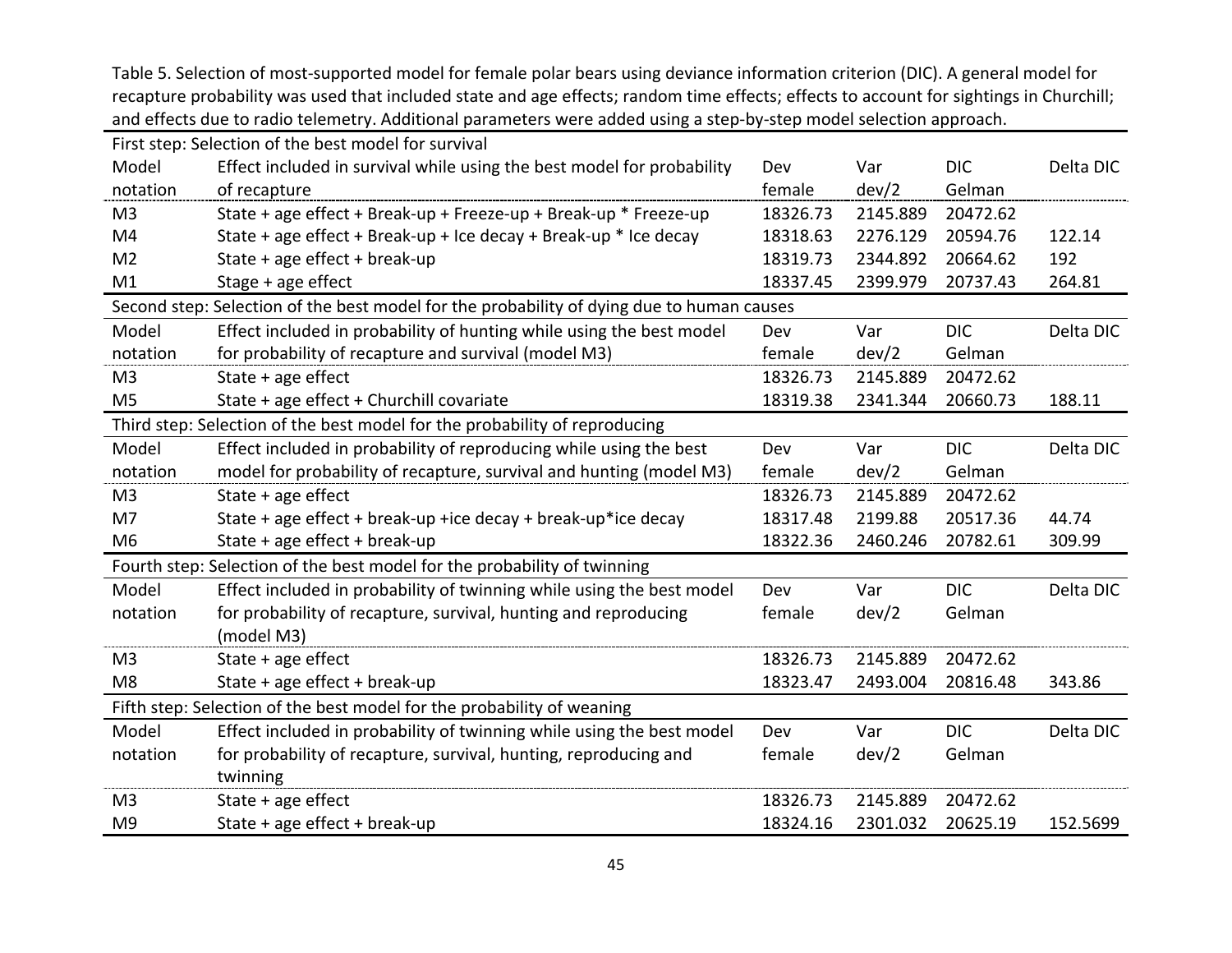Table 5. Selection of most‐supported model for female polar bears using deviance information criterion (DIC). A general model for recapture probability was used that included state and age effects; random time effects; effects to account for sightings in Churchill; and effects due to radio telemetry. Additional parameters were added using <sup>a</sup> step‐by‐step model selection approach.

|                | First step: Selection of the best model for survival                                      |          |          |            |           |
|----------------|-------------------------------------------------------------------------------------------|----------|----------|------------|-----------|
| Model          | Effect included in survival while using the best model for probability                    | Dev      | Var      | <b>DIC</b> | Delta DIC |
| notation       | of recapture                                                                              | female   | dev/2    | Gelman     |           |
| M <sub>3</sub> | State + age effect + Break-up + Freeze-up + Break-up * Freeze-up                          | 18326.73 | 2145.889 | 20472.62   |           |
| M4             | State + age effect + Break-up + Ice decay + Break-up * Ice decay                          | 18318.63 | 2276.129 | 20594.76   | 122.14    |
| M <sub>2</sub> | State + age effect + break-up                                                             | 18319.73 | 2344.892 | 20664.62   | 192       |
| M1             | Stage + age effect                                                                        | 18337.45 | 2399.979 | 20737.43   | 264.81    |
|                | Second step: Selection of the best model for the probability of dying due to human causes |          |          |            |           |
| Model          | Effect included in probability of hunting while using the best model                      | Dev      | Var      | <b>DIC</b> | Delta DIC |
| notation       | for probability of recapture and survival (model M3)                                      | female   | dev/2    | Gelman     |           |
| M <sub>3</sub> | State + age effect                                                                        | 18326.73 | 2145.889 | 20472.62   |           |
| M <sub>5</sub> | State + age effect + Churchill covariate                                                  | 18319.38 | 2341.344 | 20660.73   | 188.11    |
|                | Third step: Selection of the best model for the probability of reproducing                |          |          |            |           |
| Model          | Effect included in probability of reproducing while using the best                        | Dev      | Var      | <b>DIC</b> | Delta DIC |
| notation       | model for probability of recapture, survival and hunting (model M3)                       | female   | dev/2    | Gelman     |           |
| M <sub>3</sub> | State + age effect                                                                        | 18326.73 | 2145.889 | 20472.62   |           |
| M7             | State + age effect + break-up +ice decay + break-up*ice decay                             | 18317.48 | 2199.88  | 20517.36   | 44.74     |
| M <sub>6</sub> | State + age effect + break-up                                                             | 18322.36 | 2460.246 | 20782.61   | 309.99    |
|                | Fourth step: Selection of the best model for the probability of twinning                  |          |          |            |           |
| Model          | Effect included in probability of twinning while using the best model                     | Dev      | Var      | <b>DIC</b> | Delta DIC |
| notation       | for probability of recapture, survival, hunting and reproducing                           | female   | dev/2    | Gelman     |           |
|                | (model M3)                                                                                |          |          |            |           |
| M <sub>3</sub> | State $+$ age effect                                                                      | 18326.73 | 2145.889 | 20472.62   |           |
| M <sub>8</sub> | State + age effect + break-up                                                             | 18323.47 | 2493.004 | 20816.48   | 343.86    |
|                | Fifth step: Selection of the best model for the probability of weaning                    |          |          |            |           |
| Model          | Effect included in probability of twinning while using the best model                     | Dev      | Var      | <b>DIC</b> | Delta DIC |
| notation       | for probability of recapture, survival, hunting, reproducing and                          | female   | dev/2    | Gelman     |           |
|                | twinning                                                                                  |          |          |            |           |
| M <sub>3</sub> | State + age effect                                                                        | 18326.73 | 2145.889 | 20472.62   |           |
| M <sub>9</sub> | State + age effect + break-up                                                             | 18324.16 | 2301.032 | 20625.19   | 152.5699  |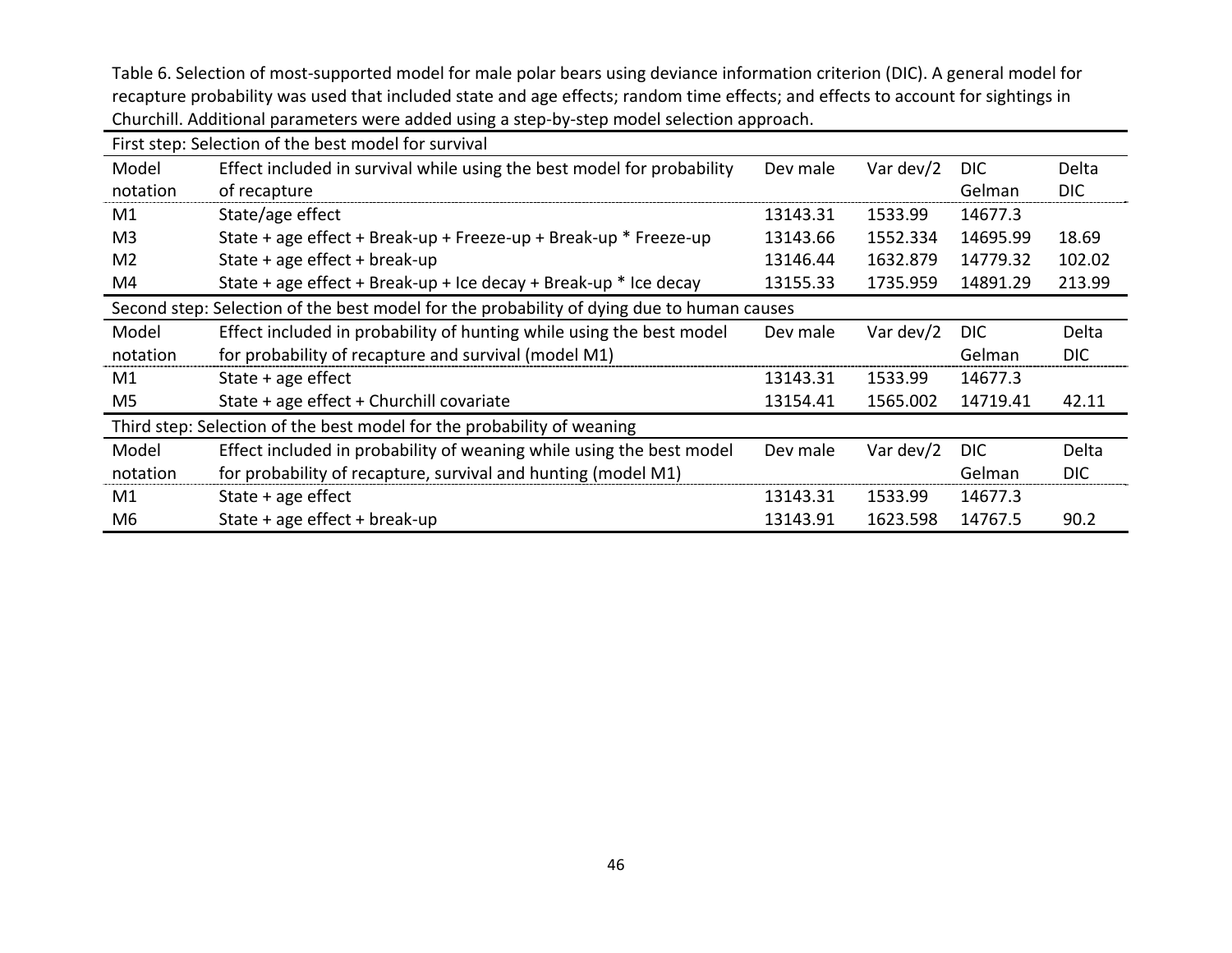Table 6. Selection of most‐supported model for male polar bears using deviance information criterion (DIC). A general model for recapture probability was used that included state and age effects; random time effects; and effects to account for sightings in Churchill. Additional parameters were added using <sup>a</sup> step‐by‐step model selection approach.

| First step: Selection of the best model for survival                   |                                                                                           |          |           |            |            |  |
|------------------------------------------------------------------------|-------------------------------------------------------------------------------------------|----------|-----------|------------|------------|--|
| Model                                                                  | Effect included in survival while using the best model for probability                    | Dev male | Var dev/2 | <b>DIC</b> | Delta      |  |
| notation                                                               | of recapture                                                                              |          |           | Gelman     | <b>DIC</b> |  |
| M1                                                                     | State/age effect                                                                          | 13143.31 | 1533.99   | 14677.3    |            |  |
| M <sub>3</sub>                                                         | State + age effect + Break-up + Freeze-up + Break-up * Freeze-up                          | 13143.66 | 1552.334  | 14695.99   | 18.69      |  |
| M <sub>2</sub>                                                         | State + age effect + break-up                                                             | 13146.44 | 1632.879  | 14779.32   | 102.02     |  |
| M4                                                                     | State + age effect + Break-up + Ice decay + Break-up $*$ Ice decay                        | 13155.33 | 1735.959  | 14891.29   | 213.99     |  |
|                                                                        | Second step: Selection of the best model for the probability of dying due to human causes |          |           |            |            |  |
| Model                                                                  | Effect included in probability of hunting while using the best model                      | Dev male | Var dev/2 | <b>DIC</b> | Delta      |  |
| notation                                                               | for probability of recapture and survival (model M1)                                      |          |           | Gelman     | <b>DIC</b> |  |
| M1                                                                     | State $+$ age effect                                                                      | 13143.31 | 1533.99   | 14677.3    |            |  |
| M5                                                                     | State + age effect + Churchill covariate                                                  | 13154.41 | 1565.002  | 14719.41   | 42.11      |  |
| Third step: Selection of the best model for the probability of weaning |                                                                                           |          |           |            |            |  |
| Model                                                                  | Effect included in probability of weaning while using the best model                      | Dev male | Var dev/2 | DIC.       | Delta      |  |
| notation                                                               | for probability of recapture, survival and hunting (model M1)                             |          |           | Gelman     | <b>DIC</b> |  |
| M1                                                                     | State $+$ age effect                                                                      | 13143.31 | 1533.99   | 14677.3    |            |  |
| M <sub>6</sub>                                                         | State + age effect + break-up                                                             | 13143.91 | 1623.598  | 14767.5    | 90.2       |  |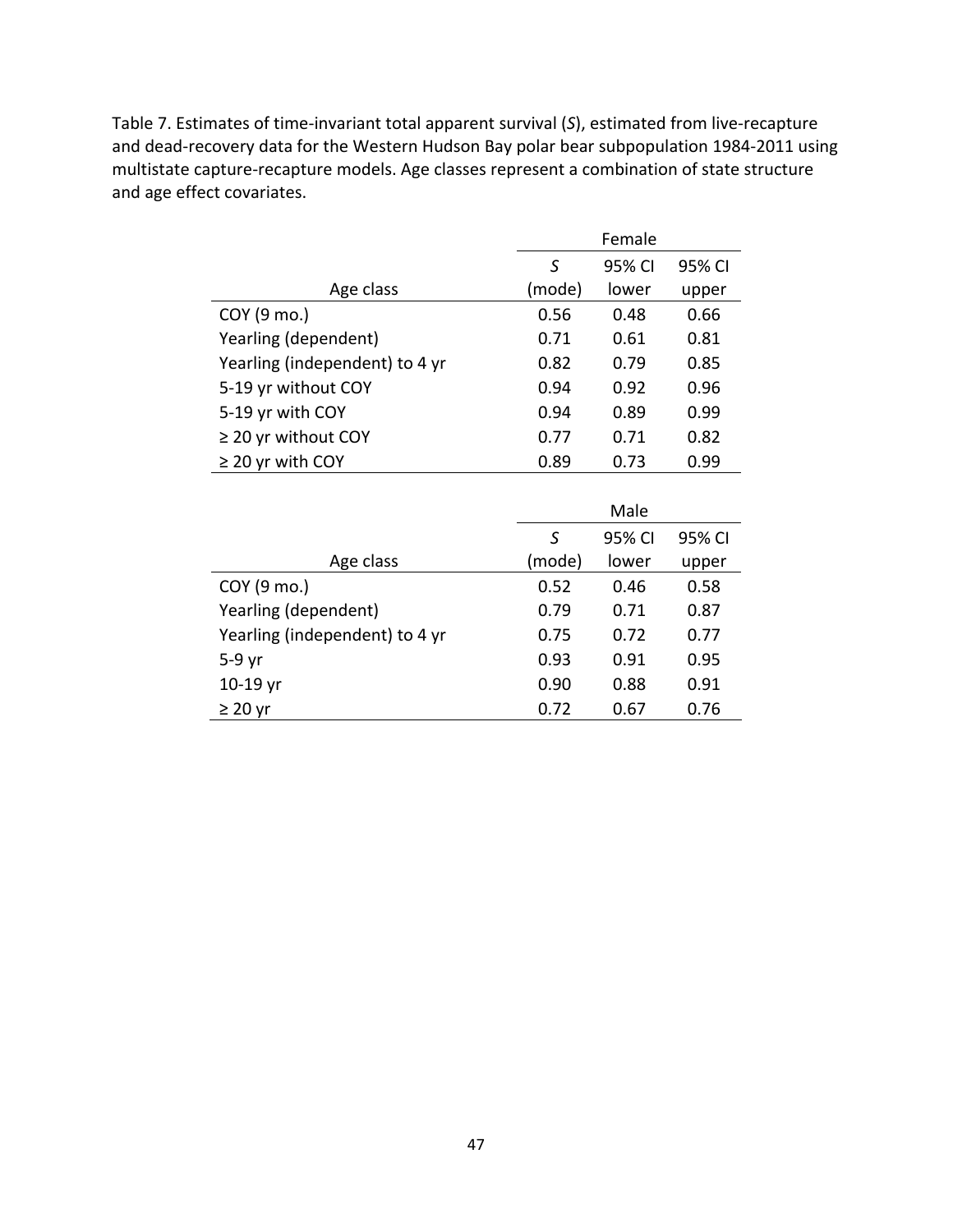Table 7. Estimates of time‐invariant total apparent survival (*S*), estimated from live‐recapture and dead‐recovery data for the Western Hudson Bay polar bear subpopulation 1984‐2011 using multistate capture‐recapture models. Age classes represent a combination of state structure and age effect covariates.

|                                | Female |        |        |
|--------------------------------|--------|--------|--------|
|                                | S      | 95% CI | 95% CI |
| Age class                      | (mode) | lower  | upper  |
| COY (9 mo.)                    | 0.56   | 0.48   | 0.66   |
| Yearling (dependent)           | 0.71   | 0.61   | 0.81   |
| Yearling (independent) to 4 yr | 0.82   | 0.79   | 0.85   |
| 5-19 yr without COY            | 0.94   | 0.92   | 0.96   |
| 5-19 yr with COY               | 0.94   | 0.89   | 0.99   |
| $\geq$ 20 yr without COY       | 0.77   | 0.71   | 0.82   |
| $\geq$ 20 yr with COY          | 0.89   | 0.73   | 0.99   |

|                                | Male   |        |        |
|--------------------------------|--------|--------|--------|
|                                | S      | 95% CI | 95% CI |
| Age class                      | (mode) | lower  | upper  |
| COY (9 mo.)                    | 0.52   | 0.46   | 0.58   |
| Yearling (dependent)           | 0.79   | 0.71   | 0.87   |
| Yearling (independent) to 4 yr | 0.75   | 0.72   | 0.77   |
| $5-9$ yr                       | 0.93   | 0.91   | 0.95   |
| $10-19$ yr                     | 0.90   | 0.88   | 0.91   |
| $\geq$ 20 yr                   | 0.72   | 0.67   | 0.76   |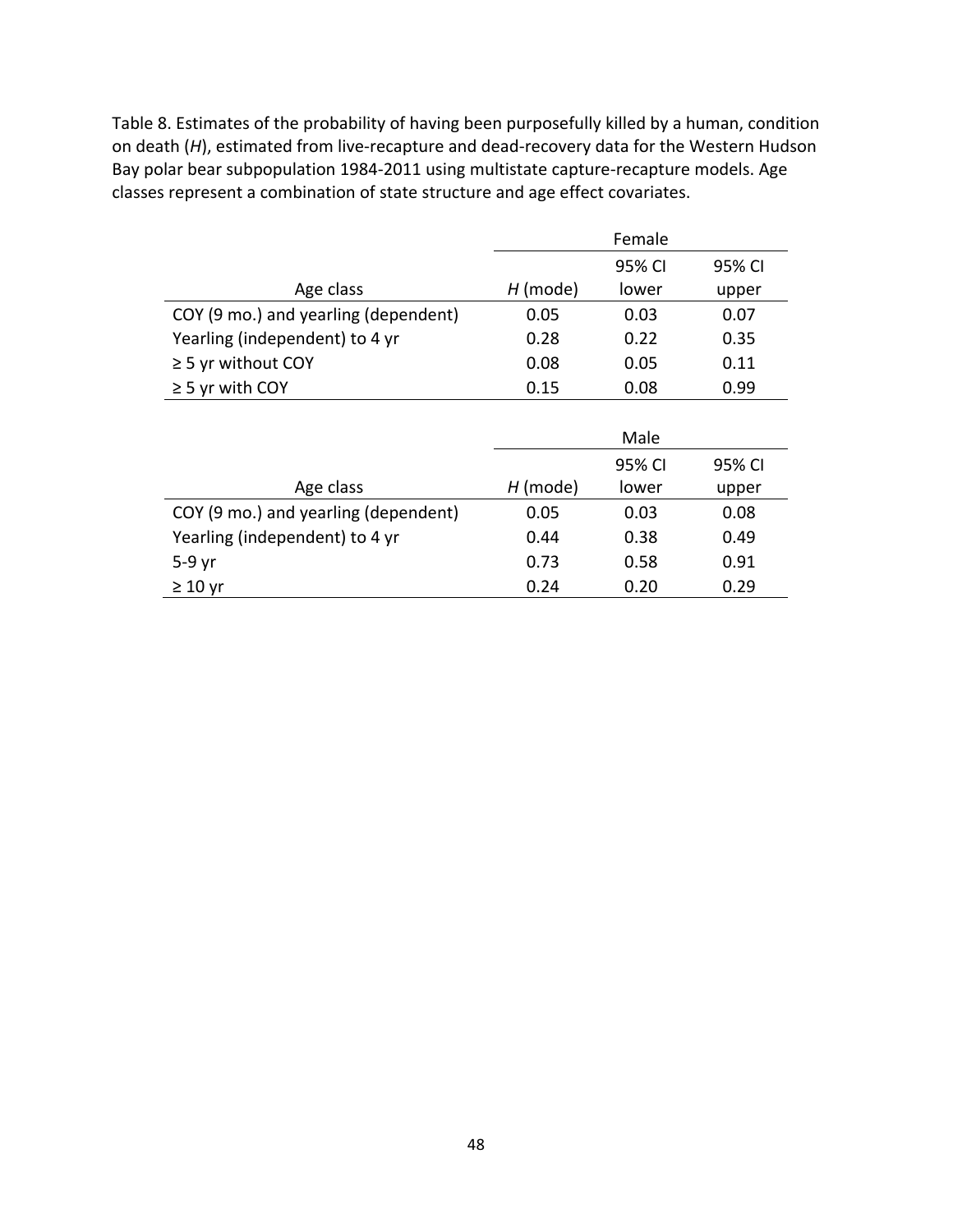Table 8. Estimates of the probability of having been purposefully killed by a human, condition on death (H), estimated from live-recapture and dead-recovery data for the Western Hudson Bay polar bear subpopulation 1984‐2011 using multistate capture‐recapture models. Age classes represent a combination of state structure and age effect covariates.

|                                      | Female     |        |        |
|--------------------------------------|------------|--------|--------|
|                                      |            | 95% CI | 95% CI |
| Age class                            | $H$ (mode) | lower  | upper  |
| COY (9 mo.) and yearling (dependent) | 0.05       | 0.03   | 0.07   |
| Yearling (independent) to 4 yr       | 0.28       | 0.22   | 0.35   |
| $\geq$ 5 yr without COY              | 0.08       | 0.05   | 0.11   |
| $\geq$ 5 yr with COY                 | 0.15       | 0.08   | 0.99   |
|                                      |            |        |        |
|                                      |            | Male   |        |
|                                      |            | 95% CI | 95% CI |
| Age class                            | $H$ (mode) | lower  | upper  |
| COY (9 mo.) and yearling (dependent) | 0.05       | 0.03   | 0.08   |
| Yearling (independent) to 4 yr       | 0.44       | 0.38   | 0.49   |
| $5-9$ yr                             | 0.73       | 0.58   | 0.91   |
| $\geq 10$ yr                         | 0.24       | 0.20   | 0.29   |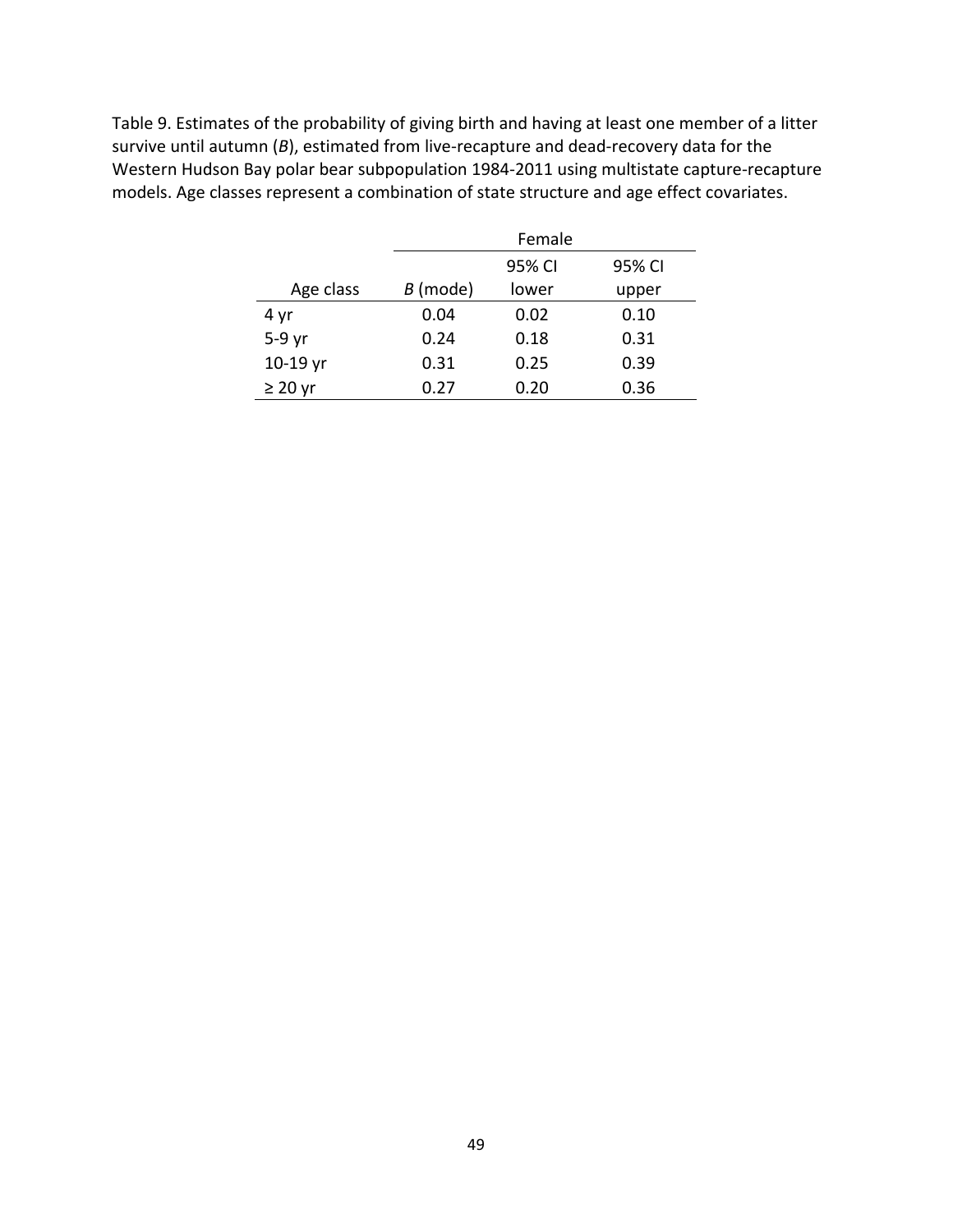Table 9. Estimates of the probability of giving birth and having at least one member of a litter survive until autumn (B), estimated from live-recapture and dead-recovery data for the Western Hudson Bay polar bear subpopulation 1984‐2011 using multistate capture‐recapture models. Age classes represent a combination of state structure and age effect covariates.

|              |          | Female           |       |  |  |  |
|--------------|----------|------------------|-------|--|--|--|
|              |          | 95% CI<br>95% CI |       |  |  |  |
| Age class    | B (mode) | lower            | upper |  |  |  |
| 4 yr         | 0.04     | 0.02             | 0.10  |  |  |  |
| $5-9$ yr     | 0.24     | 0.18             | 0.31  |  |  |  |
| $10-19$ yr   | 0.31     | 0.25             | 0.39  |  |  |  |
| $\geq$ 20 yr | 0.27     | 0.20             | 0.36  |  |  |  |